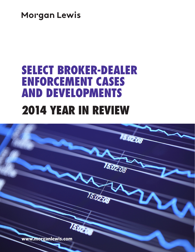**Morgan Lewis** 

# SELECT BROKER-DEALER ENFORCEMENT CASES AND DEVELOPMENTS 2014 YEAR IN REVIEW

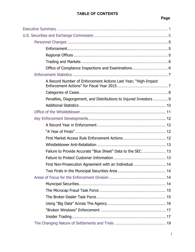| A Record Number of Enforcement Actions Last Year; "High-Impact     |  |
|--------------------------------------------------------------------|--|
|                                                                    |  |
| Penalties, Disgorgement, and Distributions to Injured Investors  9 |  |
|                                                                    |  |
|                                                                    |  |
|                                                                    |  |
|                                                                    |  |
|                                                                    |  |
|                                                                    |  |
|                                                                    |  |
| Failure to Provide Accurate "Blue Sheet" Data to the SEC  13       |  |
|                                                                    |  |
| First Non-Prosecution Agreement with an Individual  14             |  |
|                                                                    |  |
|                                                                    |  |
|                                                                    |  |
|                                                                    |  |
|                                                                    |  |
|                                                                    |  |
|                                                                    |  |
|                                                                    |  |
|                                                                    |  |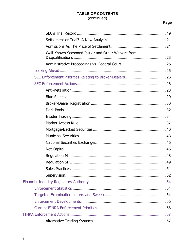# TABLE OF CONTENTS (continued)

# Page

| Well-Known Seasoned Issuer and Other Waivers from |  |
|---------------------------------------------------|--|
|                                                   |  |
|                                                   |  |
|                                                   |  |
|                                                   |  |
|                                                   |  |
|                                                   |  |
|                                                   |  |
|                                                   |  |
|                                                   |  |
|                                                   |  |
|                                                   |  |
|                                                   |  |
|                                                   |  |
|                                                   |  |
|                                                   |  |
|                                                   |  |
|                                                   |  |
|                                                   |  |
|                                                   |  |
|                                                   |  |
|                                                   |  |
|                                                   |  |
|                                                   |  |
|                                                   |  |
|                                                   |  |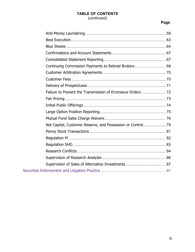# **TABLE OF CONTENTS** (continued)

# **Page**

| Continuing Commission Payments to Retired Brokers 69 |  |
|------------------------------------------------------|--|
|                                                      |  |
|                                                      |  |
|                                                      |  |
|                                                      |  |
|                                                      |  |
|                                                      |  |
|                                                      |  |
|                                                      |  |
|                                                      |  |
|                                                      |  |
|                                                      |  |
|                                                      |  |
|                                                      |  |
|                                                      |  |
|                                                      |  |
|                                                      |  |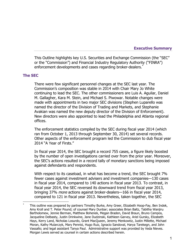**Executive Summary**

This Outline highlights key U.S. Securities and Exchange Commission (the "SEC" or the "Commission") and Financial Industry Regulatory Authority ("FINRA") enforcement developments and cases regarding broker-dealers.<sup>\*</sup>

#### **The SEC**

 $\overline{a}$ 

There were few significant personnel changes at the SEC last year. The Commission's composition was stable in 2014 with Chair Mary Jo White continuing to lead the SEC. The other commissioners are Luis A. Aguilar, Daniel M. Gallagher, Kara M. Stein, and Michael S. Piwowar. Notable changes were made with appointments in two major SEC divisions (Stephen Luparello was named the director of the Division of Trading and Markets, and Stephanie Avakian was named the new deputy director of the Division of Enforcement). New directors were also appointed to lead the Philadelphia and Atlanta regional offices.

The enforcement statistics compiled by the SEC during fiscal year 2014 (which ran from October 1, 2013 through September 30, 2014) set several records. Other aspects of the enforcement program led the Commission to dub fiscal year 2014 "A Year of Firsts."

In fiscal year 2014, the SEC brought a record 755 cases, a figure likely boosted by the number of open investigations carried over from the prior year. Moreover, the SEC's actions resulted in a record tally of monetary sanctions being imposed against defendants and respondents.

With respect to its caseload, in what has become a trend, the SEC brought 7% fewer cases against investment advisers and investment companies—130 cases in fiscal year 2014, compared to 140 actions in fiscal year 2013. To contrast, in fiscal year 2014, the SEC reversed its downward trend from fiscal year 2013, bringing 37% more actions against broker-dealers—166 in fiscal year 2014, compared to 121 in fiscal year 2013. Nevertheless, taken together, the SEC

<sup>\*</sup> This outline was prepared by partners Timothy Burke, Amy Greer, Elizabeth Hoop-Fay, Ben Indek, Amy Kroll and T. Peter Pound; of counsel Mary Dunbar; associates Brian Baltz, Tabitha Wanjiru Bartholomew, Jennie Berman, Matthew Bohenek, Megan Braden, David Braun, Bruno Campos, Jacqueline Delbasty, Justin Drinkwine, Jane Dudzinski, Kathleen Garvey, Ariel Gursky, Elizabeth Hays, Kerry Land, Nicholas Losurdo, Grant MacQueen, Jeremy Menkowtiz, Justin Millette, Michael Moran, Kathy Mularczyk, Mary Pennisi, Hugo Ruiz, Ignacio Sandoval, Harya Tarekegn, and John Vassallo; and legal assistant Tanya Paul. Administrative support was provided by Veda Nieves. Morgan Lewis served as counsel in certain actions described herein.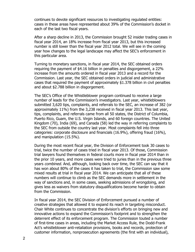continues to devote significant resources to investigating regulated entities: cases in these areas have represented about 39% of the Commission's docket in each of the last two fiscal years.

After a sharp decline in 2013, the Commission brought 52 insider trading cases in fiscal year 2014, an 18% increase from fiscal year 2013, but this increased number is still lower than the fiscal year 2012 total. We will see in the coming year how changes to the legal landscape may affect the SEC's enforcement in this particular area.

Turning to monetary sanctions, in fiscal year 2014, the SEC obtained orders requiring the payment of \$4.16 billion in penalties and disgorgement, a 22% increase from the amounts ordered in fiscal year 2013 and a record for the Commission. Last year, the SEC obtained orders in judicial and administrative cases that required the payment of approximately \$1.378 billion in civil penalties and about \$2.788 billion in disgorgement.

The SEC's Office of the Whistleblower program continued to receive a large number of leads for the Commission's investigators. Last year, whistleblowers submitted 3,620 tips, complaints, and referrals to the SEC, an increase of 382 (or approximately 11%) from the 3,238 received in fiscal year 2013. This last year, tips, complaints, and referrals came from all 50 states, the District of Columbia, Puerto Rico, Guam, the U.S. Virgin Islands, and 60 foreign countries. The United Kingdom (70), India (69), and Canada (58) led the way in referring complaints to the SEC from outside the country last year. Most complaints fell into three categories: corporate disclosure and financials (16.9%), offering fraud (16%), and manipulation (15.5%).

During the most recent fiscal year, the Division of Enforcement took 30 cases to trial, twice the number of cases tried in fiscal year 2013. Of those, Commission trial lawyers found themselves in federal courts more in fiscal year 2014 than in the prior 10 years, and more cases were tried to juries than in the previous three years combined. And, although, looking back over time, the SEC can say that it has won about 80% of the cases it has taken to trial, the Commission saw some mixed results at trial in fiscal year 2014. We can anticipate that all of these numbers will continue to climb as the SEC demands more in settlement in the way of sanctions and, in some cases, seeking admissions of wrongdoing, and gives less as waivers from statutory disqualifications become harder to obtain from the Commission.

In fiscal year 2014, the SEC Division of Enforcement pursued a number of creative strategies that allowed it to expand its reach in targeting misconduct. Chair White continues to concentrate the division's efforts on bringing new and innovative actions to expand the Commission's footprint and to strengthen the deterrent effect of its enforcement program. The Commission touted a number of first-time cases in areas, including the Market Access Rule, the Dodd-Frank Act's whistleblower anti-retaliation provisions, books and records, protection of customer information, nonprosecution agreements (the first with an individual),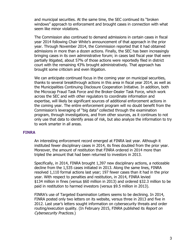and municipal securities. At the same time, the SEC continued its "broken windows" approach to enforcement and brought cases in connection with what seem like minor violations.

The Commission also continued to demand admissions in certain cases in fiscal year 2014 following Chair White's announcement of that approach in the prior year. Through November 2014, the Commission reported that it had obtained admissions in more than a dozen actions. Finally, the SEC has been increasingly bringing cases in its own administrative forum; in cases last fiscal year that were partially litigated, about 57% of those actions were reportedly filed in district court with the remaining 43% brought administratively. That approach has brought some criticism and even litigation.

We can anticipate continued focus in the coming year on municipal securities, thanks to several breakthrough actions in this area in fiscal year 2014, as well as the Municipalities Continuing Disclosure Cooperation Initiative. In addition, both the Microcap Fraud Task Force and the Broker-Dealer Task Force, which work across the SEC and with other regulators to coordinate information and expertise, will likely be significant sources of additional enforcement actions in the coming year. The entire enforcement program will no doubt benefit from the Commission's leveraging of "big data" collected through the examination program, through investigations, and from other sources, as it continues to not only use that data to identify areas of risk, but also analyze the information to try to work smarter in all areas.

#### **FINRA**

An interesting enforcement record emerged at FINRA last year. Although it instituted fewer disciplinary cases in 2014, its fines doubled from the prior year. Moreover, the amount of restitution that FINRA ordered in 2014 more than tripled the amount that had been returned to investors in 2013.

Specifically, in 2014, FINRA brought 1,397 new disciplinary actions, a noticeable decline from the 1,535 cases initiated in 2013. Along the same lines, FINRA resolved 1,110 formal actions last year; 197 fewer cases than it had in the prior year. With respect to penalties and restitution, in 2014, FINRA levied \$134 million in fines (versus \$60 million in 2013) and ordered \$32.3 million to be paid in restitution to harmed investors (versus \$9.5 million in 2013).

FINRA's use of Targeted Examination Letters seems to be declining. In 2014, FINRA posted only two letters on its website, versus three in 2013 and five in 2012. Last year's letters sought information on cybersecurity threats and order routing/execution quality. (In February 2015, FINRA published its Report on Cybersecurity Practices.)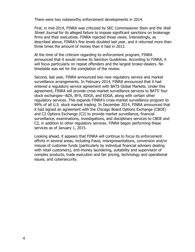There were two noteworthy enforcement developments in 2014.

First, in mid-2014, FINRA was criticized by SEC Commissioner Stein and the Wall Street Journal for its alleged failure to impose significant sanctions on brokerage firms and their executives. FINRA rejected those views. Interestingly, as described above, FINRA's fine levels doubled last year, and it returned more than three times the amount of money than it had in 2013.

At the time of the criticism regarding its enforcement program, FINRA announced that it would review its Sanction Guidelines. According to FINRA, it will focus particularly on repeat offenders and the largest broker-dealers. No timetable was set for the completion of the review.

Second, last year, FINRA announced two new regulatory service and market surveillance arrangements. In February 2014, FINRA announced that it had entered a regulatory service agreement with BATS Global Markets. Under this agreement, FINRA will provide cross-market surveillance services to BATS' four stock exchanges—BZX, BYX, EDGX, and EDGA, along with certain other regulatory services. This expands FINRA's cross-market surveillance program to 99% of all U.S. stock market trading. In December 2014, FINRA announced that it had signed an agreement with the Chicago Board Options Exchange (CBOE) and C2 Options Exchange (C2) to provide market surveillance, financial surveillance, examinations, investigations, and disciplinary services to CBOE and C2, in addition to other regulatory services. FINRA began performing these services as of January 1, 2015.

Looking ahead, it appears that FINRA will continue to focus its enforcement efforts in several areas, including fraud, misrepresentations, conversion and/or misuse of customer funds (particularly by individual financial advisers dealing with retail customers), anti-money laundering, suitability and supervision of complex products, trade execution and fair pricing, technology and operational issues, and cybersecurity.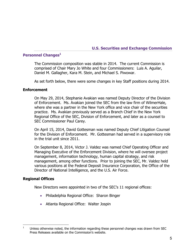#### **U.S. Securities and Exchange Commission**

# **Personnel Changes<sup>1</sup>**

The Commission composition was stable in 2014. The current Commission is comprised of Chair Mary Jo White and four Commissioners: Luis A. Aguilar, Daniel M. Gallagher, Kara M. Stein, and Michael S. Piwowar.

As set forth below, there were some changes in key Staff positions during 2014.

#### **Enforcement**

On May 29, 2014, Stephanie Avakian was named Deputy Director of the Division of Enforcement. Ms. Avakian joined the SEC from the law firm of WilmerHale, where she was a partner in the New York office and vice chair of the securities practice. Ms. Avakian previously served as a Branch Chief in the New York Regional Office of the SEC, Division of Enforcement, and later as a counsel to SEC Commissioner Paul Carey.

On April 15, 2014, David Gottesman was named Deputy Chief Litigation Counsel for the Division of Enforcement. Mr. Gottesman had served in a supervisory role in the trial unit since 2011.

On September 8, 2014, Victor J. Valdez was named Chief Operating Officer and Managing Executive of the Enforcement Division, where he will oversee project management, information technology, human capital strategy, and risk management, among other functions. Prior to joining the SEC, Mr. Valdez held various positions at the Federal Deposit Insurance Corporation, the Office of the Director of National Intelligence, and the U.S. Air Force.

#### **Regional Offices**

New Directors were appointed in two of the SEC's 11 regional offices:

- Philadelphia Regional Office: Sharon Binger
- Atlanta Regional Office: Walter Jospin

 $\overline{a}$ <sup>1</sup> Unless otherwise noted, the information regarding these personnel changes was drawn from SEC Press Releases available on the Commission's website.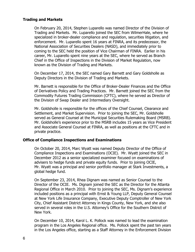## **Trading and Markets**

On February 20, 2014, Stephen Luparello was named Director of the Division of Trading and Markets. Mr. Luparello joined the SEC from WilmerHale, where he specialized in broker-dealer compliance and regulation, securities litigation, and enforcement. Mr. Luparello spent 16 years at FINRA, and its predecessor, the National Association of Securities Dealers (NASD), and immediately prior to coming to the SEC held the position of Vice Chairman of FINRA. Earlier in his career, Mr. Luparello spent nine years at the SEC, where he served as Branch Chief in the Office of Inspections in the Division of Market Regulation, now known as the Division of Trading and Markets.

On December 17, 2014, the SEC named Gary Barnett and Gary Goldsholle as Deputy Directors in the Division of Trading and Markets.

Mr. Barnett is responsible for the Office of Broker-Dealer Finances and the Office of Derivatives Policy and Trading Practices. Mr. Barnett joined the SEC from the Commodity Futures Trading Commission (CFTC), where he served as Director of the Division of Swap Dealer and Intermediary Oversight.

Mr. Goldsholle is responsible for the offices of the Chief Counsel, Clearance and Settlement, and Market Supervision. Prior to joining the SEC, Mr. Goldsholle served as General Counsel at the Municipal Securities Rulemaking Board (MSRB). Mr. Goldsholle's experience prior to the MSRB includes 15 years as Vice President and Associate General Counsel at FINRA, as well as positions at the CFTC and in private practice.

#### **Office of Compliance Inspections and Examinations**

On October 20, 2014, Marc Wyatt was named Deputy Director of the Office of Compliance Inspections and Examinations (OCIE). Mr. Wyatt joined the SEC in December 2012 as a senior specialized examiner focused on examinations of advisers to hedge funds and private equity funds. Prior to joining OCIE, Mr. Wyatt was a principal and senior portfolio manager at Stark Investments, a global hedge fund.

On September 23, 2014, Rhea Dignam was named as Senior Counsel to the Director of the OCIE. Ms. Dignam joined the SEC as the Director for the Atlanta Regional Office in March 2010. Prior to joining the SEC, Ms. Dignam's experience included positions as a principal with Ernst & Young LLP, Deputy General Counsel at New York Life Insurance Company, Executive Deputy Comptroller of New York City, Chief Assistant District Attorney in Kings County, New York, and she also served in several roles in the U.S. Attorney's Office for the Southern District of New York.

On December 10, 2014, Karol L. K. Pollock was named to lead the examination program in the Los Angeles Regional office. Ms. Pollock spent the past ten years in the Los Angeles office, starting as a Staff Attorney in the Enforcement Division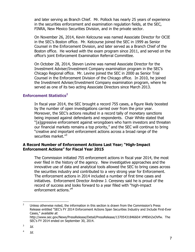and later serving as Branch Chief. Mr. Pollock has nearly 25 years of experience in the securities enforcement and examination regulation fields, at the SEC, FINRA, New Mexico Securities Division, and in the private sector.

On November 26, 2014, Kevin Kelcourse was named Associate Director for OCIE in the SEC's Boston office. Mr. Kelcourse joined the SEC in 1999 as Senior Counsel in the Enforcement Division, and later served as a Branch Chief of the Boston office. He worked with the exam program since 2011, and served on the office's joint Enforcement Examination Referral Committee.

On October 28, 2014, Steven Levine was named Associate Director for the Investment Adviser/Investment Company examination program in the SEC's Chicago Regional office. Mr. Levine joined the SEC in 2000 as Senior Trial Counsel in the Enforcement Division of the Chicago office. In 2010, he joined the Investment Adviser/Investment Company examination program, where he served as one of its two acting Associate Directors since March 2013.

#### **Enforcement Statistics<sup>2</sup>**

In fiscal year 2014, the SEC brought a record 755 cases, a figure likely boosted by the number of open investigations carried over from the prior year. Moreover, the SEC's actions resulted in a record tally of monetary sanctions being imposed against defendants and respondents. Chair White stated that "[a]ggressive enforcement against wrongdoers who harm investors and threaten our financial markets remains a top priority," and the SEC will continue to bring "creative and important enforcement actions across a broad range of the securities market."<sup>3</sup>

#### **A Record Number of Enforcement Actions Last Year; "High-Impact Enforcement Actions" for Fiscal Year 2015**

The Commission initiated 755 enforcement actions in fiscal year 2014, the most ever filed in the history of the agency. New investigative approaches and the innovative use of data and analytical tools allowed the SEC to bring cases across the securities industry and contributed to a very strong year for Enforcement. The enforcement actions in 2014 included a number of first time cases and initiatives. Enforcement Director Andrew J. Ceresney said he is proud of the record of success and looks forward to a year filled with "high-impact enforcement actions."<sup>4</sup>

 $\mathcal{L}$ <sup>2</sup> Unless otherwise noted, the information in this section is drawn from the Commission's Press Release entitled "SEC's FY 2014 Enforcement Actions Span Securities Industry and Include First-Ever Cases," available at:

http://www.sec.gov/News/PressRelease/Detail/PressRelease/1370543184660#.VMEkh2xOVfw. The SEC's FY 2014 ended on September 30, 2014.

<sup>3</sup> Id.

<sup>4</sup> Id.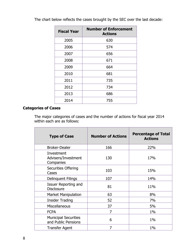| <b>Fiscal Year</b> | <b>Number of Enforcement</b><br><b>Actions</b> |
|--------------------|------------------------------------------------|
| 2005               | 630                                            |
| 2006               | 574                                            |
| 2007               | 656                                            |
| 2008               | 671                                            |
| 2009               | 664                                            |
| 2010               | 681                                            |
| 2011               | 735                                            |
| 2012               | 734                                            |
| 2013               | 686                                            |
| 2014               | 755                                            |

The chart below reflects the cases brought by the SEC over the last decade:

# **Categories of Cases**

The major categories of cases and the number of actions for fiscal year 2014 within each are as follows:

| <b>Type of Case</b>                                | <b>Number of Actions</b> | <b>Percentage of Total</b><br><b>Actions</b> |
|----------------------------------------------------|--------------------------|----------------------------------------------|
| <b>Broker-Dealer</b>                               | 166                      | 22%                                          |
| Investment<br>Advisers/Investment<br>Companies     | 130                      | 17%                                          |
| <b>Securities Offering</b><br>Cases                | 103                      | 15%                                          |
| Delinquent Filings                                 | 107                      | 14%                                          |
| Issuer Reporting and<br><b>Disclosure</b>          | 81                       | 11%                                          |
| <b>Market Manipulation</b>                         | 63                       | 8%                                           |
| <b>Insider Trading</b>                             | 52                       | 7%                                           |
| <b>Miscellaneous</b>                               | 37                       | 5%                                           |
| <b>FCPA</b>                                        | 7                        | $1\%$                                        |
| <b>Municipal Securities</b><br>and Public Pensions | 6                        | $1\%$                                        |
| <b>Transfer Agent</b>                              | 7                        | $1\%$                                        |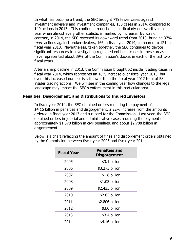In what has become a trend, the SEC brought 7% fewer cases against investment advisers and investment companies, 130 cases in 2014, compared to 140 actions in 2013. This continued reduction is particularly noteworthy in a year when almost every other statistic is marked by increase. By way of contrast, in 2014, the SEC reversed its downward trend from 2013, bringing 37% more actions against broker-dealers, 166 in fiscal year 2014, compared to 121 in fiscal year 2013. Nevertheless, taken together, the SEC continues to devote significant resources to investigating regulated entities: cases in these areas have represented about 39% of the Commission's docket in each of the last two fiscal years.

After a sharp decline in 2013, the Commission brought 52 insider trading cases in fiscal year 2014, which represents an 18% increase over fiscal year 2013, but even this increased number is still lower than the fiscal year 2012 total of 58 insider trading actions. We will see in the coming year how changes to the legal landscape may impact the SEC's enforcement in this particular area.

#### **Penalties, Disgorgement, and Distributions to Injured Investors**

In fiscal year 2014, the SEC obtained orders requiring the payment of \$4.16 billion in penalties and disgorgement, a 22% increase from the amounts ordered in fiscal year 2013 and a record for the Commission. Last year, the SEC obtained orders in judicial and administrative cases requiring the payment of approximately \$1.378 billion in civil penalties, and about \$2.788 billion in disgorgement.

Below is a chart reflecting the amount of fines and disgorgement orders obtained by the Commission between fiscal year 2005 and fiscal year 2014.

| <b>Fiscal Year</b> | <b>Penalties and</b><br><b>Disgorgement</b> |  |
|--------------------|---------------------------------------------|--|
| 2005               | \$3.1 billion                               |  |
| 2006               | \$3.275 billion                             |  |
| 2007               | \$1.6 billion                               |  |
| 2008               | \$1.03 billion                              |  |
| 2009               | \$2.435 billion                             |  |
| 2010               | \$2.85 billion                              |  |
| 2011               | \$2.806 billion                             |  |
| 2012               | \$3.0 billion                               |  |
| 2013               | \$3.4 billion                               |  |
| 2014               | \$4.16 billion                              |  |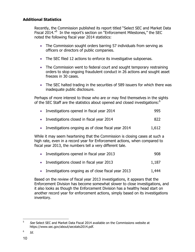# **Additional Statistics**

Recently, the Commission published its report titled "Select SEC and Market Data Fiscal 2014.<sup>"5</sup> In the report's section on "Enforcement Milestones," the SEC noted the following fiscal year 2014 statistics:

- The Commission sought orders barring 57 individuals from serving as officers or directors of public companies.
- The SEC filed 12 actions to enforce its investigative subpoenas.
- The Commission went to federal court and sought temporary restraining orders to stop ongoing fraudulent conduct in 26 actions and sought asset freezes in 30 cases.
- The SEC halted trading in the securities of 589 issuers for which there was inadequate public disclosure.

Perhaps of more interest to those who are or may find themselves in the sights of the SEC Staff are the statistics about opened and closed investigations: $6$ 

| • Investigations opened in fiscal year 2014           | 995   |
|-------------------------------------------------------|-------|
| • Investigations closed in fiscal year 2014           | 822   |
| • Investigations ongoing as of close fiscal year 2014 | 1,612 |

While it may seem heartening that the Commission is closing cases at such a high rate, even in a record year for Enforcement actions, when compared to fiscal year 2013, the numbers tell a very different tale.

| • Investigations opened in fiscal year 2013 | 908 |
|---------------------------------------------|-----|
|                                             |     |

- $\bullet$  Investigations closed in fiscal year 2013  $\qquad \qquad 1,187$
- Investigations ongoing as of close fiscal year 2013 1,444

Based on the review of fiscal year 2013 investigations, it appears that the Enforcement Division has become somewhat slower to close investigations, and it also looks as though the Enforcement Division has a healthy head start on another record year for enforcement actions, simply based on its investigations inventory.

<sup>5</sup> See Select SEC and Market Data Fiscal 2014 available on the Commissions website at https://www.sec.gov/about/secstats2014.pdf.

<sup>6</sup> Id.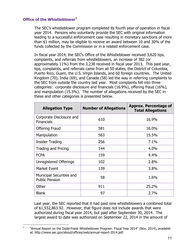# **Office of the Whistleblower<sup>7</sup>**

 $\overline{a}$ 

The SEC's whistleblower program completed its fourth year of operation in fiscal year 2014. Persons who voluntarily provide the SEC with original information leading to a successful enforcement case resulting in monetary sanctions of more than \$1 million, may be eligible to receive an award between 10 and 30% of the funds collected by the Commission or in a related enforcement case.

In fiscal year 2014, the SEC's Office of the Whistleblower received 3,620 tips, complaints, and referrals from whistleblowers, an increase of 382 (or approximately 11%) from the 3,238 received in fiscal year 2013. This past year, tips, complaints, and referrals came from all 50 states, the District of Columbia, Puerto Rico, Guam, the U.S. Virgin Islands, and 60 foreign countries. The United Kingdom (70), India (69), and Canada (58) led the way in referring complaints to the SEC from outside the country last year. Most complaints fell into three categories: corporate disclosure and financials (16.9%), offering fraud (16%), and manipulation (15.5%). The number of allegations received by the SEC in these and other categories is presented below.

| <b>Allegation Type</b>                            | <b>Number of Allegations</b> | <b>Approx. Percentage of</b><br><b>Total Allegations</b> |
|---------------------------------------------------|------------------------------|----------------------------------------------------------|
| Corporate Disclosure and<br><b>Financials</b>     | 610                          | 16.9%                                                    |
| <b>Offering Fraud</b>                             | 581                          | 16.0%                                                    |
| Manipulation                                      | 563                          | 15.5%                                                    |
| <b>Insider Trading</b>                            | 256                          | 7.1%                                                     |
| Trading and Pricing                               | 144                          | 4.0%                                                     |
| <b>FCPA</b>                                       | 159                          | 4.4%                                                     |
| Unregistered Offerings                            | 102                          | 2.8%                                                     |
| <b>Market Event</b>                               | 139                          | 3.8%                                                     |
| Municipal Securities and<br><b>Public Pension</b> | 58                           | 1.6%                                                     |
| Other                                             | 911                          | 25.2%                                                    |
| <b>Blank</b>                                      | 97                           | 2.7%                                                     |

Last year, the SEC reported that it had paid nine whistleblowers a combined total of \$1,932,863.92. However, that figure does not include awards that were authorized during fiscal year 2014, but paid after September 30, 2014. The largest award to date was authorized on September 22, 2014 in the amount of

<sup>7</sup> "Annual Report on the Dodd-Frank Whistleblower Program: Fiscal Year 2014" (Nov. 2014), available at: http://www.sec.gov/about/offices/owb/annual-report-2014.pdf.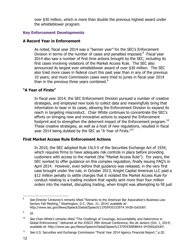over \$30 million, which is more than double the previous highest award under the whistleblower program.

# **Key Enforcement Developments**

# **A Record Year in Enforcement**

As noted, fiscal year 2014 was a "banner year" for the SEC's Enforcement Division in terms of the number of cases and penalties imposed. $8$  Fiscal year 2014 also saw a number of first time actions brought by the SEC, including its first cases involving violations of the Market Access Rule. The SEC also announced its largest ever whistleblower award of over \$30 million. The SEC also tried more cases in federal court this past year than in any of the previous 10 years; and more Commission cases were tried to juries in fiscal year 2014 than in the previous three years combined. $9$ 

# **"A Year of Firsts"**

In fiscal year 2014, the SEC Enforcement Division pursued a number of creative strategies, and employed new tools to collect data and meaningfully bring that information to bear in its cases, allowing the Enforcement Division to expand its reach in targeting misconduct. Chair White continues to concentrate the SEC's efforts on bringing new and innovative actions to expand the Enforcement footprint and to strengthen the deterrent impact of the Enforcement program.<sup>10</sup> These creative strategies, as well as a host of new regulations, resulted in fiscal year 2014 being dubbed by the SEC as "A Year of Firsts." $^{11}$ 

# **First Market Access Rule Enforcement Actions**

In 2010, the SEC adopted Rule 15c3-5 of the Securities Exchange Act of 1934, which requires firms to have adequate risk controls in place before providing customers with access to the market (the "Market Access Rule"). For years, the SEC worked to offer guidance on this complex regulation, finally issuing FAQ's in April 2014. However, even before that guidance was released, in the very first case brought under the rule, in October 2013, Knight Capital Americas LLC paid a \$12 million penalty to settle charges that it violated the Market Access Rule for conduct relating to a trading incident that rapidly sent more than four million orders into the market, disrupting trading, when Knight was attempting to fill just

 $\frac{1}{8}$ See Director Ceresney's remarks titled "Remarks to the American Bar Association's Business Law Section Fall Meeting," Washington, D.C. (Nov. 21, 2014) available at: http://www.sec.gov/News/Speech/Detail/Speech/1370543515297#.VH3b-GxOU6Y.

<sup>9</sup> Id.

 $10$  See Chair White's remarks titled "The Challenge of Coverage, Accountability and Deterrence in Global Enforcement," delivered at the IOSCO 39th Annual Conference, Rio de Janiero (Oct. 1, 2014) available at: http://www.sec.gov/News/Speech/Detail/Speech/1370543090864#.VH3XtGxOU6Y.

 $11$  See U.S. Securities and Exchange Commission "Fiscal Year 2014 Agency Financial Report," p.20.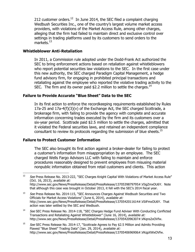212 customer orders.<sup>12</sup> In June 2014, the SEC filed a complaint charging Wedbush Securities Inc., one of the country's largest volume market access providers, with violations of the Market Access Rule, among other charges, alleging that the firm had failed to maintain direct and exclusive control over settings in trading platforms used by its customers to send orders to the markets. $^{13}$ 

#### **Whistleblower Anti-Retaliation**

In 2011, a Commission rule adopted under the Dodd-Frank Act authorized the SEC to bring enforcement actions based on retaliation against whistleblowers who report potential securities law violations to the SEC. In the first case under this new authority, the SEC charged Paradigm Capital Management, a hedge fund advisory firm, for engaging in prohibited principal transactions and retaliating against the employee who reported the violative trading activity to the SEC. The firm and its owner paid \$2.2 million to settle the charges.<sup>14</sup>

#### **Failure to Provide Accurate "Blue Sheet" Data to the SEC**

In its first action to enforce the recordkeeping requirements established by Rules 17a-25 and 17a-4(f)(3)(v) of the Exchange Act, the SEC charged Scottrade, a brokerage firm, with failing to provide the agency with complete and accurate information concerning trades executed by the firm and its customers over a six-year period. Scottrade paid \$2.5 million to settle the charges, admitted that it violated the Federal securities laws, and retained an independent compliance consultant to review its protocols regarding the submission of blue sheets.<sup>15</sup>

#### **Failure to Protect Customer Information**

The SEC also brought its first action against a broker-dealer for failing to protect a customer's information from misappropriation by an employee. The SEC charged Wells Fargo Advisors LLC with failing to maintain and enforce procedures reasonably designed to prevent employees from misusing material nonpublic information obtained from retail customers and clients. This action

 $12$ See Press Release No. 2013-222, "SEC Charges Knight Capital With Violations of Market Access Rule" (Oct. 16, 2013), available at: http://www.sec.gov/News/PressRelease/Detail/PressRelease/1370539879795#.VIigZmxOU6Y. Note that although this case was brought in October 2013, it fell with the SEC's 2014 fiscal year.

 $13$  See Press Release No. 2014-115, "SEC Announces Charges Against Wedbush Securities and Two Officials for Market Access Violations" (June 6, 2014), available at: http://www.sec.gov/News/PressRelease/Detail/PressRelease/1370542011614#.VIiiFmxOU6Y. That action was later settled by the SEC and Wedbush.

<sup>14</sup> See SEC Press Release No. 2014-118, "SEC Charges Hedge Fund Adviser With Conducting Conflicted Transactions and Retaliating Against Whistleblower" (June 16, 2014), available at: http://www.sec.gov/News/PressRelease/Detail/PressRelease/1370542096307#.VKqns2xOVfw.

<sup>&</sup>lt;sup>15</sup> See SEC Press Release No. 2014-17, "Scottrade Agrees to Pay \$2.5 Million and Admits Providing Flawed "Blue Sheet" Trading Data" (Jan. 29, 2014), available at: http://www.sec.gov/News/PressRelease/Detail/PressRelease/1370540696906#.VKqpXWxOVfw.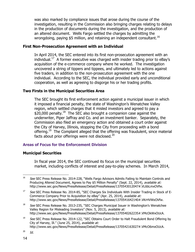was also marked by compliance issues that arose during the course of the investigation, resulting in the Commission also bringing charges relating to delays in the production of documents during the investigation, and the production of an altered document. Wells Fargo settled the charges by admitting the wrongdoing, paying \$5 million, and retaining an independent consultant.<sup>16</sup>

# **First Non-Prosecution Agreement with an Individual**

In April 2014, the SEC entered into its first non-prosecution agreement with an individual.<sup>17</sup> A former executive was charged with insider trading prior to eBay's acquisition of the e-commerce company where he worked. The investigation uncovered a string of tippers and tippees, and ultimately led to actions against five traders, in addition to the non-prosecution agreement with the one individual. According to the SEC, the individual provided early and unconditional cooperation, as well as agreeing to disgorge his or her trading profits.

# **Two Firsts in the Municipal Securities Area**

The SEC brought its first enforcement action against a municipal issuer in which it imposed a financial penalty, the state of Washington's Wenatchee Valley region, which settled charges that it misled investors and agreed to pay a  $$20,000$  penalty.<sup>18</sup> The SEC also brought a companion case against the underwriter, Piper Jaffray and Co. and an investment banker. Separately, the Commission also filed an emergency action and obtained a court order against the City of Harvey, Illinois, stopping the City from proceeding with a bond offering.<sup>19</sup> The Complaint alleged that the offering was fraudulent, since material facts about prior offerings were not disclosed.<sup>20</sup>

# **Areas of Focus for the Enforcement Division**

#### **Municipal Securities**

In fiscal year 2014, the SEC continued its focus on the municipal securities market, including conflicts of interest and pay-to-play schemes. In March 2014,

<sup>&</sup>lt;sup>16</sup> See SEC Press Release No. 2014-228, "Wells Fargo Advisors Admits Failing to Maintain Controls and Producing Altered Document, Agrees to Pay \$5 Million Penalty" (Sept. 22, 2014), available at: http://www.sec.gov/News/PressRelease/Detail/PressRelease/1370543012047#.VL6bLmxOVfw.

<sup>&</sup>lt;sup>17</sup> See SEC Press Release No. 2014-85, "SEC Charges Six Individuals With Insider Trading in Stock of E-Commerce Company Prior to Acquisition by eBay" (Apr. 25, 2014), available at: http://www.sec.gov/News/PressRelease/Detail/PressRelease/1370541642140#.VKrHVWxOVfw.

 $18$  See SEC Press Release No. 2013-235, "SEC Charges Municipal Issuer in Washington's Wenatchee Valley Region for Misleading Investors" (Nov. 5, 2013), available at: http://www.sec.gov/News/PressRelease/Detail/PressRelease/1370540262235#.VMcOkWxOUcA.

<sup>&</sup>lt;sup>19</sup> See SEC Press Release No. 2014-122, "SEC Obtains Court Order to Halt Fraudulent Bond Offering by City of Harvey, Ill." (June 25, 2014), available at: http://www.sec.gov/News/PressRelease/Detail/PressRelease/1370542163027#.VMcO6mxOUcA.

 $^{20}$  Id.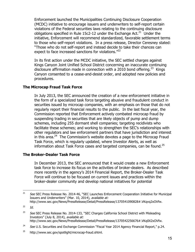Enforcement launched the Municipalities Continuing Disclosure Cooperation (MCDC) initiative to encourage issuers and underwriters to self-report certain violations of the Federal securities laws relating to the continuing disclosure obligations specified in Rule 15c2-12 under the Exchange Act. $21$  Under the initiative, Enforcement will recommend standardized, favorable settlement terms to those who self-report violations. In a press release, Director Ceresney stated: "Those who do not self-report and instead decide to take their chances can expect to face increased sanctions for violations. $"^{22}$ 

In its first action under the MCDC initiative, the SEC settled charges against Kings Canyon Joint Unified School District concerning an inaccurate continuing disclosure affirmation made in connection with a 2010 bond offering.<sup>23</sup> Kings Canyon consented to a cease-and-desist order, and adopted new policies and procedures.

# **The Microcap Fraud Task Force**

In July 2013, the SEC announced the creation of a new enforcement initiative in the form of a specialized task force targeting abusive and fraudulent conduct in securities issued by microcap companies, with an emphasis on those that do not regularly report their financial results to the public. In the last fiscal year, the Commission reported that Enforcement actively combated microcap fraud by suspending trading in securities that are likely objects of pump and dump schemes, including 255 dormant shell companies; targeting recidivists who facilitate these schemes; and working to strengthen the SEC's relationships with other regulators and law enforcement partners that have jurisdiction and interest in this area.<sup>24</sup> The Commission's website devotes a page to the Microcap Fraud Task Force, which is regularly updated, where Investor Alerts, as well as information about Task Force cases and targeted companies, can be found.<sup>25</sup>

#### **The Broker-Dealer Task Force**

In December 2013, the SEC announced that it would create a new Enforcement task force to increase its focus on the activities of broker-dealers. As described more recently in the agency's 2014 Financial Report, the Broker-Dealer Task Force will continue to be focused on current issues and practices within the broker-dealer community and develop national initiatives for potential

 $21$ See SEC Press Release No. 2014-46, "SEC Launches Enforcement Cooperation Initiative for Municipal Issuers and Underwriters" (Mar. 10, 2014), available at: http://www.sec.gov/News/PressRelease/Detail/PressRelease/1370541090828#.VKqvq2xOVfw.

 $^{22}$  Id.

<sup>&</sup>lt;sup>23</sup> See SEC Press Release No. 2014-133, "SEC Charges California School District with Misleading Investors" (July 8, 2014), available at: http://www.sec.gov/News/PressRelease/Detail/PressRelease/1370542256676#.VKq0X2xOVfw.

<sup>&</sup>lt;sup>24</sup> See U.S. Securities and Exchange Commission "Fiscal Year 2014 Agency Financial Report," p.24.

 $25$  http://www.sec.gov/spotlight/microcap-fraud.shtml.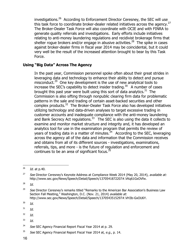investigations.<sup>26</sup> According to Enforcement Director Ceresney, the SEC will use this task force to coordinate broker-dealer related initiatives across the agency.<sup>27</sup> The Broker-Dealer Task Force will also coordinate with OCIE and with FINRA to generate quality referrals and investigations. Early efforts include initiatives relating to anti-money laundering regulations and recidivist brokerage firms that shelter rogue brokers and/or engage in abusive activities. $^{28}$  The spike in cases against broker-dealer firms in fiscal year 2014 may be coincidental, but it could very well be the result of the increased attention brought to bear by this Task Force.

# **Using "Big Data" Across The Agency**

In the past year, Commission personnel spoke often about their great strides in leveraging data and technology to enhance their ability to detect and pursue misconduct.<sup>29</sup> One key development is the use of new analytical tools to increase the SEC's capability to detect insider trading.<sup>30</sup> A number of cases brought this past year were built using this sort of data analytics.<sup>31</sup> The Commission is also sifting through nonpublic clearing firm data for problematic patterns in the sale and trading of certain asset-backed securities and other complex products.<sup>32</sup> The Broker-Dealer Task Force also has developed initiatives utilizing technology and data-driven analyses to target excessive trading in customer accounts and inadequate compliance with the anti-money laundering and Bank Secrecy Act regulations.<sup>33</sup> The SEC is also using the data it collects to examine and monitor market structure and integrity and, it has developed an analytics tool for use in the examination program that permits the review of years of trading data in a matter of minutes.  $34$  According to the SEC, leveraging across the agency all of the data and information that the Commission receives and obtains from all of its different sources - investigations, examinations, referrals, tips, and more - is the future of regulation and enforcement and continues to be an area of significant focus.  $35$ 

 $\overline{a}$ 

 $^{30}$  Id.

 $31$  Id.

- $^{32}$  Id.
- $^{33}$  Id.

 $^{26}$  Id. at p.40.

<sup>&</sup>lt;sup>27</sup> See Director Ceresney's Keynote Address at Compliance Week 2014 (May 20, 2014), available at: http://www.sec.gov/News/Speech/Detail/Speech/1370541872207#.VKq61GxOVfw.

 $^{28}$  Id.

 $29$  See Director Ceresney's remarks titled "Remarks to the American Bar Association's Business Law Section Fall Meeting," Washington, D.C. (Nov. 21, 2014) available at: http://www.sec.gov/News/Speech/Detail/Speech/1370543515297#.VH3b-GxOU6Y.

 $34$  See SEC Agency Financial Report Fiscal Year 2014 at p. 29.

 $35$  See SEC Agency Financial Report Fiscal Year 2014 at, e.g., p. 14.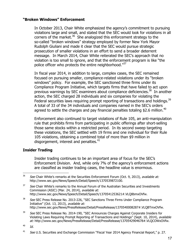# **"Broken Windows" Enforcement**

In October 2013, Chair White emphasized the agency's commitment to pursuing violations large and small, and stated that the SEC would look for violations in all corners of the market.<sup>36</sup> She analogized this enforcement strategy to the so-called "broken windows" strategy employed by former New York Mayor Rudolph Giuliani and made it clear that the SEC would pursue strategic prosecution of smaller violations in an effort to send a broader deterrent message. In March 2014, Chair White reiterated the SEC's approach that no violation is too small to ignore, and that the enforcement program is like "the police officer who protects the entire neighborhood."<sup>37</sup>

In fiscal year 2014, in addition to large, complex cases, the SEC remained focused on pursuing smaller, compliance-related violations under its "broken windows" policy. For example, the SEC sanctioned three firms under its Compliance Program Initiative, which targets firms that have failed to act upon previous warnings by SEC examiners about compliance deficiencies.<sup>38</sup> In another action, the SEC charged 28 individuals and six companies for violating the Federal securities laws requiring prompt reporting of transactions and holdings.<sup>39</sup> A total of 33 of the 34 individuals and companies named in the SEC's orders agreed to settle the charges and pay financial penalties totaling \$2.6 million.<sup>40</sup>

Enforcement also continued to target violations of Rule 105, an anti-manipulation rule that prohibits firms from participating in public offerings after short-selling those same stocks within a restricted period. In its second sweep targeting these violations, the SEC settled with 19 firms and one individual for their Rule 105 violations, obtaining a combined total of more than \$9 million in disgorgement, interest and penalties. $41$ 

# **Insider Trading**

Insider trading continues to be an important area of focus for the SEC's Enforcement Division. And, while only 7% of the agency's enforcement actions are classified as insider trading cases, the headline value is enormous.

 $36$  See Chair White's remarks at the Securities Enforcement Forum (Oct. 9, 2013), available at: http://www.sec.gov/News/Speech/Detail/Speech/1370539872100.

 $37$  See Chair White's remarks to the Annual Forum of the Australian Securities and Investments Commission (ASIC) (Mar. 24, 2014), available at: http://www.sec.gov/News/Speech/Detail/Speech/1370541253621#.VLQ8bmxOVfw.

<sup>&</sup>lt;sup>38</sup> See SEC Press Release No. 2013-226, "SEC Sanctions Three Firms Under Compliance Program Initiative" (Oct. 13, 2013), available at: http://www.sec.gov/News/PressRelease/Detail/PressRelease/1370540008287#.VLQBTmxOVfw.

<sup>&</sup>lt;sup>39</sup> See SEC Press Release No. 2014-190, "SEC Announces Charges Against Corporate Insiders for Violating Laws Requiring Prompt Reporting of Transactions and Holdings" (Sept. 10, 2014), available at: http://www.sec.gov/News/PressRelease/Detail/PressRelease/1370542904678#.VLQCOWxOVfw.

 $^{40}$  Id.

<sup>&</sup>lt;sup>41</sup> See U.S. Securities and Exchange Commission "Fiscal Year 2014 Agency Financial Report," p. 27.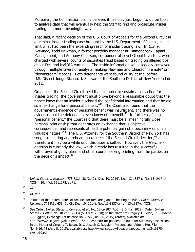Moreover, the Commission plainly believes it has only just begun to utilize tools to analyze data that will eventually help the Staff to find and prosecute insider trading in a more meaningful way.

That said, a recent decision of the U.S. Court of Appeals for the Second Circuit in a criminal insider trading case brought by the U.S. Department of Justice, could limit what had been the expanding reach of insider trading law. In  $U.S.$  v. Newman, Todd Newman, a former portfolio manager at Diamondback Capital Management, and Anthony Chiasson, co-founder of Level Global Investors, were charged with several counts of securities fraud based on trading on alleged tips about Dell and NVIDIA earnings. The inside information was allegedly conveyed through multiple layers of analysts, making Newman and Chiasson "remote" or "downstream" tippees. Both defendants were found guilty at trial before U.S. District Judge Richard J. Sullivan of the Southern District of New York in late 2012.

On appeal, the Second Circuit held that "in order to sustain a conviction for insider trading, the government must prove beyond a reasonable doubt that the tippee knew that an insider disclosed the confidential information and that he did so in exchange for a personal benefit. $142$  The Court also found that the government's evidence of personal benefit was insufficient, and there was no evidence that the defendants even knew of a benefit. $43$  In further defining "personal benefit," the Court said that there must be a "meaningfully close personal relationship that generates an exchange that is objective, consequential, and represents at least a potential gain of a pecuniary or similar valuable nature."<sup>44</sup> The U.S. Attorney for the Southern District of New York has sought rehearing and rehearing *en banc* of the Second Circuit decision,<sup>45</sup> and therefore it may be a while until this issue is settled. However, the Newman decision is currently the law, which already has resulted in the successful withdrawal of guilty pleas and other courts seeking briefing from the parties on the decision's impact. $46$ 

 $\overline{a}$ 

 $^{44}$  Id. at  $*10$ .

 $42$  United States v. Newman, 773 F.3d 438 (2d Cir. Dec. 10, 2014), Nos. 13-1837-cr (L), 13-1917-cr (CON), 2014 WL 6911278, at \*1.

 $^{43}$  Id.

<sup>&</sup>lt;sup>45</sup> Petition of the United States of America for Rehearing and Rehearing En Banc, United States v. Newman, 773 F.3d 438 (2d Cir. Dec. 10, 2014), Nos. 13-1837-cr (L), 13-1917-cr (CON).

<sup>&</sup>lt;sup>46</sup> See Order, United States v. Conradt, et al., No. 12-cr-887 (ALC) (S.D.N.Y. 2012); Order, United States v. Goffer, No. 10-cr-56 (RJS) (S.D.N.Y. 2010); In the Matter of Gregory T. Bolan, Jr. & Joseph C. Ruggieri, Exchange Act Release No. 2256 (Jan. 26, 2015) (order), available at: http://www.sec.gov/alj/aljorders/2015/ap-2256.pdf; Respondents' Motion for Summary Disposition, In the Matter of Gregory T. Bolan, Jr. & Joseph C. Ruggieri, Respondents, Admin. Pro. File No. 3-16178 (Jan. 8, 2015), available at: http://www.sec.gov/litigation/apdocuments/3-16178 event-26.pdf.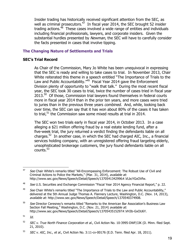Insider trading has historically received significant attention from the SEC, as well as criminal prosecutors.<sup>47</sup> In fiscal year 2014, the SEC brought 52 insider trading actions. $^{48}$  These cases involved a wide range of entities and individuals including financial professionals, lawyers, and corporate insiders. Given the substantial hurdles presented by Newman, the SEC will have to carefully consider the facts presented in cases that involve tipping.

# **The Changing Nature of Settlements and Trials**

#### **SEC's Trial Record**

As Chair of the Commission, Mary Jo White has been unequivocal in expressing that the SEC is ready and willing to take cases to trial. In November 2013, Chair White reiterated this theme in a speech entitled "The Importance of Trials to the Law and Public Accountability."<sup>49</sup> Fiscal Year 2014 gave the Enforcement Division plenty of opportunity to "walk that talk." During the most recent fiscal year, the SEC took 30 cases to trial, twice the number of cases tried in fiscal year  $2013.<sup>50</sup>$  Of those, Commission trial lawyers found themselves in federal courts more in fiscal year 2014 than in the prior ten years, and more cases were tried to juries than in the previous three years *combined*. And, while, looking back over time, the SEC can say that it has won about 80% of the cases it has taken to trial, $51$  the Commission saw some mixed results at trial in 2014.

The SEC won two trials early in fiscal year 2014, in October 2013. In a case alleging a \$21 million offering fraud by a real estate lending fund, after a five-week trial, the jury returned a verdict finding the defendants liable on all charges.<sup>52</sup> In another case, in which the SEC had charged AIC, Inc., a financial services holding company, with an unregistered offering fraud targeting elderly, unsophisticated brokerage customers, the jury found defendants liable on all  $counts.<sup>53</sup>$ 

<sup>47</sup> See Chair White's remarks titled "All-Encompassing Enforcement: The Robust Use of Civil and Criminal Actions to Police the Markets," (Mar. 31, 2014), available at: http://www.sec.gov/News/Speech/Detail/Speech/1370541342996#.VLbcYGxOVfw.

<sup>48</sup> See U.S. Securities and Exchange Commission "Fiscal Year 2014 Agency Financial Report," p. 22.

 $49$  See Chair White's remarks titled "The Importance of Trials to the Law and Public Accountability," delivered at the 5th Annual Judge Thomas A. Flannery Lecture, Washington, D.C. (Nov. 14, 2013), available at: http://www.sec.gov/News/Speech/Detail/Speech/1370540374908.

<sup>&</sup>lt;sup>50</sup> See Director Ceresney's remarks titled "Remarks to the American Bar Association's Business Law Section Fall Meeting," Washington, D.C. (Nov. 21, 2014) available at: http://www.sec.gov/News/Speech/Detail/Speech/1370543515297#.VH3b-GxOU6Y.

 $51$  Id.

<sup>52</sup> SEC v. True North Finance Corporation et al., Civil Action No. 10-3995-DWF/JJK (D. Minn. filed Sept. 21, 2010).

 $53$  SEC v. AIC, Inc., et al., Civil Action No. 3:11-cv-00176 (E.D. Tenn. filed Apr. 18, 2011).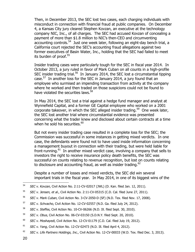Then, in December 2013, the SEC lost two cases, each charging individuals with misconduct in connection with financial fraud at public companies. On December 4, a Kansas City jury cleared Stephen Kovzan, an executive at the technology company NIC, Inc., of all charges. The SEC had accused Kovzan of concealing a payment of more than \$1.8 million to NIC's then-CEO and circumventing accounting controls.<sup>54</sup> Just one week later, following an eight-day bench trial, a California court rejected the SEC's accounting fraud allegations against two former executives of Basin Water, Inc., holding that the SEC had failed to meet its burden of proof.<sup>55</sup>

Insider trading cases were particularly tough for the SEC in fiscal year 2014. In October 2013, a jury ruled in favor of Mark Cuban on all counts in a high-profile SEC insider trading trial.<sup>56</sup> In January 2014, the SEC lost a circumstantial tipping case.<sup>57</sup> In another loss for the SEC in January 2014, a jury found that an employee who surmised an impending transaction from activity at the company where he worked and then traded on those suspicions could not be found to have violated the securities laws.<sup>58</sup>

In May 2014, the SEC lost a trial against a hedge fund manager and analyst at Wynnefield Capital, and a former GE Capital employee who worked on a 2001 corporate takeover, in which the SEC alleged insider trading.<sup>59</sup> One week later, the SEC lost another trial where circumstantial evidence was presented concerning what the trader knew and disclosed about certain contracts at a time when he sold his securities. $^{60}$ 

But not every insider trading case resulted in a complete loss for the SEC; the Commission was successful in some instances in getting mixed verdicts. In one case, the defendants were found not to have used inside information concerning a management buyout in connection with their trading, but were held liable for front-running.<sup>61</sup> In another mixed verdict case, involving a company that sells to investors the right to receive insurance policy death benefits, the SEC was successful on counts relating to revenue recognition, but lost on counts relating to disclosure and accounting fraud, as well as insider trading. $62$ 

Despite a number of losses and mixed verdicts, the SEC did win several important trials in the fiscal year. In May 2014, in one of its biggest wins of the

- <sup>56</sup> SEC v. Mark Cuban, Civil Action No. 3-CV-2050-D (SF) (N.D. Tex. filed Nov. 17, 2008).
- $57$  SEC v. Schvacho, Civil Action No. 12-CV-02557 (N.D. Ga. filed July 24, 2012).
- <sup>58</sup> SEC v. Steffes, Civil Action No. 10-CV-06266 (N.D. Ill. filed Sept. 30, 2010).
- 59 SEC v. Obus, Civil Action No. 06-CV-03150 (S.D.N.Y. filed Sept. 20, 2010).
- <sup>60</sup> SEC v. Moshayedi, Civil Action No. 12-CV-01179 (C.D. Cal. filed July 19, 2012).
- $61$  SEC v. Yang, Civil Action No. 12-CV-02473 (N.D. Ill. filed April 4, 2012).
- $62$  SEC v. Life Partners Holdings, Inc., Civil Action No. 12-CV-00033 (W.D. Tex. filed Dec. 3, 2013).

<sup>54</sup> SEC v. Kovzan, Civil Action No. 2:11-CV-02017 (JWL) (D. Kan. filed Jan. 12, 2011).

<sup>&</sup>lt;sup>55</sup> SEC v. Jensen, et al., Civil Action No. 2:11-CV-05315 (C.D. Cal. filed June 27, 2011).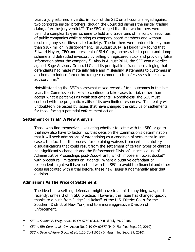year, a jury returned a verdict in favor of the SEC on all counts alleged against two corporate insider brothers, though the Court did dismiss the insider trading claim, after the jury verdict. $^{63}$  The SEC alleged that the two brothers were behind a complex 13-year scheme to hold and trade tens of millions of securities of public companies while serving as company board members and without disclosing any securities-related activity. The brothers were ordered to pay more than \$187 million in disgorgement. In August 2014, a Florida jury found that Edward Hayter, CEO and president of BIH Corp., orchestrated a pump-and-dump scheme and defrauded investors by selling unregistered stock and providing false information about the company. $^{64}$  Also in August 2014, the SEC won a verdict against Sage Advisory Group, LLC and its principal in a fraud case alleging that defendants had made materially false and misleading statements to customers in a scheme to induce former brokerage customers to transfer assets to his new advisory firm.<sup>65</sup>

Notwithstanding the SEC's somewhat mixed record of trial outcomes in the last year, the Commission is likely to continue to take cases to trial, rather than accept what it perceives as weak settlements. Nonetheless, the SEC must contend with the pragmatic reality of its own limited resources. This reality will undoubtedly be tested by issues that have changed the calculus of settlements for those facing a potential enforcement action.

#### **Settlement or Trial? A New Analysis**

Those who find themselves evaluating whether to settle with the SEC or go to trial now also have to factor into that decision the Commission's determination that it will seek admissions of wrongdoing as a condition of settlement in some cases; the fact that the process for obtaining waivers from certain statutory disqualifications that could result from the settlement of certain types of charges has significantly changed; and the Enforcement Division's increased use of Administrative Proceedings post-Dodd-Frank, which impose a "rocket docket" with procedural limitations on litigants. Where a putative defendant or respondent might well have settled with the SEC to avoid the financial and other costs associated with a trial before, these new issues fundamentally alter that decision.

#### **Admissions As The Price of Settlement**

 $\overline{a}$ 

The idea that a settling defendant might have to admit to anything was, until recently, unheard of in SEC practice. However, this issue has changed quickly, thanks to a push from Judge Jed Rakoff, of the U.S. District Court for the Southern District of New York, and to a more aggressive Division of Enforcement.

 $63$  SEC v. Samuel E. Wyly, et al., 10-CV-5760 (S.D.N.Y filed July 29, 2010).

 $64$  SEC v. BIH Corp. et al., Civil Action No. 2:10-CV-00577 (M.D. Fla. filed Sept. 20, 2010).

 $65$  SEC v. Sage Advisory Group et al., 1:10-CV-11665 (D. Mass. filed Sept. 29, 2010).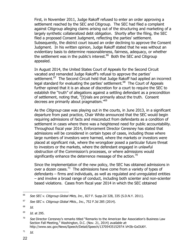First, in November 2011, Judge Rakoff refused to enter an order approving a settlement reached by the SEC and Citigroup. The SEC had filed a complaint against Citigroup alleging claims arising out of the structuring and marketing of a largely synthetic collateralized debt obligation. Shortly after the filing, the SEC filed a proposed Consent Judgment, reflecting the parties' settlement. Subsequently, the district court issued an order declining to approve the Consent Judgment. In his written opinion, Judge Rakoff stated that he was without an evidentiary basis to determine reasonableness, fairness, adequacy, or whether the settlement was in the public's interest.<sup>66</sup> Both the SEC and Citigroup appealed.

In August 2014, the United States Court of Appeals for the Second Circuit vacated and remanded Judge Rakoff's refusal to approve the parties' settlement.<sup>67</sup> The Second Circuit held that Judge Rakoff had applied an incorrect legal standard for evaluating the parties' settlement.<sup>68</sup> The Court of Appeals further opined that it is an abuse of discretion for a court to require the SEC to establish the "truth" of allegations against a settling defendant as a precondition of settlement, noting that, "[t]rials are primarily about the truth. Consent decrees are primarily about pragmatism."<sup>69</sup>

As the Citigroup case was playing out in the courts, in June 2013, in a significant departure from past practice, Chair White announced that the SEC would begin requiring admissions of facts and misconduct from defendants as a condition of settlement in cases where there was a heightened need for public accountability. Throughout fiscal year 2014, Enforcement Director Ceresney has stated that admissions will be considered in certain types of cases, including those where large numbers of investors were harmed, where the markets or investors were placed at significant risk, where the wrongdoer posed a particular future threat to investors or the markets, where the defendant engaged in unlawful obstruction of the Commission's processes, or where admissions would significantly enhance the deterrence message of the action.<sup>70</sup>

Since the implementation of the new policy, the SEC has obtained admissions in over a dozen cases.<sup>71</sup> The admissions have come from a variety of types of defendants – firms and individuals, as well as regulated and unregulated entities – and involve a broad range of conduct, including both scienter and non-scienter based violations. Cases from fiscal year 2014 in which the SEC obtained

<sup>&</sup>lt;sup>66</sup> See SEC v. Citigroup Global Mkts, Inc., 827 F. Supp.2d 328, 335 (S.D.N.Y. 2011).

 $67$  See SEC v. Citigroup Global Mkts., Inc., 752 F.3d 285 (2014).

 $^{68}$  Id.

 $^{69}$  *Id.* at 295.

 $70$  See Director Ceresney's remarks titled "Remarks to the American Bar Association's Business Law Section Fall Meeting," Washington, D.C. (Nov. 21, 2014) available at: http://www.sec.gov/News/Speech/Detail/Speech/1370543515297#.VH3b-GxOU6Y.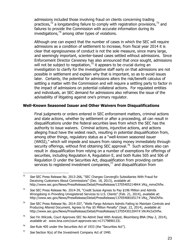admissions included those involving fraud on clients concerning trading practices, $72$  a longstanding failure to comply with registration provisions,  $73$  and failures to provide the Commission with accurate information during its investigations, $^{74}$  among other types of violations.

Although one can expect that the number of cases in which the SEC will require admissions as a condition of settlement to increase, from fiscal year 2014 it is clear that egregiousness of conduct is not the sole measure, since many large, and seemingly important, scienter-based cases settled without admissions. Since Enforcement Director Ceresney has also announced that once sought, admissions will not be subject to negotiation, $75$  it appears to be crucial during an investigation to clarify for the investigative staff early on that admissions are not possible in settlement and explain why that is important, so as to avoid issues later. Certainly, the potential for admissions alters the risk/benefit calculus of settling a matter with the Commission and will require a settling party to factor in the impact of admissions on potential collateral actions. For regulated entities and individuals, an SEC demand for admissions also reframes the issue of the advisability of litigating against one's primary regulator.

#### **Well-Known Seasoned Issuer and Other Waivers from Disqualifications**

Final judgments or orders entered in SEC enforcement matters, criminal actions and state actions, whether by settlement or after a proceeding, all can result in disqualifications under the federal securities laws from which the SEC has the authority to issue waivers. Criminal actions, injunctive actions, and actions alleging fraud have the widest reach, resulting in potential disqualification from, among other things, regulatory status as a "well-known seasoned issuer (WKSI)," which will impede and issuers from raising money immediately through security offerings, without first obtaining SEC approval.<sup>76</sup> Such actions also can result in disqualification from relying on a number of exemptions for offerings of securities, including Regulation A, Regulation E, and both Rules 505 and 506 of Regulation D under the Securities Act, disqualification from providing certain services to registered investment companies,<sup>77</sup> and disqualification from

 $72$  See SEC Press Release No. 2013-266, "SEC Charges ConvergEx Subsidiaries With Fraud for Deceiving Customers About Commissions" (Dec. 18, 2013), available at: http://www.sec.gov/News/PressRelease/Detail/PressRelease/1370540521484#.VKq\_mmxOVfw.

 $73$  See SEC Press Release No. 2014-39, "Credit Suisse Agrees to Pay \$196 Million and Admits Wrongdoing in Providing Unregistered Services to U.S. Clients" (Feb. 21, 2014), available at: http://www.sec.gov/News/PressRelease/Detail/PressRelease/1370540816517#.VKq\_7WxOVfw.

 $74$  See SEC Press Release No. 2014-207, "Wells Fargo Advisors Admits Failing to Maintain Controls and Producing Altered Document, Agrees to Pay \$5 Million Penalty" (Sept. 22, 2014), available at: http://www.sec.gov/News/PressRelease/Detail/PressRelease/1370543012047#.VKrAV2xOVfw.

 $75$  See Yin Wilczek, Court Approves SEC No-Admit Deal With Analyst, Bloomberg BNA (May 2, 2014), available at: www.bna.com/court-approves-sec-n17179890133/.

 $76$  See Rule 405 under the Securities Act of 1933 (the "Securities Act").

 $77$  See Section 9(a) of the Investment Company Act of 1940.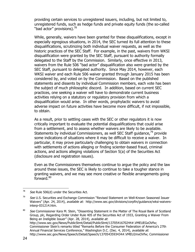providing certain services to unregistered issuers, including, but not limited to, unregistered funds, such as hedge funds and private equity funds (the so-called "bad actor" provisions).<sup>78</sup>

While, generally, waivers have been granted for these disqualifications, except in especially egregious situations, in 2014, the SEC turned its full attention to these disqualifications, scrutinizing both individual waiver requests, as well as the historic practices of the SEC Staff. For example, in the past, waivers from WKSI disqualification were granted by the SEC Staff, pursuant to authority formally delegated to the Staff by the Commission. Similarly, once effective in 2013, waivers from the Rule 506 "bad actor" disqualification also were granted by the SEC Staff, pursuant to delegated authority. Since May 2014, however, each WKSI waiver and each Rule 506 waiver granted through January 2015 has been considered by, and voted on by the Commission. Based on the published statements and dissents by individual Commission members, each vote has been the subject of much philosophic discord. In addition, based on current SEC practices, one seeking a waiver will have to demonstrate current business activities relying on a statutory or regulatory provision from which a disqualification would arise. In other words, prophylactic waivers to avoid adverse impact on future activities have become more difficult, if not impossible, to obtain.

As a result, prior to settling cases with the SEC or other regulators it is now critically important to evaluate the potential disqualifications that could arise from a settlement, and to assess whether waivers are likely to be available. Statements by individual Commissioners, as well SEC Staff guidance,<sup>79</sup> provide some indications of situations where it may be difficult to receive a waiver. In particular, it may prove particularly challenging to obtain waivers in connection with settlements of actions alleging or finding scienter-based fraud, criminal actions, and actions alleging violations of Section 5(a) of the Securities Act (disclosure and registration issues).

Even as the Commissioners themselves continue to argue the policy and the law around these issues, the SEC is likely to continue to take a tougher stance in granting waivers, and we may see more creative or flexible arrangements going forward.<sup>80</sup>

 $78$  See Rule 506(d) under the Securities Act.

 $79$  See U.S. Securities and Exchange Commission "Revised Statement on Well-Known Seasoned Issuer Waivers" (Apr. 24, 2014), *available at:* http://www.sec.gov/divisions/corpfin/guidance/wksi-waiversinterp-031214.htm.

<sup>&</sup>lt;sup>80</sup> See Commissioner Kara M. Stein, "Dissenting Statement in the Matter of The Royal Bank of Scotland Group, plc, Regarding Order Under Rule 405 of the Securities Act of 1933, Granting a Waiver From Being an Ineligible Issuer" (Apr. 28, 2014), available at: http://www.sec.gov/News/PublicStmt/Detail/PublicStmt/1370541670244#.VMEUEGxOVfw; Commissioner Stein's remarks titled "Remarks Before the Consumer Federation of America's 27th Annual Financial Services Conference," Washington D.C. (Dec. 4, 2014), available at: http://www.sec.gov/News/Speech/Detail/Speech/1370543593434#.VMEU2mxOVfw; Commissioner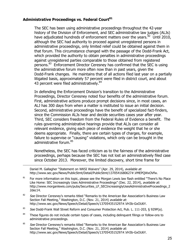# **Administrative Proceedings vs. Federal Court<sup>81</sup>**

The SEC has been using administrative proceedings throughout the 42-year history of the Division of Enforcement, and SEC administrative law judges (ALJs) have adjudicated hundreds of enforcement matters over the years. $^{82}$  Until 2010, although the SEC had authority to proceed against unregistered persons in administrative proceedings, only limited relief could be obtained against them in that forum. This circumstance changed with the passage of the Dodd-Frank Act, which provided the authority to obtain penalties in administrative proceedings against unregistered parties comparable to those obtained from registered persons.<sup>83</sup> Enforcement Director Ceresney has confirmed that the SEC is using the administrative forum more often now than in past years, given the Dodd-Frank changes. He maintains that of all actions filed last year on a partially litigated basis, approximately 57 percent were filed in district court, and about 43 percent were filed administratively.<sup>84</sup>

In defending the Enforcement Division's transition to the Administrative Proceedings, Director Ceresney noted four benefits of the administrative forum. First, administrative actions produce prompt decisions since, in most cases, an ALJ has 300 days from when a matter is instituted to issue an initial decision. Second, administrative proceedings have the benefit of specialized fact-finders, since the Commission ALJs hear and decide securities cases year after year. Third, SEC considers freedom from the Federal Rules of Evidence a benefit. The rules governing administrative hearings provide that ALJs can consider all relevant evidence, giving each piece of evidence the weight that he or she deems appropriate. Finally, there are certain types of charges, for example, failure to supervise or "causing" violations, which only can be brought in the administrative forum. 85

Nonetheless, the SEC has faced criticism as to the fairness of the administrative proceedings, perhaps because the SEC has not lost an administratively filed case since October 2013. Moreover, the limited discovery, short time frame for

Daniel M. Gallagher "Statement on WKSI Waivers" (Apr. 29, 2014), available at: http://www.sec.gov/News/PublicStmt/Detail/PublicStmt/1370541680627#.VMEPQWxOVfw.

- $81$  For more information on this topic, please see the Morgan Lewis law flash entitled "There's No Place Like Home: SEC Increasingly Uses Administrative Proceedings" (Dec. 22, 2014), available at: http://www.morganlewis.com/pubs/Securities\_LF\_SECIncreasinglyUsesAdministrativeProceedings\_2 2dec14.
- $82$  See Director Ceresney's remarks titled "Remarks to the American Bar Association's Business Law Section Fall Meeting," Washington, D.C. (Nov. 21, 2014) available at: http://www.sec.gov/News/Speech/Detail/Speech/1370543515297#.VH3b-GxOU6Y.
- 83 See Dodd-Frank Wall Street Reform and Consumer Protection Act, Pub. L. 111-203, § 929P(a).
- <sup>84</sup> These figures do not include certain types of cases, including delinguent filings or follow-ons to administrative proceedings.
- <sup>85</sup> See Director Ceresney's remarks titled "Remarks to the American Bar Association's Business Law Section Fall Meeting," Washington, D.C. (Nov. 21, 2014) available at: http://www.sec.gov/News/Speech/Detail/Speech/1370543515297#.VH3b-GxOU6Y.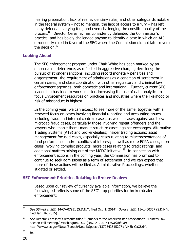hearing preparation, lack of real evidentiary rules, and other safeguards notable in the federal system  $-$  not to mention, the lack of access to a jury  $-$  has left many defendants crying foul, and even challenging the constitutionality of the process.<sup>86</sup> Director Ceresney has consistently defended the Commission's practice, and has boldly challenged anyone to identify a case in which an ALJ erroneously ruled in favor of the SEC where the Commission did not later reverse the decision.<sup>87</sup>

#### **Looking Ahead**

The SEC enforcement program under Chair White has been marked by an emphasis on deterrence, as reflected in aggressive charging decisions; the pursuit of stronger sanctions, including record monetary penalties and disgorgement; the requirement of admissions as a condition of settlement in certain cases; and close coordination with other regulatory and criminal law enforcement agencies, both domestic and international. Further, current SEC leadership has tried to work smarter, increasing the use of data analytics to focus Enforcement resources on practices and industries where the likelihood or risk of misconduct is highest.

In the coming year, we can expect to see more of the same, together with a renewed focus on cases involving financial reporting and accounting issues, including fraud and internal controls cases, as well as cases against auditors; microcap fraud cases, particularly those involving repeat offenders and the lawyers who enable them; market structure cases against exchanges, Alternative Trading Systems (ATS) and broker-dealers; insider trading actions; asset management focused cases, especially cases relating to misrepresentations of fund performance and/or conflicts of interest; as well as more FCPA cases, more cases involving complex products, more cases relating to credit ratings, and additional matters arising out of the MCDC initiative.<sup>88</sup> In connection with enforcement actions in the coming year, the Commission has promised to continue to seek admissions as a term of settlement and we can expect that more of these actions will be filed as Administrative Proceedings, whether litigated or settled.

#### **SEC Enforcement Priorities Relating to Broker-Dealers**

Based upon our review of currently available information, we believe the following list reflects some of the SEC's top priorities for broker-dealer enforcement:

 $88$  Id.

<sup>86</sup> See Stilwell v. SEC, 14-CV-07931 (S.D.N.Y. filed Oct. 1, 2014); Duka v. SEC, 15-cv-00357 (S.D.N.Y. filed Jan. 16, 2015).

<sup>&</sup>lt;sup>87</sup> See Director Ceresney's remarks titled "Remarks to the American Bar Association's Business Law Section Fall Meeting," Washington, D.C. (Nov. 21, 2014) available at: http://www.sec.gov/News/Speech/Detail/Speech/1370543515297#.VH3b-GxOU6Y.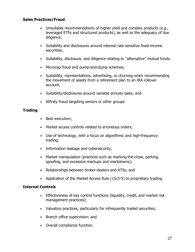# **Sales Practices/Fraud**

- Unsuitable recommendations of higher yield and complex products (e.g., leveraged ETFs and structured products), as well as the adequacy of due diligence;
- Suitability and disclosures around interest rate sensitive fixed income securities;
- Suitability, disclosure, and diligence relating to "alternative" mutual funds;
- Microcap fraud and pump-and-dump schemes;
- Suitability, representations, advertising, or churning when recommending the movement of assets from a retirement plan to an IRA rollover account;
- Suitability/disclosures around variable annuity sales; and
- Affinity fraud targeting seniors or other groups.

#### **Trading**

- Best execution;
- Market access controls related to erroneous orders;
- Use of technology, with a focus on algorithmic and high-frequency trading;
- Information leakage and cybersecurity;
- Market manipulation (practices such as marking-the-close, parking, spoofing, and excessive markups and markdowns);
- Relationships between broker-dealers and ATSs; and
- Application of the Market Access Rule (15c3-5) to proprietary trading.

#### **Internal Controls**

- **Effectiveness of key control functions (liquidity, credit, and market risk** management practices);
- Valuation practices, particularly for infrequently traded securities;
- Branch office supervision; and
- Overall compliance function.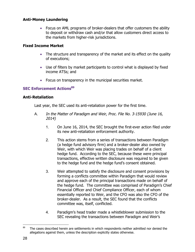# **Anti-Money Laundering**

• Focus on AML programs of broker-dealers that offer customers the ability to deposit or withdraw cash and/or that allow customers direct access to the markets from higher-risk jurisdictions.

# **Fixed Income Market**

- The structure and transparency of the market and its effect on the quality of executions;
- Use of filters by market participants to control what is displayed by fixed income ATSs; and
- Focus on transparency in the municipal securities market.

# **SEC Enforcement Actions<sup>89</sup>**

#### **Anti-Retaliation**

Last year, the SEC used its anti-retaliation power for the first time.

- A. In the Matter of Paradigm and Weir, Proc. File No. 3-15930 (June 16, 2014)
	- 1. On June 16, 2014, the SEC brought the first-ever action filed under its new anti-retaliation enforcement authority.
	- 2. This action stems from a series of transactions between Paradigm (a hedge fund advisory firm) and a broker-dealer also owned by Weir, with which Weir was placing trades on behalf of a client hedge fund. According to the SEC, because these were principal transactions, effective written disclosure was required to be given to the hedge fund and the hedge fund's consent obtained.
	- 3. Weir attempted to satisfy the disclosure and consent provisions by forming a conflicts committee within Paradigm that would review and approve each of the principal transactions made on behalf of the hedge fund. The committee was comprised of Paradigm's Chief Financial Officer and Chief Compliance Officer, each of whom essentially reported to Weir, and the CFO was also the CFO of the broker-dealer. As a result, the SEC found that the conflicts committee was, itself, conflicted.
	- 4. Paradigm's head trader made a whistleblower submission to the SEC revealing the transactions between Paradigm and Weir's

 $\overline{a}$  $89$  The cases described herein are settlements in which respondents neither admitted nor denied the allegations against them, unless the description explicitly states otherwise.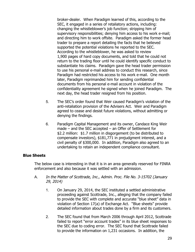broker-dealer. When Paradigm learned of this, according to the SEC, it engaged in a series of retaliatory actions, including: changing the whistleblower's job function; stripping him of supervisory responsibilities; denying him access to his work e-mail; and directing him to work offsite. Paradigm asked the former head trader to prepare a report detailing the facts that he believed supported the potential violations he reported to the SEC. According to the whistleblower, he was asked to review 1,900 pages of hard copy documents, and told that he could not return to the trading floor until he could identify specific conduct to substantiate his claims. Paradigm gave the head trader permission to use his personal e-mail address to conduct this research, since Paradigm had restricted his access to his work e-mail. One month later, Paradigm reprimanded him for sending confidential documents from his personal e-mail account in violation of the confidentiality agreement he signed when he joined Paradigm. The next day, the head trader resigned from his position.

- 5. The SEC's order found that Weir caused Paradigm's violation of the anti-retaliation provision of the Advisers Act. Weir and Paradigm agreed to cease and desist future violations, without admitting or denying the findings.
- 6. Paradigm Capital Management and its owner, Candace King Weir made – and the SEC accepted – an Offer of Settlement for \$2.2 million: \$1.7 million in disgorgement (to be distributed to compensate investors), \$181,771 in prejudgment interest, and a civil penalty of \$300,000. In addition, Paradigm also agreed to an undertaking to retain an independent compliance consultant.

#### **Blue Sheets**

The below case is interesting in that it is in an area generally reserved for FINRA enforcement and also because it was settled with an admission.

- A. In the Matter of Scottrade, Inc., Admin. Proc. File No. 3-15702 (January 29, 2014)
	- 1. On January 29, 2014, the SEC instituted a settled administrative proceeding against Scottrade, Inc., alleging that the company failed to provide the SEC with complete and accurate "blue sheet" data in violation of Section 17(a) of Exchange Act. "Blue sheets" provide detailed information about trades done by a firm and its customers.
	- 2. The SEC found that from March 2006 through April 2012, Scottrade failed to report "error account trades" in its blue sheet responses to the SEC due to coding error. The SEC found that Scottrade failed to provide the information on 1,231 occasions. In addition, the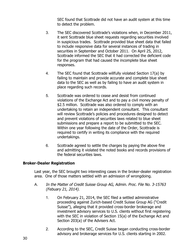SEC found that Scottrade did not have an audit system at this time to detect the problem.

- 3. The SEC discovered Scottrade's violations when, in December 2011, it sent Scottrade blue sheet requests regarding securities involved in suspicious trades. Scottrade provided blue sheet data that failed to include responsive data for several instances of trading in securities in September and October 2011. On April 25, 2012, Scottrade informed the SEC that it had corrected the deficient code for the program that had caused the incomplete blue sheet responses.
- 4. The SEC found that Scottrade willfully violated Section 17(a) by failing to maintain and provide accurate and complete blue sheet data to the SEC as well as by failing to have an audit system in place regarding such records.
- 5. Scottrade was ordered to cease and desist from continued violations of the Exchange Act and to pay a civil money penalty of \$2.5 million. Scottrade was also ordered to comply with an undertaking to retain an independent consultant. This consultant will review Scottrade's policies and procedures designed to detect and prevent violations of securities laws related to blue sheet submissions and prepare a report to be submitted to the SEC. Within one year following the date of the Order, Scottrade is required to certify in writing its compliance with the required undertakings.
- 6. Scottrade agreed to settle the charges by paying the above fine and admitting it violated the noted books and records provisions of the federal securities laws.

# **Broker-Dealer Registration**

Last year, the SEC brought two interesting cases in the broker-dealer registration area. One of those matters settled with an admission of wrongdoing.

- A. In the Matter of Credit Suisse Group AG, Admin. Proc. File No. 3-15763 (Febuary 21, 2014).
	- 1. On February 21, 2014, the SEC filed a settled administrative proceeding against Zurich-based Credit Suisse Group AG ("Credit Suisse"), alleging that it provided cross-border brokerage and investment advisory services to U.S. clients without first registering with the SEC in violation of Section 15(a) of the Exchange Act and Section 203(a) of the Advisers Act.
	- 2. According to the SEC, Credit Suisse began conducting cross-border advisory and brokerage services for U.S. clients starting in 2002.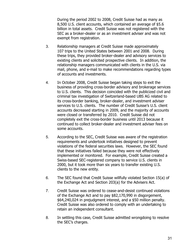During the period 2002 to 2008, Credit Suisse had as many as 8,500 U.S. client accounts, which contained an average of \$5.6 billion in total assets. Credit Suisse was not registered with the SEC as a broker-dealer or as an investment adviser and was not exempt from registration.

- 3. Relationship managers at Credit Suisse made approximately 107 trips to the United States between 2001 and 2008. During these trips, they provided broker-dealer and advisory services to existing clients and solicited prospective clients. In addition, the relationship managers communicated with clients in the U.S. via mail, phone, and e-mail to make recommendations regarding types of accounts and investments.
- 4. In October 2008, Credit Suisse began taking steps to exit the business of providing cross-border advisory and brokerage services to U.S. clients. This decision coincided with the publicized civil and criminal tax investigation of Switzerland-based UBS AG related to its cross-border banking, broker-dealer, and investment adviser services to U.S. clients. The number of Credit Suisse's U.S. client accounts decreased starting in 2009, and the majority of accounts were closed or transferred by 2010. Credit Suisse did not completely exit the cross-border business until 2013 because it continued to collect broker-dealer and investment adviser fees on some accounts.
- 5. According to the SEC, Credit Suisse was aware of the registration requirements and undertook initiatives designed to prevent violations of the federal securities laws. However, the SEC found that these initiatives failed because they were not effectively implemented or monitored. For example, Credit Suisse created a Swiss-based SEC-registered company to service U.S. clients in 2000, but it took more than six years to transfer existing U.S. clients to the new entity.
- 6. The SEC found that Credit Suisse willfully violated Section 15(a) of the Exchange Act and Section 203(a) for the Advisers Act.
- 7. Credit Suisse was ordered to cease-and-desist continued violations of the Exchange Act and to pay \$82,170,990 in disgorgement, \$64,240,024 in prejudgment interest, and a \$50 million penalty. Credit Suisse was also ordered to comply with an undertaking to retain an independent consultant.
- 8. In settling this case, Credit Suisse admitted wrongdoing to resolve the SEC's charges.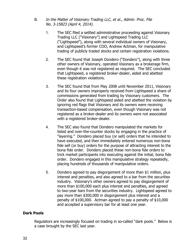- B. In the Matter of Visionary Trading LLC, et al., Admin. Proc. File No. 3-15823 (April 4, 2014).
	- 1. The SEC filed a settled administrative proceeding against Visionary Trading LLC ("Visionary") and Lightspeed Trading LLC ("Lightspeed"), along with several individual owners of Visionary, and Lightspeed's former COO, Andrew Actman, for manipulative trading of publicly traded stocks and certain registration violations.
	- 2. The SEC found that Joseph Dondero ("Dondero"), along with three other owners of Visionary, operated Visionary as a brokerage firm, even though it was not registered as required. The SEC concluded that Lightspeed, a registered broker-dealer, aided and abetted these registration violations.
	- 3. The SEC found that from May 2008 until November 2011, Visionary and its four owners improperly received from Lightspeed a share of commissions generated from trading by Visionary customers. The Order also found that Lightspeed aided and abetted the violation by ignoring red flags that Visionary and its owners were receiving transaction-based compensation, even though Visionary was not registered as a broker-dealer and its owners were not associated with a registered broker-dealer.
	- 4. The SEC also found that Dondero manipulated the markets for listed and over-the-counter stocks by engaging in the practice of "layering." Dondero placed buy (or sell) orders that he intended to have executed, and then immediately entered numerous non-bona fide sell (or buy) orders for the purpose of attracting interest to the bona fide order. Dondero placed these non-bona fide orders to trick market participants into executing against the initial, bona fide order. Dondero engaged in this manipulative strategy repeatedly, placing hundreds of thousands of manipulative orders.
	- 5. Dondero agreed to pay disgorgement of more than \$1 million, plus interest and penalties, and also agreed to a bar from the securities industry. Visionary's other owners agreed to pay disgorgement of more than \$100,000 each plus interest and penalties, and agreed to two-year bars from the securities industry. Lightspeed agreed to pay more than \$300,000 in disgorgement plus interest and a penalty of \$100,000. Actman agreed to pay a penalty of \$10,000 and accepted a supervisory bar for at least one year.

#### **Dark Pools**

Regulators are increasingly focused on trading in so-called "dark pools." Below is a case brought by the SEC last year.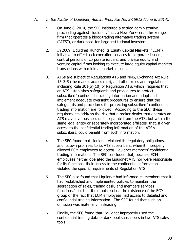- A. In the Matter of Liquidnet, Admin. Proc. File No. 3-15912 (June 6, 2014).
	- 1. On June 6, 2014, the SEC instituted a settled administrative proceeding against Liquidnet, Inc., a New York-based brokerage firm that operates a block-trading alternative trading system ("ATS"), or dark pool, for large institutional investors.
	- 2. In 2009, Liquidnet launched its Equity Capital Markets ("ECM") initiative to offer block execution services to corporate issuers, control persons of corporate issuers, and private equity and venture capital firms looking to execute large equity capital markets transactions with minimal market impact.
	- 3. ATSs are subject to Regulations ATS and NMS, Exchange Act Rule 15c3-5 (the market access rule), and other rules and regulations including Rule 301(b)(10) of Regulation ATS, which requires that an ATS establishes safeguards and procedures to protect subscribers' confidential trading information and adopt and implement adequate oversight procedures to ensure that the safeguards and procedures for protecting subscribers' confidential trading information are followed. According to the SEC, these requirements address the risk that a broker-dealer that operates an ATS may have business units separate from the ATS, but within the same legal entity or separately incorporated affiliates, that, if given access to the confidential trading information of the ATS's subscribers, could benefit from such information.
	- 4. The SEC found that Liquidnet violated its regulatory obligations, and its own promises to its ATS subscribers, when it improperly allowed ECM employees to access Liquidnet members' confidential trading information. The SEC concluded that, because ECM employees neither operated the Liquidnet ATS nor were responsible for its functions, their access to the confidential information violated the specific requirements of Regulation ATS.
	- 5. The SEC also found that Liquidnet had informed its members that it had "established and implemented policies to maintain the segregation of sales, trading desk, and members services functions," but that it did not disclose the existence of the ECM group or the fact that ECM employees had access to detailed and confidential trading information. The SEC found that such an omission was materially misleading.
	- 6. Finally, the SEC found that Liquidnet improperly used the confidential trading data of dark pool subscribers in two ATS sales tools.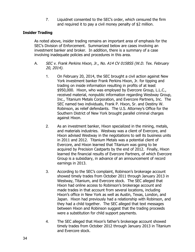7. Liquidnet consented to the SEC's order, which censured the firm and required it to pay a civil money penalty of \$2 million.

## **Insider Trading**

As noted above, insider trading remains an important area of emphasis for the SEC's Division of Enforcement. Summarized below are cases involving an investment banker and broker. In addition, there is a summary of a case involving inadequate policies and procedures in this area.

- A. SEC v. Frank Perkins Hixon, Jr., No. A14 CV 0158SS (W.D. Tex. February 20, 2014).
	- 1. On February 20, 2014, the SEC brought a civil action against New York investment banker Frank Perkins Hixon, Jr. for tipping and trading on inside information resulting in profits of at least \$950,000. Hixon, who was employed by Evercore Group, L.L.C., received material, nonpublic information regarding Westway Group, Inc., Titanium Metals Corporation, and Evercore Partners, Inc. The SEC named two individuals, Frank P. Hixon, Sr. and Destiny W. Robinson, as relief defendants. The U.S. Attorney's Office for the Southern District of New York brought parallel criminal charges against Hixon.
	- 2. As an investment banker, Hixon specialized in the mining, metals, and materials industries. Westway was a client of Evercore, and Hixon advised Westway in the negotiations to sell its business units in 2011 and 2012. Titanium Metals was a potential client of Evercore, and Hixon learned that Titanium was going to be acquired by Precision Castparts by the end of 2012. Finally, Hixon learned the financial results of Evercore Partners, of which Evercore Group is a subsidiary, in advance of an announcement of record earnings in 2013.
	- 3. According to the SEC's complaint, Robinson's brokerage account showed timely trades from October 2011 through January 2013 in Westway, Titanium, and Evercore stock. The SEC alleged that Hixon had online access to Robinson's brokerage account and made trades in that account from several locations, including Hixon's office in New York as well as Austin, Texas, London, and Japan. Hixon had previously had a relationship with Robinson, and they had a child together. The SEC alleged that text messages between Hixon and Robinson suggest that the trading proceeds were a substitution for child support payments.
	- 4. The SEC alleged that Hixon's father's brokerage account showed timely trades from October 2012 through January 2013 in Titanium and Evercore stock.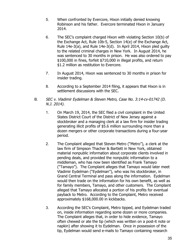- 5. When confronted by Evercore, Hixon initially denied knowing Robinson and his father. Evercore terminated Hixon in January 2014.
- 6. The SEC's complaint charged Hixon with violating Section 10(b) of the Exchange Act, Rule 10b-5, Section 14(e) of the Exchange Act, Rule 14e-3(a), and Rule 14e-3(d). In April 2014, Hixon pled guilty to the related criminal charges in New York. In August 2014, he was sentenced to 30 months in prison. He was also ordered to pay \$100,000 in fines, forfeit \$710,000 in illegal profits, and return \$1.2 million as restitution to Evercore.
- 7. In August 2014, Hixon was sentenced to 30 months in prison for insider trading.
- 8. According to a September 2014 filing, it appears that Hixon is in settlement discussions with the SEC.
- B. SEC v. Vladimir Eydelman & Steven Metro, Case No. 3:14-cv-01742 (D. N.J. 2014).
	- 1. On March 19, 2014, the SEC filed a civil complaint in the United States District Court of the District of New Jersey against a stockbroker and a managing clerk at a law firm for insider trading generating illicit profits of \$5.6 million surrounding more than a dozen mergers or other corporate transactions during a four-year period.
	- 2. The Complaint alleged that Steven Metro ("Metro"), a clerk at the law firm of Simpson Thacher & Bartlett in New York, obtained material nonpublic information about corporate clients involved in pending deals, and provided the nonpublic information to a middleman, who has now been identified as Frank Tamayo ("Tamayo"). The Complaint alleges that Tamayo would later meet Vladimir Eydelman ("Eydelman"), who was his stockbroker, in Grand Central Terminal and pass along the information. Eydelman would then trade on the information for his own benefit, as well as for family members, Tamayo, and other customers. The Complaint alleged that Tamayo allocated a portion of his profits for eventual payback to Metro. According to the Complaint, Metro received approximately \$168,000.00 in kickbacks.
	- 3. According the SEC's Complaint, Metro tipped, and Eydelman traded on, inside information regarding some dozen or more companies. The Complaint alleges that, in order to hide evidence, Tamayo often chewed or ate the tip (which was written on a post-it note or napkin) after showing it to Eydelman. Once in possession of the tip, Eydelman would send e-mails to Tamayo containing research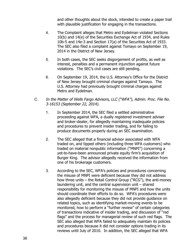and other thoughts about the stock, intended to create a paper trail with plausible justification for engaging in the transactions.

- 4. The Complaint alleges that Metro and Eydelman violated Sections 10(b) and 14(e) of the Securities Exchange Act of 1934, and Rules 10b-5 and 14e-3 and Section 17(a) of the Securities Act of 1933. The SEC also filed a complaint against Tomayo on September 19, 2014 in the District of New Jersey.
- 5. In both cases, the SEC seeks disgorgement of profits, as well as interest, penalties and a permanent injunction against future violations. The SEC's civil cases are still pending.
- 6. On September 19, 2014, the U.S. Attorney's Office for the District of New Jersey brought criminal charges against Tamayo. The U.S. Attorney had previously brought criminal charges against Metro and Eydelman.
- C. In the Matter of Wells Fargo Advisors, LLC ("WFA"), Admin. Proc. File No. 3-16153 (September 22, 2014).
	- 1. In September 2014, the SEC filed a settled administrative proceeding against WFA, a dually registered investment adviser and broker-dealer, for allegedly maintaining inadequate policies and procedures to prevent insider trading, and for failing to produce documents properly during an SEC examination.
	- 2. The SEC alleged that a financial advisor associated with WFA traded on, and tipped others (including three WFA customers) who traded on material nonpublic information ("MNPI") concerning a yet-to-have-been announced private equity firm's acquisition of Burger King. The advisor allegedly received the information from one of his brokerage customers.
	- 3. According to the SEC, WFA's policies and procedures concerning the misuse of MNPI were deficient because they did not address how three units – the Retail Control Group ("RCG"), the anti-money laundering unit, and the central supervision unit – shared responsibility for monitoring the misuse of MNPI and how the units should coordinate their efforts to do so. WFA's procedures were also allegedly deficient because they did not provide guidance on related topics, such as identifying market-moving events to be monitored, how to perform a "further review" of certain categories of transactions indicative of insider trading, and discussion of "red flags" and the process for managerial review of such red flags. The SEC also alleged that WFA failed to adequately maintain its policies and procedures because it did not consider options trading in its reviews until July of 2010. In addition, the SEC alleged that WFA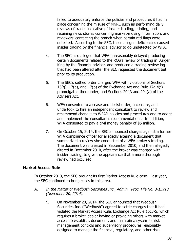failed to adequately enforce the policies and procedures it had in place concerning the misuse of MNPI, such as performing daily reviews of trades indicative of insider trading, printing, and retaining news stories concerning market-moving information, and reviewers' contacting the branch when certain red flags were detected. According to the SEC, these alleged deficiencies caused insider trading by the financial advisor to go undetected by WFA.

- 4. The SEC also alleged that WFA unreasonably delayed producing certain documents related to the RCG's review of trading in Burger King by the financial advisor, and produced a trading review log that had been altered after the SEC requested the document but prior to its production.
- 5. The SEC's settled order charged WFA with violations of Sections 15(g), 17(a), and 17(b) of the Exchange Act and Rule 17a-4(j) promulgated thereunder, and Sections 204A and 204(a) of the Advisers Act.
- 6. WFA consented to a cease and desist order, a censure, and undertook to hire an independent consultant to review and recommend changes to WFA's policies and procedures and to adopt and implement the consultant's recommendations. In addition, WFA consented to pay a civil money penalty of \$5 million.
- 7. On October 15, 2014, the SEC announced charges against a former WFA compliance officer for allegedly altering a document that summarized a review she conducted of a WFA broker's trading. The document was created in September 2010, and then allegedly altered in December 2010, after the broker was charged with insider trading, to give the appearance that a more thorough review had occurred.

## **Market Access Rule**

In October 2013, the SEC brought its first Market Access Rule case. Last year, the SEC continued to bring cases in this area.

- A. In the Matter of Wedbush Securities Inc., Admin. Proc. File No. 3-15913 (November 20, 2014).
	- 1. On November 20, 2014, the SEC announced that Wedbush Securities Inc. ("Wedbush") agreed to settle charges that it had violated the Market Access Rule, Exchange Act Rule 15c3-5, which requires a broker-dealer having or providing others with market access to establish, document, and maintain a system of risk management controls and supervisory procedures reasonably designed to manage the financial, regulatory, and other risks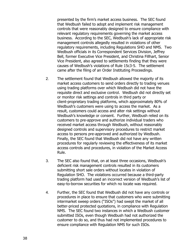presented by the firm's market access business. The SEC found that Wedbush failed to adopt and implement risk management controls that were reasonably designed to ensure compliance with relevant regulatory requirements governing the market access business. According to the SEC, Wedbush's lack of appropriate risk management controls allegedly resulted in violations of other regulatory requirements, including Regulations SHO and NMS. Two Wedbush officials in its Correspondent Services Division, Jeffrey Bell, former Executive Vice President, and Christina Fillhart, Senior Vice President, also agreed to settlements finding that they were causes of Wedbush's violations of Rule 15c3-5. The settlement came after the filing of an Order Instituting Proceedings.

- 2. The settlement found that Wedbush allowed the majority of its market access customers to send orders directly to trading venues using trading platforms over which Wedbush did not have the requisite direct and exclusive control. Wedbush did not directly set or monitor risk settings and controls in third party or client-proprietary trading platforms, which approximately 80% of Wedbush's customers were using to access the market. As a result, customers could access and alter risk settings without Wedbush's knowledge or consent. Further, Wedbush relied on its customers to pre-approve and authorize individual traders who received market access through Wedbush, without reasonably designed controls and supervisory procedures to restrict market access to persons pre-approved and authorized by Wedbush. Finally, the SEC found that Wedbush did not have any written procedures for regularly reviewing the effectiveness of its market access controls and procedures, in violation of the Market Access Rule.
- 3. The SEC also found that, on at least three occasions, Wedbush's deficient risk management controls resulted in its customers submitting short sale orders without locates in violation of Regulation SHO. The violations occurred because a third-party trading platform had used an incorrect version of Wedbush's list of easy-to-borrow securities for which no locate was required.
- 4. Further, the SEC found that Wedbush did not have any controls or procedures in place to ensure that customers who were submitting intermarket sweep orders ("ISOs") had swept the market of all better-priced protected quotations, in compliance with Regulation NMS. The SEC found two instances in which a Wedbush customer submitted ISOs, even though Wedbush had not authorized the customer to do so, and thus had not implemented procedures to ensure compliance with Regulation NMS for such ISOs.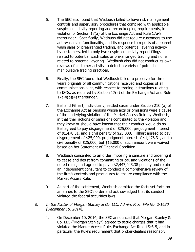- 5. The SEC also found that Wedbush failed to have risk management controls and supervisory procedures that complied with applicable suspicious activity reporting and recordkeeping requirements, in violation of Section 17(a) of the Exchange Act and Rule 17a-8 thereunder. Specifically, Wedbush did not require customers to use anti-wash sale functionality, and its response to reports of apparent wash sales or prearranged trading, and potential layering activity by customers, led to only two suspicious activity report filings related to potential wash sales or pre-arranged trading and none related to potential layering. Wedbush also did not conduct its own reviews of customer activity to detect a variety of potential manipulative trading practices.
- 6. Finally, the SEC found that Wedbush failed to preserve for three years originals of all communications received and copies of all communications sent, with respect to trading instructions relating to ISOs, as required by Section 17(a) of the Exchange Act and Rule 17a-4(b)(4) thereunder.
- 7. Bell and Fillhart, individually, settled cases under Section 21C (a) of the Exchange Act as persons whose acts or omissions were a cause of the underlying violation of the Market Access Rule by Wedbush, in that their actions or omissions contributed to the violation and they knew or should have known that their conduct would do so. Bell agreed to pay disgorgement of \$25,000, prejudgment interest of \$1,478.31, and a civil penalty of \$25,000. Fillhart agreed to pay disgorgement of \$25,000, prejudgment interest of \$1,478.31, and a civil penalty of \$25,000, but \$15,000 of such amount were waived based on her Statement of Financial Condition.
- 8. Wedbush consented to an order imposing a censure and ordering it to cease and desist from committing or causing violations of the noted rules, and agreed to pay a \$2,447,043.38 penalty and retain an independent consultant to conduct a comprehensive review of the firm's controls and procedures to ensure compliance with the Market Access Rule.
- 9. As part of the settlement, Wedbush admitted the facts set forth on an annex to the SEC's order and acknowledged that its conduct violated the federal securities laws.
- B. In the Matter of Morgan Stanley & Co. LLC, Admin. Proc. File No. 2-1630 (December 10, 2014).
	- 1. On December 10, 2014, the SEC announced that Morgan Stanley & Co. LLC ("Morgan Stanley") agreed to settle charges that it had violated the Market Access Rule, Exchange Act Rule 15c3-5, and in particular the Rule's requirement that broker-dealers reasonably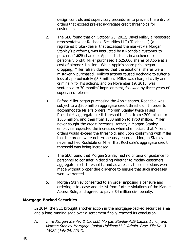design controls and supervisory procedures to prevent the entry of orders that exceed pre-set aggregate credit thresholds for customers.

- 2. The SEC found that on October 25, 2012, David Miller, a registered representative at Rochdale Securities LLC ("Rochdale") (a registered broker-dealer that accessed the market via Morgan Stanley's platform), was instructed by a Rochdale customer to purchase 1,625 shares of Apple. Instead, in a scheme to personally profit, Miller purchased 1,625,000 shares of Apple at a cost of almost \$1 billion. When Apple's share price began dropping, Miller falsely claimed that the additional shares were mistakenly purchased. Miller's actions caused Rochdale to suffer a loss of approximately \$5.3 million. Miller was charged civilly and criminally for his actions, and on November 19, 2013, was sentenced to 30 months' imprisonment, followed by three years of supervised release.
- 3. Before Miller began purchasing the Apple shares, Rochdale was subject to a \$200 million aggregate credit threshold. In order to accommodate Miller's orders, Morgan Stanley twice raised Rochdale's aggregate credit threshold – first from \$200 million to \$500 million, and then from \$500 million to \$750 million. Miller never sought the credit increases; rather, a Morgan Stanley employee requested the increases when she noticed that Miller's orders would exceed the threshold, and upon confirming with Miller that the orders were not erroneously entered. Morgan Stanley never notified Rochdale or Miller that Rochdale's aggregate credit threshold was being increased.
- 4. The SEC found that Morgan Stanley had no criteria or guidance for personnel to consider in deciding whether to modify customers' aggregate credit thresholds, and as a result, these decisions were made without proper due diligence to ensure that such increases were warranted.
- 5. Morgan Stanley consented to an order imposing a censure and ordering it to cease and desist from further violations of the Market Access Rule, and agreed to pay a \$4 million civil penalty.

## **Mortgage-Backed Securities**

In 2014, the SEC brought another action in the mortgage-backed securities area and a long-running saga over a settlement finally reached its conclusion.

A. In re Morgan Stanley & Co. LLC, Morgan Stanley ABS Capital I Inc., and Morgan Stanley Mortgage Capital Holdings LLC, Admin. Proc. File No. 3- 15982 (July 24, 2014).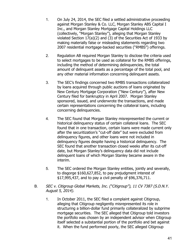- 1. On July 24, 2014, the SEC filed a settled administrative proceeding against Morgan Stanley & Co. LLC, Morgan Stanley ABS Capital I Inc., and Morgan Stanley Mortgage Capital Holdings LLC (collectively, "Morgan Stanley"), alleging that Morgan Stanley violated Section 17(a)(2) and (3) of the Securities Act of 1933 by making materially false or misleading statements regarding two 2007 residential mortgage-backed securities ("RMBS") offerings.
- 2. Regulation AB required Morgan Stanley to disclose the criteria used to select mortgages to be used as collateral for the RMBS offerings, including the method of determining delinquencies, the total amount of delinquent assets as a percentage of the total pool, and any other material information concerning delinquent assets.
- 3. The SEC's findings concerned two RMBS transactions collateralized by loans acquired through public auctions of loans originated by New Century Mortgage Corporation ("New Century"), after New Century filed for bankruptcy in April 2007. Morgan Stanley sponsored, issued, and underwrote the transactions, and made certain representations concerning the collateral loans, including concerning delinquencies.
- 4. The SEC found that Morgan Stanley misrepresented the current or historical delinquency status of certain collateral loans. The SEC found that in one transaction, certain loans were made current only after the securitization's "cut-off date" but were excluded from delinquency figures, and other loans were not included in delinquency figures despite having a historical delinquency. The SEC found that another transaction closed weeks after its cut-off date, but Morgan Stanley's delinquency data did not include delinquent loans of which Morgan Stanley became aware in the interim.
- 5. The SEC ordered the Morgan Stanley entities, jointly and severally, to disgorge \$160,627,852, to pay prejudgment interest of \$17,995,437, and to pay a civil penalty of \$96,376,711.
- B. SEC v. Citigroup Global Markets, Inc. ("Citigroup"), 11 CV 7387 (S.D.N.Y. August 5, 2014).
	- 1. In October 2011, the SEC filed a complaint against Citigroup, alleging that Citigroup negligently misrepresented its role in structuring a billion-dollar fund primarily collateralized by subprime mortgage securities. The SEC alleged that Citigroup told investors the portfolio was chosen by an independent advisor when Citigroup itself selected a substantial portion of the portfolio and bet against it. When the fund performed poorly, the SEC alleged Citigroup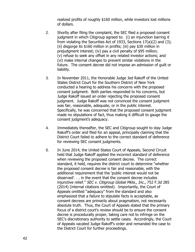realized profits of roughly \$160 million, while investors lost millions of dollars.

- 2. Shortly after filing the complaint, the SEC filed a proposed consent judgment in which Citigroup agreed to: (i) an injunction barring it from violating the Securities Act of 1933, Sections 17(a)(2) and (3); (ii) disgorge its \$160 million in profits; (iii) pay \$30 million in prejudgment interest; (iv) pay a civil penalty of \$95 million; (v) refuse to seek any offset in any related investor actions; and (vi) make internal changes to prevent similar violations in the future. The consent decree did not impose an admission of guilt or liability.
- 3. In November 2011, the Honorable Judge Jed Rakoff of the United States District Court for the Southern District of New York conducted a hearing to address his concerns with the proposed consent judgment. Both parties responded to his concerns, but Judge Rakoff issued an order rejecting the proposed consent judgment. Judge Rakoff was not convinced the consent judgment was fair, reasonable, adequate, or in the public interest. Specifically, he was concerned that the proposed consent judgment made no stipulations of fact, thus making it difficult to gauge the consent judgment's adequacy.
- 4. Immediately thereafter, the SEC and Citigroup sought to stay Judge Rakoff's order and filed for an appeal, principally claiming that the District Court failed to adhere to the correct standard of deference for reviewing SEC consent judgments.
- 5. In June 2014, the United States Court of Appeals, Second Circuit held that Judge Rakoff applied the incorrect standard of deference when reviewing the proposed consent decree. The correct standard, it held, requires the district court to determine "whether the proposed consent decree is fair and reasonable, with the additional requirement that the 'public interest would not be disserved'. . . in the event that the consent decree includes injunctive relief." SEC v. Citigroup Global Mkts., Inc., 752 F.3d 285 (2014) (internal citations omitted). Importantly, the Court of Appeals omitted "adequacy" from the standard and also emphasized that a failure to stipulate facts is acceptable, as consent decrees are primarily about pragmatism, not necessarily absolute truth. Thus, the Court of Appeals stated that the primary focus of a district court's review should be to ensure the consent decree is procedurally proper, taking care not to infringe on the SEC's discretionary authority to settle cases. Accordingly, the Court of Appeals vacated Judge Rakoff's order and remanded the case to the District Court for further proceedings.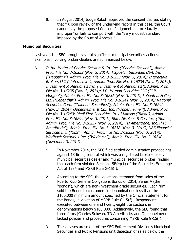6. In August 2014, Judge Rakoff approved the consent decree, stating that "[u]pon review of the underlying record in this case, the Court cannot say the proposed Consent Judgment is procedurally improper" or fails to comport with the "very modest standard imposed by the Court of Appeals."

## **Municipal Securities**

Last year, the SEC brought several significant municipal securities actions. Examples involving broker-dealers are summarized below.

- A. In the Matter of Charles Schwab & Co. Inc. ("Charles Schwab"), Admin. Proc. File No. 3-16232 (Nov. 3, 2014); Hapoalim Securities USA, Inc. ("Hapoalim"), Admin. Proc. File No. 3-16233 (Nov. 3, 2014); Interactive Brokers LLC ("Interactive"), Admin. Proc. File No. 3-16234 (Nov. 3, 2014); Investment Professionals Inc. ("Investment Professionals"), Admin. Proc. File No. 3-16235 (Nov. 3, 2014); J.P. Morgan Securities LLC ("J.P. Morgan"), Admin. Proc. File No. 3-16236 (Nov. 3, 2014); Lebenthal & Co., LLC ("Lebenthal"), Admin. Proc. File No. 3-16241 (Nov. 3, 2014); National Securities Corp. ("National Securities"), Admin. Proc. File No. 3-16242 (Nov. 3, 2014); Oppenheimer & Co., Inc. ("Oppenheimer"), Admin. Proc. File No. 3-16243; Riedl First Securities Co. of Kansas ("Riedl"), Admin. Proc. File No. 3-16244 (Nov. 3, 2014); Stifel Nicolaus & Co., Inc. ("Stifel"), Admin. Proc. File No. 3-16237 (Nov. 3, 2014); TD Ameritrade, Inc. ("TD Ameritrade"), Admin. Proc. File No. 3-16238 (Nov. 3, 2014); UBS Financial Services Inc. ("UBS"), Admin. Proc. File No. 3-16239 (Nov. 3, 2014); Wedbush Securities Inc. ("Wedbush"), Admin. Proc. File No. 3-16240 (November 3, 2014)
	- 1. In November 2014, the SEC filed settled administrative proceedings against 13 firms, each of which was a registered broker-dealer, municipal securities dealer and municipal securities broker, finding that each firm violated Section 15B(c)(1) of the Securities Exchange Act of 1934 and MSRB Rule G-15(f).
	- 2. According to the SEC, the violations stemmed from sales of the Puerto Rico General Obligations Bonds of 2014, Series A (the "Bonds"), which are non-investment grade securities. Each firm sold the Bonds to customers in denominations less than the \$100,000 minimum amount specified by the Official Statement for the Bonds, in violation of MSRB Rule G-15(f). Respondents executed between one and twenty-eight transactions in denominations below \$100,000. Additionally, the SEC found that three firms (Charles Schwab, TD Ameritrade, and Oppenheimer) lacked policies and procedures concerning MSRB Rule G-15(f).
	- 3. These cases arose out of the SEC Enforcement Division's Municipal Securities and Public Pensions unit detection of sales below the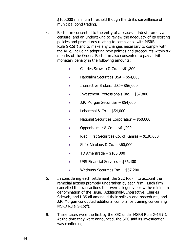\$100,000 minimum threshold though the Unit's surveillance of municipal bond trading.

- 4. Each firm consented to the entry of a cease-and-desist order, a censure, and an undertaking to review the adequacy of its existing policies and procedures relating to compliance with MSRB Rule G-15(f) and to make any changes necessary to comply with the Rule, including adopting new policies and procedures within six months of the Order. Each firm also consented to pay a civil monetary penalty in the following amounts:
	- Charles Schwab & Co.  $-$  \$61,800
	- Hapoalim Securities USA \$54,000
	- $\bullet$  Interactive Brokers LLC \$56,000
	- Investment Professionals Inc. \$67,800
	- J.P. Morgan Securities \$54,000
	- $\bullet$  Lebenthal & Co.  $-$  \$54,000
	- National Securities Corporation \$60,000
	- Oppenheimer & Co.  $-$  \$61,200
	- Riedl First Securities Co. of Kansas \$130,000
	- $\bullet$  Stifel Nicolaus & Co.  $-$  \$60,000
	- $\bullet$  TD Ameritrade \$100,800
	- UBS Financial Services \$56,400
	- Wedbush Securities Inc. \$67,200
- 5. In considering each settlement, the SEC took into account the remedial actions promptly undertaken by each firm. Each firm cancelled the transactions that were allegedly below the minimum denomination of the issue. Additionally, Interactive, Charles Schwab, and UBS all amended their policies and procedures, and J.P. Morgan conducted additional compliance training concerning MSRB Rule G-15(f).
- 6. These cases were the first by the SEC under MSRB Rule G-15 (f). At the time they were announced, the SEC said its investigation was continuing.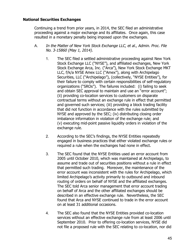## **National Securities Exchanges**

Continuing a trend from prior years, in 2014, the SEC filed an administrative proceeding against a major exchange and its affiliates. Once again, this case resulted in a monetary penalty being imposed upon the exchanges.

- A. In the Matter of New York Stock Exchange LLC, et al., Admin. Proc. File No. 3-15860 (May 1, 2014).
	- 1. The SEC filed a settled administrative proceeding against New York Stock Exchange LLC ("NYSE"), and affiliated exchanges, New York Stock Exchange Arca, Inc. ("Arca"), New York Stock Exchange MKT LLC, f/k/a NYSE Amex LLC ("Amex"), along with Archipelago Securities, LLC ("Archipelago"), (collectively, "NYSE Entities"), for their failure to comply with certain responsibilities of self-regulatory organizations ("SROs"). The failures included: (i) failing to seek and obtain SEC approval to maintain and use an "error account"; (ii) providing co-location services to customers on disparate contractual terms without an exchange rule in effect that permitted and governed such services; (iii) providing a block trading facility that did not function in accordance with the rules submitted by NYSE and approved by the SEC; (iv) distributing closing order imbalance information in violation of the exchange rule; and (v) executing mid-point passive liquidity orders in violation of the exchange rule.
	- 2. According to the SEC's findings, the NYSE Entities repeatedly engaged in business practices that either violated exchange rules or required a rule when the exchanges had none in effect.
	- 3. The SEC found that the NYSE Entities used an error account from 2005 until October 2010, which was maintained at Archipelago, to assume and trade out of securities positions without a rule in effect that permitted such trading. Moreover, the maintenance of the error account was inconsistent with the rules for Archipelago, which limited Archipelago's activity primarily to outbound and inbound routing of orders on behalf of NYSE and the affiliated exchanges. The SEC told Arca senior management that error account trading on behalf of Arca and the other affiliated exchanges should be described in an effective exchange rule. Nevertheless, the SEC found that Arca and NYSE continued to trade in the error account on at least 31 additional occasions.
	- 4. The SEC also found that the NYSE Entities provided co-location services without an effective exchange rule from at least 2006 until September 2010. Prior to offering co-location services, NYSE did not file a proposed rule with the SEC relating to co-location, nor did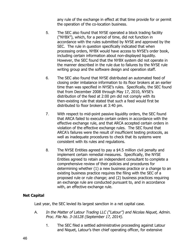any rule of the exchange in effect at that time provide for or permit the operation of the co-location business.

- 5. The SEC also found that NYSE operated a block trading facility ("NYBX"), which, for a period of time, did not function in accordance with the rules submitted by NYSE and approved by the SEC. The rule in question specifically indicated that when processing orders, NYBX would have access to NYSE's order book, including certain information about non-displayed liquidity. However, the SEC found that the NYBX system did not operate in the manner described in the rule due to failures by the NYSE rule writing group and the software design and operation staff.
- 6. The SEC also found that NYSE distributed an automated feed of closing order imbalance information to its floor brokers at an earlier time than was specified in NYSE's rules. Specifically, the SEC found that from December 2008 through May 17, 2010, NYSE's distribution of the feed at 2:00 pm did not comply with its then-existing rule that stated that such a feed would first be distributed to floor brokers at 3:40 pm.
- 7. With respect to mid-point passive liquidity orders, the SEC found that ARCA failed to execute certain orders in accordance with the effective exchange rule, and that ARCA accepted certain orders in violation of the effective exchange rules. The SEC found that ARCA's failures were the result of insufficient testing protocols, as well as inadequate procedures to check that its systems were consistent with its rules and regulations.
- 8. The NYSE Entities agreed to pay a \$4.5 million civil penalty and implement certain remedial measures. Specifically, the NYSE Entities agreed to retain an independent consultant to complete a comprehensive review of their policies and procedures for determining whether (1) a new business practice or a change to an existing business practice requires the filing with the SEC of a proposed rule or rule change; and (2) business practices requiring an exchange rule are conducted pursuant to, and in accordance with, an effective exchange rule.

## **Net Capital**

Last year, the SEC levied its largest sanction in a net capital case.

- A. In the Matter of Latour Trading LLC ("Latour") and Nicolas Niquet, Admin. Proc. File No. 3-16128 (September 17, 2014).
	- 1. The SEC filed a settled administrative proceeding against Latour and Niquet, Latour's then chief operating officer, for extensive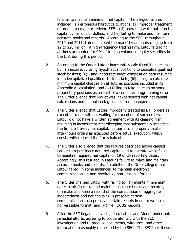failures to maintain minimum net capital. The alleged failures included: (i) erroneous haircut calculations; (ii) improper treatment of orders to create or redeem ETFs; (iii) operating while out of net capital by millions of dollars; and (iv) failing to make and maintain accurate books and records. According to the SEC, throughout 2010 and 2011, Latour "missed the mark" by amounts ranging from \$2 to \$28 million. A high-frequency trading firm, Latour's trading at times accounted for 9% of trading volume in equity securities in the U.S. during this period.

- 2. According to the Order, Latour inaccurately calculated its haircuts by: (i) incorrectly using hypothetical positions to capitalize qualified stock baskets; (ii) using inaccurate index composition data resulting in undercapitalized qualified stock baskets; (iii) failing to calculate minimum capital charges on all futures positions included in its Appendix A calculation; and (iv) failing to take haircuts on some proprietary positions as a result of a computer programming error. The Order alleged that Niquet was inexperienced with net capital calculations and did not seek guidance from an expert.
- 3. The Order alleged that Latour improperly treated its ETF orders as executed trades without waiting for execution of such orders. Latour did not have a written agreement with its clearing firm, resulting in inconsistent recordkeeping that substantially impacted the firm's intra-day net capital. Latour also improperly treated after-hours orders as executed before actual execution, which consistently reduced the firm's haircuts.
- 4. The Order also alleged that the failures described above caused Latour to report inaccurate net capital and to operate while failing to maintain required net capital on 19 of 24 reporting dates. Accordingly, this resulted in Latour's failure to make and maintain accurate books and records. In addition, the Order alleged that Latour failed, in some instances, to maintain electronic communications in non-rewritable, non-erasable format.
- 5. The Order charged Latour with failing to: (i) maintain minimum net capital; (ii) make and maintain accurate books and records; (iii) make and keep a record of the computation of aggregate indebtedness and net capital; (iv) preserve certain communications; (v) preserve certain records in non-rewritable, non-erasable format; and (vi) file FOCUS Reports.
- 6. After the SEC began its investigation, Latour and Niquet undertook remedial efforts, agreeing to cooperate fully with the SEC investigation and to produce documents, witnesses, and other information reasonably requested by the SEC. The SEC took these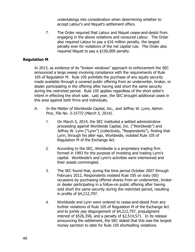undertakings into consideration when determining whether to accept Latour's and Niquet's settlement offers.

7. The Order required that Latour and Niquet cease-and-desist from engaging in the above violations and censured Latour. The Order also required Latour to pay a \$16 million penalty, the largest penalty ever for violations of the net capital rule. The Order also required Niquet to pay a \$150,000 penalty.

## **Regulation M**

In 2013, as evidence of its "broken windows" approach to enforcement the SEC announced a large sweep involving compliance with the requirements of Rule 105 of Regulation M. Rule 105 prohibits the purchase of any equity security made available through a covered public offering from an underwriter, broker, or dealer participating in the offering after having sold short the same security during the restricted period. Rule 105 applies regardless of the short seller's intent in effecting the short sale. Last year, the SEC brought additional cases in this area against both firms and individuals.

- A. In the Matter of Worldwide Capital, Inc., and Jeffrey W. Lynn, Admin. Proc. File No. 3-15772 (March 5, 2014).
	- 1. On March 5, 2014, the SEC instituted a settled administrative proceeding against Worldwide Capital, Inc. ("Worldwide") and Jeffrey W. Lynn ("Lynn") (collectively, "Respondents"), finding that Lynn, through his alter ego, Worldwide, violated Rule 105 of Regulation M of the Exchange Act.
	- 2. According to the SEC, Worldwide is a proprietary trading firm formed in 1993 for the purpose of investing and trading Lynn's capital. Worldwide's and Lynn's activities were intertwined and their assets commingled.
	- 3. The SEC found that, during the time period October 2007 through February 2012, Respondents violated Rule 105 on sixty (60) occasions by purchasing offered shares from an underwriter, broker or dealer participating in a follow-on public offering after having sold short the same security during the restricted period, resulting in profits of \$4,212,797.
	- 4. Worldwide and Lynn were ordered to cease-and-desist from any further violations of Rule 105 of Regulation M of the Exchange Act and to jointly pay disgorgement of \$4,212,797, prejudgment interest of \$526,358, and a penalty of \$2,514,571. In its release announcing the settlement, the SEC stated that this was the largest money sanction to date for Rule 105 shortselling violations.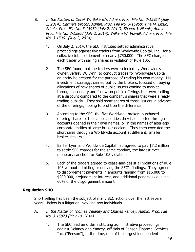- B. In the Matters of Derek W. Bakarich, Admin. Proc. File No. 3-15957 (July 2, 2014); Carmela Brocco, Admin. Proc. File No. 3-15958; Tina M. Lizzio, Admin. Proc. File No. 3-15959 (July 2, 2014); Steven J. Niemis, Admin. Proc. File No. 3-15960 (July 2, 2014); William W. Vowell, Admin. Proc. File No. 3-15961 (July 2, 2014).
	- 1. On July 2, 2014, the SEC instituted settled administrative proceedings against five traders from Worldwide Capital, Inc., for a collective total settlement of nearly \$750,000. The SEC charged each trader with selling shares in violation of Rule 105.
	- 2. The SEC found that the traders were selected by Worldwide's owner, Jeffrey W. Lynn, to conduct trades for Worldwide Capital, an entity he created for the purpose of trading his own money. His investment strategy, carried out by the brokers, focused on buying allocations of new shares of public issuers coming to market through secondary and follow-on public offerings that were selling at a discount compared to the company's shares that were already trading publicly. They sold short shares of those issuers in advance of the offerings, hoping to profit on the difference.
	- 3. According to the SEC, the five Worldwide brokers purchased offering shares of the same securities they had shorted through accounts opened in their own names, or in the names of alter-ego corporate entities at large broker-dealers. They then executed the short sales through a Worldwide account at different, smaller broker-dealers.
	- 4. Earlier Lynn and Worldwide Capital had agreed to pay \$7.2 million to settle SEC charges for the same conduct, the largest-ever monetary sanction for Rule 105 violations.
	- 5. Each of the traders agreed to cease-and-desist all violations of Rule 105 without admitting or denying the SEC's findings. They agreed to disgorgement payments in amounts ranging from \$16,000 to \$200,000, prejudgment interest, and additional penalties equaling 60% of the disgorgement amount.

# **Regulation SHO**

Short selling has been the subject of many SEC actions over the last several years. Below is a litigation involving two individuals.

- A. In the Matter of Thomas Delaney and Charles Yancey, Admin. Proc. File No. 3-15873 (May 19, 2014).
	- 1. The SEC filed an order instituting administrative proceedings against Delaney and Yancey, officials of Penson Financial Services, Inc. ("Penson"), at the time, one of the largest independent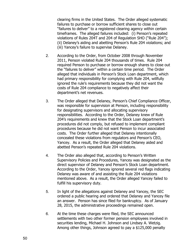clearing firms in the United States. The Order alleged systematic failures to purchase or borrow sufficient shares to close out "failures to deliver" to a registered clearing agency within certain timeframes. The alleged failures included: (i) Penson's repeated violations of Rules 204T and 204 of Regulation SHO ("Rule 204"); (ii) Delaney's aiding and abetting Penson's Rule 204 violations; and (iii) Yancey's failure to supervise Delaney.

- 2. According to the Order, from October 2008 through November 2011, Penson violated Rule 204 thousands of times. Rule 204 required Penson to purchase or borrow enough shares to close out the "failures to deliver" within a certain time period. The Order alleged that individuals in Penson's Stock Loan department, which had primary responsibility for complying with Rule 204, willfully ignored the rule's requirements because they did not want the costs of Rule 204 compliance to negatively affect their department's net revenues.
- 3. The Order alleged that Delaney, Penson's Chief Compliance Officer, was responsible for supervision at Penson, including responsibility for designating supervisors and allocating supervisory responsibilities. According to the Order, Delaney knew of Rule 204's requirements and knew that the Stock Loan department's procedures did not comply, but refused to implement compliant procedures because he did not want Penson to incur associated costs. The Order further alleged that Delaney intentionally concealed these violations from regulators and Penson's CEO, Yancey. As a result, the Order alleged that Delaney aided and abetted Penson's repeated Rule 204 violations.
- 4. The Order also alleged that, according to Penson's Written Supervisory Policies and Procedures, Yancey was designated as the direct supervisor of Delaney and Penson's Stock Loan department. According to the Order, Yancey ignored several red flags indicating Delaney was aware of and assisting the Rule 204 violations mentioned above. As a result, the Order alleged Yancey failed to fulfill his supervisory duty.
- 5. In light of the allegations against Delaney and Yancey, the SEC ordered a public hearing and ordered that Delaney and Yancey file an answer. Penson has since filed for bankruptcy. As of January 28, 2015, the administrative proceedings remained open.
- 6. At the time these charges were filed, the SEC announced settlements with two other former pension employees involved in securities lending, Michael H. Johnson and Lindsey A. Wetzig. Among other things, Johnson agreed to pay a \$125,000 penalty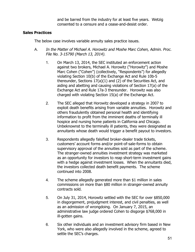and be barred from the industry for at least five years. Wetzig consented to a censure and a cease-and-desist order.

## **Sales Practices**

The below case involves variable annuity sales practice issues.

- A. In the Matter of Michael A. Horowitz and Moshe Marc Cohen, Admin. Proc. File No. 3-15790 (March 13, 2014).
	- 1. On March 13, 2014, the SEC instituted an enforcement action against two brokers, Michael A. Horowitz ("Horowitz") and Moshe Marc Cohen ("Cohen") (collectively, "Respondents") for allegedly violating Section 10(b) of the Exchange Act and Rule 10b-5 thereunder, Sections 17(a)(1) and (2) of the Securities Act, and aiding and abetting and causing violations of Section 17(a) of the Exchange Act and Rule 17a-3 thereunder. Horowitz was also charged with violating Section 15(a) of the Exchange Act.
	- 2. The SEC alleged that Horowitz developed a strategy in 2007 to exploit death benefits arising from variable annuities. Horowitz and others fraudulently obtained personal health and identifying information to profit from the imminent deaths of terminally ill hospice and nursing home patients in California and Chicago. Unbeknownst to the terminally ill patients, they were designated as annuitants whose death would trigger a benefit payout to investors.
	- 3. Respondents allegedly falsified broker-dealer trade tickets, customers' account forms and/or point-of-sale-forms to obtain supervisory approval of the annuities sold as part of the scheme. The stranger-owned annuities investment strategy was marketed as an opportunity for investors to reap short-term investment gains with a hedge against investment losses. When the annuitants died, the investors collected death benefit payments. The scheme continued into 2008.
	- 4. The scheme allegedly generated more than \$1 million in sales commissions on more than \$80 million in stranger-owned annuity contracts sold.
	- 5. On July 31, 2014, Horowitz settled with the SEC for over \$850,000 in disgorgement, prejudgment interest, and civil penalties, as well as an admission of wrongdoing. On January 7, 2015, an administrative law judge ordered Cohen to disgorge \$768,000 in ill-gotten gains.
	- 6. Six other individuals and an investment advisory firm based in New York, who were also allegedly involved in the scheme, agreed to settle the SEC's charges.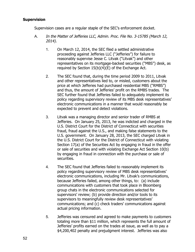## **Supervision**

Supervision cases are a regular staple of the SEC's enforcement docket.

- A. In the Matter of Jefferies LLC, Admin. Proc. File No. 3-15785 (March 12, 2014).
	- 1. On March 12, 2014, the SEC filed a settled administrative proceeding against Jefferies LLC ("Jefferies") for failure to reasonably supervise Jesse C. Litvak ("Litvak") and other representatives on its mortgage-backed securities ("MBS") desk, as required by Section 15(b)(4)(E) of the Exchange Act.
	- 2. The SEC found that, during the time period 2009 to 2011, Litvak and other representatives lied to, or misled, customers about the price at which Jefferies had purchased residential MBS ("RMBS") and thus, the amount of Jefferies' profit on the RMBS trades. The SEC further found that Jefferies failed to adequately implement its policy regarding supervisory review of its MBS desk representatives' electronic communications in a manner that would reasonably be expected to prevent and detect violations.
	- 3. Litvak was a managing director and senior trader of RMBS at Jefferies. On January 25, 2013, he was indicted and charged in the U.S. District Court for the District of Connecticut with securities fraud, fraud against the U.S., and making false statements to the U.S. government. On January 28, 2013, the SEC charged Litvak in the U.S. District Court for the District of Connecticut with violating Section 17(a) of the Securities Act by engaging in fraud in the offer or sale of securities and with violating Exchange Act Section 10(b) by engaging in fraud in connection with the purchase or sale of securities.
	- 4. The SEC found that Jefferies failed to reasonably implement its policy regarding supervisory review of MBS desk representatives' electronic communications, including Mr. Litvak's communications, because Jefferies failed, among other things, to: (a) include communications with customers that took place in Bloomberg group chats in the electronic communications selected for supervisors' review; (b) provide direction and/or tools to its supervisors to meaningfully review desk representatives' communications; and (c) check traders' communications against actual pricing information.
	- 5. Jefferies was censured and agreed to make payments to customers totaling more than \$11 million, which represents the full amount of Jefferies' profits earned on the trades at issue, as well as to pay a \$4,200,402 penalty and prejudgment interest. Jefferies was also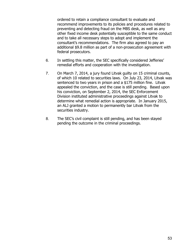ordered to retain a compliance consultant to evaluate and recommend improvements to its policies and procedures related to preventing and detecting fraud on the MBS desk, as well as any other fixed income desk potentially susceptible to the same conduct and to take all necessary steps to adopt and implement the consultant's recommendations. The firm also agreed to pay an additional \$9.8 million as part of a non-prosecution agreement with federal prosecutors.

- 6. In settling this matter, the SEC specifically considered Jefferies' remedial efforts and cooperation with the investigation.
- 7. On March 7, 2014, a jury found Litvak guilty on 15 criminal counts, of which 10 related to securities laws. On July 23, 2014, Litvak was sentenced to two years in prison and a \$175 million fine. Litvak appealed the conviction, and the case is still pending. Based upon his conviction, on September 2, 2014, the SEC Enforcement Division instituted administrative proceedings against Litvak to determine what remedial action is appropriate. In January 2015, an ALJ granted a motion to permanently bar Litvak from the securities industry.
- 8. The SEC's civil complaint is still pending, and has been stayed pending the outcome in the criminal proceedings.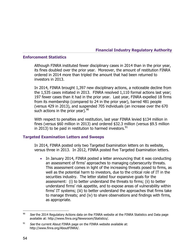**Financial Industry Regulatory Authority** 

#### **Enforcement Statistics**

Although FINRA instituted fewer disciplinary cases in 2014 than in the prior year, its fines doubled over the prior year. Moreover, the amount of restitution FINRA ordered in 2014 more than tripled the amount that had been returned to investors in 2013.

In 2014, FINRA brought 1,397 new disciplinary actions, a noticeable decline from the 1,535 cases initiated in 2013. FINRA resolved 1,110 formal actions last year; 197 fewer cases than it had in the prior year. Last year, FINRA expelled 18 firms from its membership (compared to 24 in the prior year), barred 481 people (versus 429 in 2013), and suspended 705 individuals (an increase over the 670 such actions in the prior year).  $90^{9}$ 

With respect to penalties and restitution, last year FINRA levied \$134 million in fines (versus \$60 million in 2013) and ordered \$32.3 million (versus \$9.5 million in 2013) to be paid in restitution to harmed investors.  $91$ 

#### **Targeted Examination Letters and Sweeps**

In 2014, FINRA posted only two Targeted Examination letters on its website, versus three in 2013. In 2012, FINRA posted five Targeted Examination letters.

• In January 2014, FINRA posted a letter announcing that it was conducting an assessment of firms' approaches to managing cybersecurity threats. This assessment comes in light of the increasing threats posed to firms, as well as the potential harm to investors, due to the critical role of IT in the securities industry. The letter stated four expansive goals for the assessment: (i) to better understand the threats to firms; (ii) to better understand firms' risk appetite, and to expose areas of vulnerability within firms' IT systems; (iii) to better understand the approaches that firms take to manage threats; and (iv) to share observations and findings with firms, as appropriate.

 $90$ See the 2014 Regulatory Actions data on the FINRA website at the FINRA Statistics and Data page available at: http://www.finra.org/Newsroom/Statistics/.

 $91$  See the current About FINRA page on the FINRA website available at: http://www.finra.org/AboutFINRA/.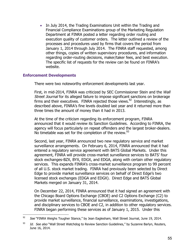• In July 2014, the Trading Examinations Unit within the Trading and Financial Compliance Examinations group of the Marketing Regulation Department at FINRA posted a letter regarding order routing and execution quality of customer orders. The letter outlined a review of the processes and procedures used by firms that covers the period from January 1, 2014 through July 2014. The FINRA staff requested, among other things, copies of written supervisory procedures, and information regarding order-routing decisions, maker/taker fees, and best execution. The specific list of requests for the review can be found on FINRA's website.

### **Enforcement Developments**

 $\overline{a}$ 

There were two noteworthy enforcement developments last year.

First, in mid-2014, FINRA was criticized by SEC Commissioner Stein and the Wall Street Journal for its alleged failure to impose significant sanctions on brokerage firms and their executives. FINRA rejected those views.<sup>92</sup> Interestingly, as described above, FINRA's fine levels doubled last year and it returned more than three times the amount of money than it had in 2013.

At the time of the criticism regarding its enforcement program, FINRA announced that it would review its Sanction Guidelines. According to FINRA, the agency will focus particularly on repeat offenders and the largest broker-dealers. No timetable was set for the completion of the review.<sup>93</sup>

Second, last year, FINRA announced two new regulatory service and market surveillance arrangements. On February 6, 2014, FINRA announced that it had entered a regulatory service agreement with BATS Global Markets. Under this agreement, FINRA will provide cross-market surveillance services to BATS' four stock exchanges-BZX, BYX, EDGX, and EDGA, along with certain other regulatory services. This expands FINRA's cross-market surveillance program to 99 percent of all U.S. stock market trading. FINRA had previously been selected by Direct Edge to provide market surveillance services on behalf of Direct Edge's two licensed stock exchanges (EDGA and EDGX). Direct Edge and BATS Global Markets merged on January 31, 2014.

On December 22, 2014, FINRA announced that it had signed an agreement with the Chicago Board Options Exchange (CBOE) and C2 Options Exchange (C2) to provide market surveillance, financial surveillance, examinations, investigations, and disciplinary services to CBOE and C2, in addition to other regulatory services. FINRA began performing these services as of January 1, 2015. Under this

 $92$  See "FINRA Weighs Tougher Stance," by Jean Eaglesham, Wall Street Journal, June 19, 2014.

 $^{93}$  Id. See also "Wall Street Watchdog to Review Sanction Guidelines," by Suzanne Barlyn, Reuters, June 16, 2014.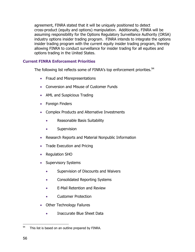agreement, FINRA stated that it will be uniquely positioned to detect cross-product (equity and options) manipulation. Additionally, FINRA will be assuming responsibility for the Options Regulatory Surveillance Authority (ORSA) industry options insider trading program. FINRA intends to integrate the options insider trading program with the current equity insider trading program, thereby allowing FINRA to conduct surveillance for insider trading for all equities and options trading in the United States.

# **Current FINRA Enforcement Priorities**

The following list reflects some of FINRA's top enforcement priorities.<sup>94</sup>

- Fraud and Misrepresentations
- Conversion and Misuse of Customer Funds
- AML and Suspicious Trading
- Foreign Finders
- Complex Products and Alternative Investments
	- Reasonable Basis Suitability
	- **•** Supervision
- Research Reports and Material Nonpublic Information
- Trade Execution and Pricing
- Regulation SHO
- Supervisory Systems
	- Supervision of Discounts and Waivers
	- Consolidated Reporting Systems
	- E-Mail Retention and Review
	- Customer Protection
- Other Technology Failures
	- Inaccurate Blue Sheet Data

<sup>94</sup> This list is based on an outline prepared by FINRA.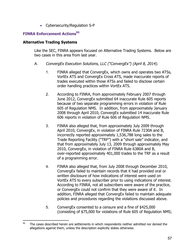Cybersecurity/Regulation S-P

# **FINRA Enforcement Actions<sup>95</sup>**

### **Alternative Trading Systems**

 $\overline{a}$ 

Like the SEC, FINRA appears focused on Alternative Trading Systems. Below are two cases in this area from last year.

- A. ConvergEx Execution Solutions, LLC ("ConvergEx") (April 8, 2014).
	- 1. FINRA alleged that ConvergEx, which owns and operates two ATSs, VortEx ATS and ConvergEx Cross ATS, made inaccurate reports of trades executed within those ATSs and failed to disclose certain order handling practices within VortEx ATS.
	- 2. According to FINRA, from approximately February 2007 through June 2012, ConvergEx submitted 64 inaccurate Rule 605 reports because of two separate programming errors in violation of Rule 605 of Regulation NMS. In addition, from approximately January 2008 through April 2010, ConvergEx submitted 14 inaccurate Rule 606 reports in violation of Rule 606 of Regulation NMS.
	- 3. FINRA also alleged that, from approximately July 2009 through April 2010, ConvergEx, in violation of FINRA Rule 7230A and B, incorrectly reported approximately 1,536,788 long sales to the Trade Reporting Facility ("TRF") with a "short sale" indicator, and that from approximately July 13, 2009 through approximately May 2010, ConvergEx, in violation of FINRA Rule 6380A and B, over-reported approximately 401,000 trades to the TRF as a result of a programming error.
	- 4. FINRA also alleged that, from July 2008 through December 2010, ConvergEx failed to maintain records that it had provided oral or written disclosure of how indications of interest were used on VortEx ATS to every subscriber prior to using indications of interest. According to FINRA, not all subscribers were aware of the practice, or ConvergEx could not confirm that they were aware of it. In addition, FINRA alleged that ConvergEx failed to maintain adequate policies and procedures regarding the violations discussed above.
	- 5. ConvergEx consented to a censure and a fine of \$425,000 (consisting of \$75,000 for violations of Rule 605 of Regulation NMS;

 $95$  The cases described herein are settlements in which respondents neither admitted nor denied the allegations against them, unless the description explicitly states otherwise.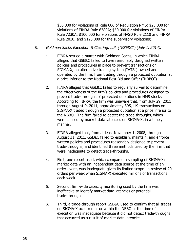\$50,000 for violations of Rule 606 of Regulation NMS; \$25,000 for violations of FINRA Rule 6380A; \$50,000 for violations of FINRA Rule 7230A; \$100,000 for violations of NASD Rule 2110 and FINRA Rule 2010; and \$125,000 for the supervisory violations).

- B. Goldman Sachs Execution & Clearing, L.P. ("GSE&C") (July 1, 2014).
	- 1. FINRA settled a matter with Goldman Sachs, in which FINRA alleged that GSE&C failed to have reasonably designed written policies and procedures in place to prevent transactions on SIGMA-X, an alternative trading system ("ATS") owned and operated by the firm, from trading through a protected quotation at a price inferior to the National Best Bid and Offer ("NBBO").
	- 2. FINRA alleged that GSE&C failed to regularly surveil to determine the effectiveness of the firm's policies and procedures designed to prevent trade-throughs of protected quotations in NMS stocks. According to FINRA, the firm was unaware that, from July 29, 2011 through August 9, 2011, approximately 395,119 transactions on SIGMA-X traded through a protected quotation at a price inferior to the NBBO. The firm failed to detect the trade-throughs, which were caused by market data latencies on SIGMA-X, in a timely manner.
	- 3. FINRA alleged that, from at least November 1, 2008, through August 31, 2011, GSE&C failed to establish, maintain, and enforce written policies and procedures reasonably designed to prevent trade-throughs, and identified three methods used by the firm that were inadequate to detect trade-throughs.
	- 4. First, one report used, which compared a sampling of SIGMA-X's market data with an independent data source at the time of an order event, was inadequate given its limited scope—a review of 20 orders per week when SIGMA-X executed millions of transactions each week.
	- 5. Second, firm-wide capacity monitoring used by the firm was ineffective to identify market data latencies or potential trade-throughs.
	- 6. Third, a trade-through report GSE&C used to confirm that all trades on SIGMA-X occurred at or within the NBBO at the time of execution was inadequate because it did not detect trade-throughs that occurred as a result of market data latencies.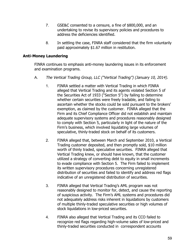- 7. GSE&C consented to a censure, a fine of \$800,000, and an undertaking to revise its supervisory policies and procedures to address the deficiencies identified.
- 8. In settling the case, FINRA staff considered that the firm voluntarily paid approximately \$1.67 million in restitution.

## **Anti-Money Laundering**

FINRA continues to emphasis anti-money laundering issues in its enforcement and examination programs.

- A. The Vertical Trading Group, LLC ("Vertical Trading") (January 10, 2014).
	- 1. FINRA settled a matter with Vertical Trading in which FINRA alleged that Vertical Trading and its agents violated Section 5 of the Securities Act of 1933 ("Section 5") by failing to determine whether certain securities were freely tradable, and failing to ascertain whether the stocks could be sold pursuant to the brokers' exemption, as claimed by the customer. FINRA alleged that the Firm and its Chief Compliance Officer did not establish and maintain adequate supervisory systems and procedures reasonably designed to comply with Section 5, particularly in light of the nature of the Firm's business, which involved liquidating large volumes of speculative, thinly-traded stock on behalf of its customers.
	- 2. FINRA alleged that, between March and September 2010, a Vertical Trading customer deposited, and then promptly sold, \$10 million worth of thinly traded, speculative securities. FINRA alleged that Vertical Trading knew, or should have known, that the customer utilized a strategy of converting debt to equity in small increments to evade compliance with Section 5. The Firm failed to implement its written supervisory procedures concerning unregistered distribution of securities and failed to identify and address red flags indicative of an unregistered distribution of securities.
	- 3. FINRA alleged that Vertical Trading's AML program was not reasonably designed to monitor for, detect, and cause the reporting of suspicious activity. The Firm's AML systems and procedures did not adequately address risks inherent in liquidations by customers of multiple thinly-traded speculative securities or high volumes of stock liquidations in low-priced securities.
	- 4. FINRA also alleged that Vertical Trading and its CCO failed to recognize red flags regarding high-volume sales of low-priced and thinly-traded securities conducted in correspondent accounts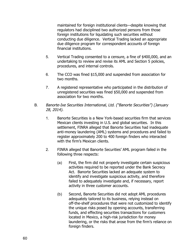maintained for foreign institutional clients—despite knowing that regulators had disciplined two authorized persons from those foreign institutions for liquidating such securities without conducting due diligence. Vertical Trading lacked an appropriate due diligence program for correspondent accounts of foreign financial institutions.

- 5. Vertical Trading consented to a censure, a fine of \$400,000, and an undertaking to review and revise its AML and Section 5 policies, procedures, and internal controls.
- 6. The CCO was fined \$15,000 and suspended from association for two months.
- 7. A registered representative who participated in the distribution of unregistered securities was fined \$50,000 and suspended from association for two months.
- B. Banorte-Ixe Securities International, Ltd. ("Banorte Securities") (January 28, 2014).
	- 1. Banorte Securities is a New York-based securities firm that services Mexican clients investing in U.S. and global securities. In this settlement, FINRA alleged that Banorte Securities had inadequate anti-money laundering (AML) systems and procedures and failed to register approximately 200 to 400 foreign finders who interacted with the firm's Mexican clients.
	- 2. FINRA alleged that Banorte Securities' AML program failed in the following three respects:
		- (a) First, the firm did not properly investigate certain suspicious activities required to be reported under the Bank Secrecy Act. Banorte Securities lacked an adequate system to identify and investigate suspicious activity, and therefore failed to adequately investigate and, if necessary, report activity in three customer accounts.
		- (b) Second, Banorte Securities did not adopt AML procedures adequately tailored to its business, relying instead on off-the-shelf procedures that were not customized to identify the unique risks posed by opening accounts, transferring funds, and effecting securities transactions for customers located in Mexico, a high-risk jurisdiction for money laundering, or the risks that arose from the firm's reliance on foreign finders.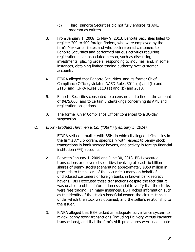- (c) Third, Banorte Securities did not fully enforce its AML program as written.
- 3. From January 1, 2008, to May 9, 2013, Banorte Securities failed to register 200 to 400 foreign finders, who were employed by the firm's Mexican affiliates and who both referred customers to Banorte Securities and performed various activities requiring registration as an associated person, such as discussing investments, placing orders, responding to inquiries, and, in some instances, obtaining limited trading authority over customer accounts.
- 4. FINRA alleged that Banorte Securities, and its former Chief Compliance Officer, violated NASD Rules 3011 (a) and (b) and 2110, and FINRA Rules 3110 (a) and (b) and  $2010$ .
- 5. Banorte Securities consented to a censure and a fine in the amount of \$475,000, and to certain undertakings concerning its AML and registration obligations.
- 6. The former Chief Compliance Officer consented to a 30-day suspension.
- C. Brown Brothers Harriman & Co. ("BBH") (February 5, 2014).
	- 1. FINRA settled a matter with BBH, in which it alleged deficiencies in the firm's AML program, specifically with respect to penny stock transactions in bank secrecy havens, and activity in foreign financial institution (FFI) accounts.
	- 2. Between January 1, 2009 and June 30, 2013, BBH executed transactions or delivered securities involving at least six billion shares of penny stocks (generating approximately \$850 million in proceeds to the sellers of the securities) many on behalf of undisclosed customers of foreign banks in known bank secrecy havens. BBH executed these transactions despite the fact that it was unable to obtain information essential to verify that the stocks were free trading. In many instances, BBH lacked information such as the identity of the stock's beneficial owner, the circumstances under which the stock was obtained, and the seller's relationship to the issuer.
	- 3. FINRA alleged that BBH lacked an adequate surveillance system to review penny stock transactions (including Delivery versus Payment transactions), and that the firm's AML procedures were inadequate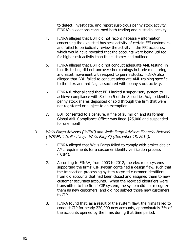to detect, investigate, and report suspicious penny stock activity. FINRA's allegations concerned both trading and custodial activity.

- 4. FINRA alleged that BBH did not record necessary information concerning the expected business activity of certain FFI customers, and failed to periodically review the activity in the FFI accounts, which would have revealed that the accounts were being utilized for higher-risk activity than the customer had outlined.
- 5. FINRA alleged that BBH did not conduct adequate AML testing, in that its testing did not uncover shortcomings in trade monitoring and asset movement with respect to penny stocks. FINRA also alleged that BBH failed to conduct adequate AML training specific to the risks and red flags associated with penny stock activity.
- 6. FINRA further alleged that BBH lacked a supervisory system to achieve compliance with Section 5 of the Securities Act, to identify penny stock shares deposited or sold through the firm that were not registered or subject to an exemption.
- 7. BBH consented to a censure, a fine of \$8 million and its former Global AML Compliance Officer was fined \$25,000 and suspended for one month.
- D. Wells Fargo Advisors ("WFA") and Wells Fargo Advisors Financial Network ("WFAFN") (collectively, "Wells Fargo") (December 18, 2014).
	- 1. FINRA alleged that Wells Fargo failed to comply with broker-dealer AML requirements for a customer identity verification process ("CIP").
	- 2. According to FINRA, from 2003 to 2012, the electronic systems supporting the firms' CIP system contained a design flaw, such that the transaction-processing system recycled customer identifiers from old accounts that had been closed and assigned them to new customer securities accounts. When the recycled identifiers were transmitted to the firms' CIP system, the system did not recognize them as new customers, and did not subject those new customers to CIP.
	- 3. FINRA found that, as a result of the system flaw, the firms failed to conduct CIP for nearly 220,000 new accounts, approximately 3% of the accounts opened by the firms during that time period.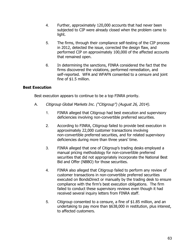- 4. Further, approximately 120,000 accounts that had never been subjected to CIP were already closed when the problem came to light.
- 5. The firms, through their compliance self-testing of the CIP process in 2012, detected the issue, corrected the design flaw, and performed CIP on approximately 100,000 of the affected accounts that remained open.
- 6. In determining the sanctions, FINRA considered the fact that the firms discovered the violations, performed remediation, and self-reported. WFA and WFAFN consented to a censure and joint fine of \$1.5 million.

## **Best Execution**

Best execution appears to continue to be a top FINRA priority.

- A. Citigroup Global Markets Inc. ("Citigroup") (August 26, 2014).
	- 1. FINRA alleged that Citigroup had best execution and supervisory deficiencies involving non-convertible preferred securities.
	- 2. According to FINRA, Citigroup failed to provide best execution in approximately 22,000 customer transactions involving non-convertible preferred securities, and for related supervisory deficiencies during more than three years' time.
	- 3. FINRA alleged that one of Citigroup's trading desks employed a manual pricing methodology for non-convertible preferred securities that did not appropriately incorporate the National Best Bid and Offer (NBBO) for those securities.
	- 4. FINRA also alleged that Citigroup failed to perform any review of customer transactions in non-convertible preferred securities executed on BondsDirect or manually by the trading desk to ensure compliance with the firm's best execution obligations. The firm failed to conduct these supervisory reviews even though it had received several inquiry letters from FINRA staff.
	- 5. Citigroup consented to a censure, a fine of \$1.85 million, and an undertaking to pay more than \$638,000 in restitution, plus interest, to affected customers.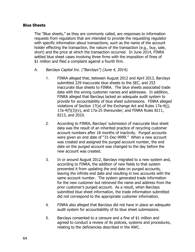#### **Blue Sheets**

The "Blue sheets," as they are commonly called, are responses to information requests from regulators that are intended to provide the requesting regulator with specific information about transactions, such as the name of the account holder effecting the transaction, the nature of the transaction (e.g., buy, sale, short) and the price at which the transaction occurred. In June 2014, FINRA settled blue sheet cases involving three firms with the imposition of fines of \$1 million and filed a complaint against a fourth firm.

- A. Barclays Capital Inc. ("Barclays") (June 4, 2014).
	- 1. FINRA alleged that, between August 2012 and April 2013, Barclays submitted 229 inaccurate blue sheets to the SEC, and 253 inaccurate blue sheets to FINRA. The blue sheets associated trade data with the wrong customer names and addresses. In addition, FINRA alleged that Barclays lacked an adequate audit system to provide for accountability of blue sheet submissions. FINRA alleged violations of Section 17(a) of the Exchange Act and Rules 17a-4(j), 17a-4(f)(3)(v), and 17a-25 thereunder; and FINRA Rules 8211, 8213, and 2010.
	- 2. According to FINRA, Barclays' submission of inaccurate blue sheet data was the result of an inherited practice of recycling customer account numbers after 18 months of inactivity. Purged accounts were given an end date of "31-Dec-9999." When a new account was created and assigned the purged account number, the end date on the purged account was changed to the day before the new account was created.
	- 3. In or around August 2012, Barclays migrated to a new system and, according to FINRA, the addition of new fields to that system prevented it from updating the end date on purged accounts, leaving the infinite end date and resulting in two accounts with the same account number. The system generated trade information for the new customer but retrieved the name and address from the prior customer's purged account. As a result, when Barclays submitted blue sheet information, the trade information submitted did not correspond to the appropriate customer information.
	- 4. FINRA also alleged that Barclays did not have in place an adequate audit system for accountability of its blue sheet submissions.
	- 5. Barclays consented to a censure and a fine of \$1 million and agreed to conduct a review of its policies, systems and procedures, relating to the deficiencies described in the AWC.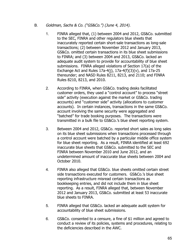- B. Goldman, Sachs & Co. ("GS&Co.") (June 4, 2014).
	- 1. FINRA alleged that, (1) between 2004 and 2012, GS&Co. submitted to the SEC, FINRA and other regulators blue sheets that inaccurately reported certain short-sale transactions as long-sale transactions; (2) between November 2012 and January 2013, GS&Co. omitted certain transactions in its blue sheet submissions to FINRA; and (3) between 2004 and 2013, GS&Co. lacked an adequate audit system to provide for accountability of blue sheet submissions. FINRA alleged violations of Section 17(a) of the Exchange Act and Rules  $17a-4(i)$ ,  $17a-4(f)(3)(v)$ , and  $17a-25$ thereunder; and NASD Rules 8211, 8213, and 2110; and FINRA Rules 8210, 8213, and 2010.
	- 2. According to FINRA, when GS&Co. trading desks facilitated customer orders, they used a "control account" to process "street side" activity (execution against the market or GS&Co. trading accounts) and "customer side" activity (allocations to customer accounts). In certain instances, transactions in the same GS&Co. account involving the same security were aggregated and "batched" for trade booking purposes. The transactions were transmitted in a bulk file to GS&Co.'s blue sheet reporting system.
	- 3. Between 2004 and 2012, GS&Co. reported short sales as long sales on its blue sheet submissions when transactions processed through a control account were batched by a particular middle office system for blue sheet reporting. As a result, FINRA identified at least 692 inaccurate blue sheets that GS&Co. submitted to the SEC and FINRA between November 2010 and June 2012, and an undetermined amount of inaccurate blue sheets between 2004 and October 2010.
	- 4. FINRA also alleged that GS&Co. blue sheets omitted certain street side transactions executed for customers. GS&Co.'s blue sheet reporting infrastructure misread certain transactions as bookkeeping entries, and did not include them in blue sheet reporting. As a result, FINRA alleged that, between November 2012 and January 2013, GS&Co. submitted at least 53 inaccurate blue sheets to FINRA.
	- 5. FINRA alleged that GS&Co. lacked an adequate audit system for accountability of blue sheet submissions.
	- 6. GS&Co. consented to a censure, a fine of \$1 million and agreed to conduct a review of its policies, systems and procedures, relating to the deficiencies described in the AWC.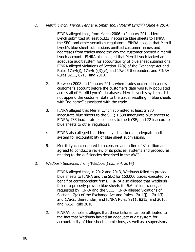- C. Merrill Lynch, Pierce, Fenner & Smith Inc. ("Merrill Lynch") (June 4 2014).
	- 1. FINRA alleged that, from March 2006 to January 2014, Merrill Lynch submitted at least 5,323 inaccurate blue sheets to FINRA, the SEC, and other securities regulators. FINRA alleged that Merrill Lynch's blue sheet submissions omitted customer names and addresses from trades made the day the customer opened a Merrill Lynch account. FINRA also alleged that Merrill Lynch lacked an adequate audit system for accountability of blue sheet submissions. FINRA alleged violations of Section 17(a) of the Exchange Act and Rules  $17a-4(i)$ ,  $17a-4(f)(3)(v)$ , and  $17a-25$  thereunder; and FINRA Rules 8211, 8213, and 2010.
	- 2. Between 2008 and January 2014, when trades occurred in a new customer's account before the customer's data was fully populated across all of Merrill Lynch's databases, Merrill Lynch's systems did not append the customer data to the trade, resulting in blue sheets with "no name" associated with the trade.
	- 3. FINRA alleged that Merrill Lynch submitted at least 2,980 inaccurate blue sheets to the SEC; 1,538 inaccurate blue sheets to FINRA; 733 inaccurate blue sheets to the NYSE; and 72 inaccurate blue sheets to other regulators.
	- 4. FINRA also alleged that Merrill Lynch lacked an adequate audit system for accountability of blue sheet submissions.
	- 5. Merrill Lynch consented to a censure and a fine of \$1 million and agreed to conduct a review of its policies, systems and procedures, relating to the deficiencies described in the AWC.
- D. Wedbush Securities Inc. ("Wedbush) (June 4, 2014)
	- 1. FINRA alleged that, in 2012 and 2013, Wedbush failed to provide blue sheets to FINRA and the SEC for 160,000 trades executed on behalf of correspondent firms. FINRA also alleged that Wedbush failed to properly provide blue sheets for 5.6 million trades, as requested by FINRA and the SEC. FINRA alleged violations of Section 17(a) of the Exchange Act and Rules 17a-4(j), 17a-4(f), and 17a-25 thereunder; and FINRA Rules 8211, 8213, and 2010; and NASD Rule 3010.
	- 2. FINRA's complaint alleges that these failures can be attributed to the fact that Wedbush lacked an adequate audit system for accountability of blue sheet submissions, as well as a supervisory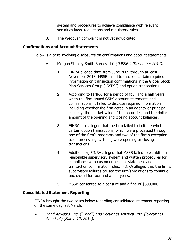system and procedures to achieve compliance with relevant securities laws, regulations and regulatory rules.

3. The Wedbush complaint is not yet adjudicated.

## **Confirmations and Account Statements**

Below is a case involving disclosures on confirmations and account statements.

- A. Morgan Stanley Smith Barney LLC ("MSSB") (December 2014).
	- 1. FINRA alleged that, from June 2009 through at least November 2013, MSSB failed to disclose certain required information on transaction confirmations in the Global Stock Plan Services Group ("GSPS") and option transactions.
	- 2. According to FINRA, for a period of four and a half years, when the firm issued GSPS account statements and confirmations, it failed to disclose required information including whether the firm acted in an agency or principal capacity, the market value of the securities, and the dollar amount of the opening and closing account balances.
	- 3. FINRA also alleged that the firm failed to indicate whether certain option transactions, which were processed through one of the firm's programs and two of the firm's exception trade processing systems, were opening or closing transactions.
	- 4. Additionally, FINRA alleged that MSSB failed to establish a reasonable supervisory system and written procedures for compliance with customer account statement and transaction confirmation rules. FINRA alleged that the firm's supervisory failures caused the firm's violations to continue unchecked for four and a half years.
	- 5. MSSB consented to a censure and a fine of \$800,000.

# **Consolidated Statement Reporting**

FINRA brought the two cases below regarding consolidated statement reporting on the same day last March.

A. Triad Advisors, Inc. ("Triad") and Securities America, Inc. ("Securities America") (March 12, 2014).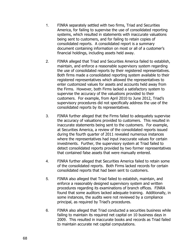- 1. FINRA separately settled with two firms, Triad and Securities America, for failing to supervise the use of consolidated reporting systems, which resulted in statements with inaccurate valuations being sent to customers, and for failing to retain copies of consolidated reports. A consolidated report is a summary document containing information on most or all of a customer's financial holdings, including assets held away.
- 2. FINRA alleged that Triad and Securities America failed to establish, maintain, and enforce a reasonable supervisory system regarding the use of consolidated reports by their registered representatives. Both firms made a consolidated reporting system available to their registered representatives which allowed the representatives to enter customized values for assets and accounts held away from the Firms. However, both Firms lacked a satisfactory system to supervise the accuracy of the valuations provided to their customers. For example, from April 2010 to June 2012, Triad's supervisory procedures did not specifically address the use of the consolidated reports by its representatives.
- 3. FINRA further alleged that the Firms failed to adequately supervise the accuracy of valuations provided to customers. This resulted in inaccurate statements being sent to the customers. For example, at Securities America, a review of the consolidated reports issued during the fourth quarter of 2011 revealed numerous instances where the representatives had input inaccurate values for certain investments. Further, the supervisory system at Triad failed to detect consolidated reports provided by two former representatives that contained false assets that were manually entered.
- 4. FINRA further alleged that Securities America failed to retain some of the consolidated reports. Both Firms lacked records for certain consolidated reports that had been sent to customers.
- 5. FINRA also alleged that Triad failed to establish, maintain, and enforce a reasonably designed supervisory system and written procedures regarding its examinations of branch offices. FINRA found that some auditors lacked adequate training. Additionally, in some instances, the audits were not reviewed by a compliance principal, as required by Triad's procedures.
- 6. FINRA also alleged that Triad conducted a securities business while failing to maintain its required net capital on 10 business days in 2009. This resulted in inaccurate books and records as Triad failed to maintain accurate net capital computations.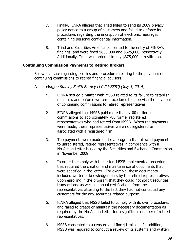- 7. Finally, FINRA alleged that Triad failed to send its 2009 privacy policy notice to a group of customers and failed to enforce its procedures regarding the encryption of electronic messages containing personal confidential information.
- 8. Triad and Securities America consented to the entry of FINRA's findings, and were fined \$650,000 and \$625,000, respectively. Additionally, Triad was ordered to pay \$375,000 in restitution.

#### **Continuing Commission Payments to Retired Brokers**

Below is a case regarding policies and procedures relating to the payment of continuing commissions to retired financial advisors.

- A. Morgan Stanley Smith Barney LLC ("MSSB") (July 3, 2014).
	- 1. FINRA settled a matter with MSSB related to its failure to establish, maintain, and enforce written procedures to supervise the payment of continuing commissions to retired representatives.
	- 2. FINRA alleged that MSSB paid more than \$100 million in commissions to approximately 780 former registered representatives who had retired from MSSB. When the payments were made, these representatives were not registered or associated with a registered firm.
	- 3. The payments were made under a program that allowed payments to unregistered, retired representatives in compliance with a No-Action Letter issued by the Securities and Exchange Commission in November 2008.
	- 4. In order to comply with the letter, MSSB implemented procedures that required the creation and maintenance of documents that were specified in the letter. For example, these documents included written acknowledgements by the retired representatives upon enrolling in the program that they could not solicit securities transactions, as well as annual certifications from the representatives attesting to the fact they had not contacted any customers for the any securities-related purpose.
	- 5. FINRA alleged that MSSB failed to comply with its own procedures and failed to create or maintain the necessary documentation as required by the No-Action Letter for a significant number of retired representatives.
	- 6. MSSB consented to a censure and fine \$1 million. In addition, MSSB was required to conduct a review of its systems and written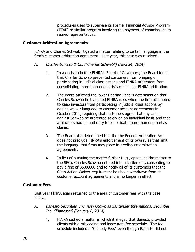procedures used to supervise its Former Financial Advisor Program (FFAP) or similar program involving the payment of commissions to retired representatives.

#### **Customer Arbitration Agreements**

FINRA and Charles Schwab litigated a matter relating to certain language in the firm's customer arbitration agreement. Last year, this case was resolved.

- A. Charles Schwab & Co. ("Charles Schwab") (April 24, 2014).
	- 1. In a decision before FINRA's Board of Governors, the Board found that Charles Schwab prevented customers from bringing or participating in judicial class actions and FINRA arbitrators from consolidating more than one party's claims in a FINRA arbitration.
	- 2. The Board affirmed the lower Hearing Panel's determination that Charles Schwab first violated FINRA rules when the firm attempted to keep investors from participating in judicial class actions by adding waiver language to customer account agreements in October 2011, requiring that customers agree that any claims against Schwab be arbitrated solely on an individual basis and that arbitrators had no authority to consolidate more than one party's claims.
	- 3. The Board also determined that the the Federal Arbitration Act does not preclude FINRA's enforcement of its own rules that limit the language that firms may place in predispute arbitration agreements.
	- 4. In lieu of pursuing the matter further (e.g., appealing the matter to the SEC), Charles Schwab entered into a settlement, consenting to pay a fine of \$500,000 and to notify all of its customers that the Class Action Waiver requirement has been withdrawn from its customer account agreements and is no longer in effect.

#### **Customer Fees**

Last year FINRA again returned to the area of customer fees with the case below.

- A. Banesto Securities, Inc. now known as Santander International Securities, Inc. ("Banesto") (January 6, 2014).
	- 1. FINRA settled a matter in which it alleged that Banesto provided clients with a misleading and inaccurate fee schedule. The fee schedule included a "Custody Fee," even though Banesto did not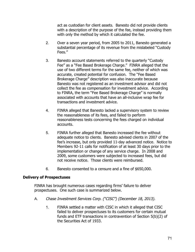act as custodian for client assets. Banesto did not provide clients with a description of the purpose of the fee, instead providing them with only the method by which it calculated the fee.

- 2. Over a seven year period, from 2005 to 2011, Banesto generated a substantial percentage of its revenue from the mislabeled "Custody Fees."
- 3. Banesto account statements referred to the quarterly "Custody Fee" as a "Fee Based Brokerage Charge." FINRA alleged that the use of two different terms for the same fee, neither of which was accurate, created potential for confusion. The "Fee Based Brokerage Charge" description was also inaccurate because Banesto was not registered as an investment advisor and did not collect the fee as compensation for investment advice. According to FINRA, the term "Fee Based Brokerage Charge" is normally associated with accounts that have an all-inclusive wrap fee for transactions and investment advice.
- 4. FINRA alleged that Banesto lacked a supervisory system to review the reasonableness of its fees, and failed to perform reasonableness tests concerning the fees charged on individual accounts.
- 5. FINRA further alleged that Banesto increased the fee without adequate notice to clients. Banesto advised clients in 2007 of the fee's increase, but only provided 11-day advanced notice. Notice to Members 92-11 calls for notification of at least 30 days prior to the implementation or change of any service charge. In 2008 and 2009, some customers were subjected to increased fees, but did not receive notice. Those clients were reimbursed.
- 6. Banesto consented to a censure and a fine of \$650,000.

#### **Delivery of Prospectuses**

FINRA has brought numerous cases regarding firms' failure to deliver prospectuses. One such case is summarized below.

- A. Chase Investment Services Corp. ("CISC") (December 18, 2013).
	- 1. FINRA settled a matter with CISC in which it alleged that CISC failed to deliver prospectuses to its customers for certain mutual funds and ETF transactions in contravention of Section 5(b)(2) of the Securities Act of 1933.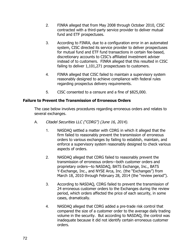- 2. FINRA alleged that from May 2008 through October 2010, CISC contracted with a third-party service provider to deliver mutual fund and ETF prospectuses.
- 3. According to FINRA, due to a configuration error in an automated system, CISC directed its service provider to deliver prospectuses for mutual fund and ETF fund transactions in certain fee-based, discretionary accounts to CISC's affiliated investment adviser instead of to customers. FINRA alleged that this resulted in CISC failing to deliver 1,101,271 prospectuses to customers.
- 4. FINRA alleged that CISC failed to maintain a supervisory system reasonably designed to achieve compliance with federal rules regarding prospectus delivery requirements.
- 5. CISC consented to a censure and a fine of \$825,000.

#### **Failure to Prevent the Transmission of Erroneous Orders**

The case below involves procedures regarding erroneous orders and relates to several exchanges.

- A. Citadel Securities LLC ("CDRG") (June 16, 2014).
	- 1. NASDAQ settled a matter with CDRG in which it alleged that the firm failed to reasonably prevent the transmission of erroneous orders to various exchanges by failing to establish, maintain, and enforce a supervisory system reasonably designed to check various aspects of orders.
	- 2. NASDAQ alleged that CDRG failed to reasonably prevent the transmission of erroneous orders—both customer orders and proprietary orders—to NASDAQ, BATS Exchange, Inc., BATS Y-Exchange, Inc., and NYSE Arca, Inc. (the "Exchanges") from March 18, 2010 through February 28, 2014 (the "review period").
	- 3. According to NASDAQ, CDRG failed to prevent the transmission of 24 erroneous customer orders to the Exchanges during the review period, which orders affected the price of each security, in some cases, dramatically.
	- 4. NASDAQ alleged that CDRG added a pre-trade risk control that compared the size of a customer order to the average daily trading volume in the security. But according to NASDAQ, the control was inadequate because it did not identify certain erroneous customer orders.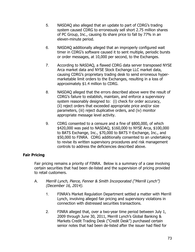- 5. NASDAQ also alleged that an update to part of CDRG's trading system caused CDRG to erroneously sell short 2.75 million shares of PC Group, Inc., causing its share price to fall by 77% in an eleven-minute period.
- 6. NASDAQ additionally alleged that an improperly configured wait timer in CDRG's software caused it to sent multiple, periodic bursts or order messages, at 10,000 per second, to the Exchanges.
- 7. According to NASDAQ, a flawed CDRG data server transposed NYSE Arca market data and NYSE Stock Exchange LLC market data, causing CDRG's proprietary trading desk to send erroneous hypermarketable limit orders to the Exchanges, resulting in a loss of approximately \$1.4 million to CDRG.
- 8. NASDAQ alleged that the errors described above were the result of CDRG's failure to establish, maintain, and enforce a supervisory system reasonably designed to: (i) check for order accuracy, (ii) reject orders that exceeded appropriate price and/or size parameters, (iii) reject duplicative orders, and (iv) monitor appropriate message level activity.
- 9. CDRG consented to a censure and a fine of \$800,000, of which \$420,000 was paid to NASDAQ, \$160,000 to NYSE Arca, \$100,000 to BATS Exchange, Inc., \$70,000 to BATS Y-Exchange, Inc., and \$50,000 to FINRA. CDRG additionally consented to an undertaking to revise its written supervisory procedures and risk management controls to address the deficiencies described above.

# **Fair Pricing**

Fair pricing remains a priority of FINRA. Below is a summary of a case involving certain securities that had been de-listed and the supervision of pricing provided to retail customers.

- A. Merrill Lynch, Pierce, Fenner & Smith Incorporated ("Merrill Lynch") (December 16, 2014).
	- 1. FINRA's Market Regulation Department settled a matter with Merrill Lynch, involving alleged fair pricing and supervisory violations in connection with distressed securities transactions.
	- 2. FINRA alleged that, over a two-year time period between July 1, 2009 through June 30, 2011, Merrill Lynch's Global Banking & Markets Credit Trading Desk ("Credit Desk") purchased certain senior notes that had been de-listed after the issuer had filed for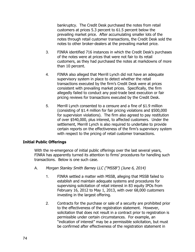bankruptcy. The Credit Desk purchased the notes from retail customers at prices 5.3 percent to 61.5 percent below the prevailing market price. After accumulating smaller lots of the notes through retail customer transactions, the Credit Desk sold the notes to other broker-dealers at the prevailing market price.

- 3. FINRA identified 716 instances in which the Credit Desk's purchases of the notes were at prices that were not fair to its retail customers, as they had purchased the notes at markdowns of more than 10 percent.
- 4. FINRA also alleged that Merrill Lynch did not have an adequate supervisory system in place to detect whether the retail transactions executed by the firm's Credit Desk were at prices consistent with prevailing market prices. Specifically, the firm allegedly failed to conduct any post-trade best execution or fair pricing reviews for transactions executed by the Credit Desk.
- 5. Merrill Lynch consented to a censure and a fine of \$1.9 million (consisting of \$1.4 million for fair pricing violations and \$500,000 for supervision violations). The firm also agreed to pay restitution of over \$540,000, plus interest, to affected customers. Under the settlement, Merrill Lynch is also required to undertake to provide certain reports on the effectiveness of the firm's supervisory system with respect to the pricing of retail customer transactions.

# **Initial Public Offerings**

With the re-emergence of initial public offerings over the last several years, FINRA has apparently turned its attention to firms' procedures for handling such transactions. Below is one such case.

- A. Morgan Stanley Smith Barney LLC ("MSSB") (June 6, 2014)
	- 1. FINRA settled a matter with MSSB, alleging that MSSB failed to establish and maintain adequate systems and procedures for supervising solicitation of retail interest in 83 equity IPOs from February 16, 2012 to May 1, 2013, with over 68,000 customers investing in the largest offering.
	- 2. Contracts for the purchase or sale of a security are prohibited prior to the effectiveness of the registration statement. However, solicitation that does not result in a contract prior to registration is permissible under certain circumstances. For example, an "indication of interest" may be a permissible solicitation, but must be confirmed after effectiveness of the registration statement in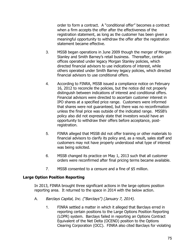order to form a contract. A "conditional offer" becomes a contract when a firm accepts the offer after the effectiveness of the registration statement, as long as the customer has been given a meaningful opportunity to withdraw the offer after the registration statement became effective.

- 3. MSSB began operations in June 2009 though the merger of Morgan Stanley and Smith Barney's retail business. Thereafter, certain offices operated under legacy Morgan Stanley policies, which directed financial advisors to use indications of interest, while others operated under Smith Barney legacy policies, which directed financial advisors to use conditional offers.
- 4. According to FINRA, MSSB issued a compliance notice on February 16, 2012 to reconcile the policies, but the notice did not properly distinguish between indications of interest and conditional offers. Financial advisors were directed to ascertain customer interest in IPO shares at a specified price range. Customers were informed that shares were not guaranteed, but there was no reconfirmation unless the final price was outside of the indicated range. MSSB's policy also did not expressly state that investors would have an opportunity to withdraw their offers before acceptance, postregistration.
- 5. FINRA alleged that MSSB did not offer training or other materials to financial advisors to clarify its policy and, as a result, sales staff and customers may not have properly understood what type of interest was being solicited.
- 6. MSSB changed its practice on May 1, 2013 such that all customer orders were reconfirmed after final pricing terms became available.
- 7. MSSB consented to a censure and a fine of \$5 million.

#### **Large Option Position Reporting**

In 2013, FINRA brought three significant actions in the large options position reporting area. It returned to the space in 2014 with the below action.

- A. Barclays Capital, Inc. ("Barclays") (January 7, 2014).
	- 1. FINRA settled a matter in which it alleged that Barclays erred in reporting certain positions to the Large Options Position Reporting (LOPR) system. Barclays failed in reporting an Options Contract Equivalent of the Net Delta (OCEND) position to the Options Clearing Corporation (OCC). FINRA also cited Barclays for violating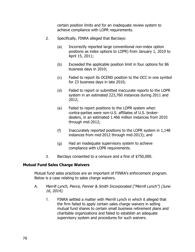certain position limits and for an inadequate review system to achieve compliance with LOPR requirements.

- 2. Specifically, FINRA alleged that Barclays:
	- (a) Incorrectly reported large conventional non-index option positions as index options to LOPR) from January 1, 2010 to April 15, 2011;
	- (b) Exceeded the applicable position limit in four options for 86 business days in 2010;
	- (c) Failed to report its OCEND position to the OCC in one symbol for 23 business days in late 2010;
	- (d) Failed to report or submitted inaccurate reports to the LOPR system in an estimated 223,760 instances during 2011 and 2012;
	- (e) Failed to report positions to the LOPR system when contra-parties were non-U.S. affiliates of U.S. brokerdealers, in an estimated 1.466 million instances from 2010 through mid-2012;
	- (f) Inaccurately reported positions to the LOPR system in 1,148 instances from mid-2012 through mid-2013); and
	- (g) Had an inadequate supervisory system to achieve compliance with LOPR requirements.
- 3. Barclays consented to a censure and a fine of \$750,000.

#### **Mutual Fund Sales Charge Waivers**

Mutual fund sales practices are an important of FINRA's enforcement program. Below is a case relating to sales charge waivers.

- A. Merrill Lynch, Pierce, Fenner & Smith Incorporated ("Merrill Lynch") (June 16, 2014).
	- 1. FINRA settled a matter with Merrill Lynch in which it alleged that the firm failed to apply certain sales charge waivers in selling mutual fund shares to certain small business retirement plans and charitable organizations and failed to establish an adequate supervisory system and procedures for such waivers.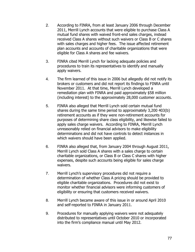- 2. According to FINRA, from at least January 2006 through December 2011, Merrill Lynch accounts that were eligible to purchase Class A mutual fund shares with waived front-end sales charges, instead received Class A shares without such waivers or Class B or C shares with sales charges and higher fees. The issue affected retirement plan accounts and accounts of charitable organizations that were eligible for Class A shares and fee waivers.
- 3. FINRA cited Merrill Lynch for lacking adequate policies and procedures to train its representatives to identify and manually apply waivers.
- 4. The firm learned of this issue in 2006 but allegedly did not notify its brokers or customers and did not report its findings to FINRA until November 2011. At that time, Merrill Lynch developed a remediation plan with FINRA and paid approximately \$58 million (including interest) to the approximately 28,000 customer accounts.
- 5. FINRA also alleged that Merrill Lynch sold certain mutual fund shares during the same time period to approximately 3,200 403(b) retirement accounts as if they were non-retirement accounts for purposes of determining share class eligibility, and likewise failed to apply sales charge waivers. According to FINRA, Merrill Lynch unreasonably relied on financial advisors to make eligibility determinations and did not have controls to detect instances in which waivers should have been applied.
- 6. FINRA also alleged that, from January 2004 through August 2011, Merrill Lynch sold Class A shares with a sales charge to certain charitable organizations, or Class B or Class C shares with higher expenses, despite such accounts being eligible for sales charge waivers.
- 7. Merrill Lynch's supervisory procedures did not require a determination of whether Class A pricing should be provided to eligible charitable organizations. Procedures did not exist to monitor whether financial advisors were informing customers of eligibility or ensuring that customers received waivers.
- 8. Merrill Lynch became aware of this issue in or around April 2010 and self-reported to FINRA in January 2011.
- 9. Procedures for manually applying waivers were not adequately distributed to representatives until October 2010 or incorporated into the firm's compliance manual until May 2012.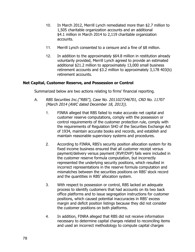- 10. In March 2012, Merrill Lynch remediated more than \$2.7 million to 1,505 charitable organization accounts and an additional \$4.1 million in March 2014 to 2,119 charitable organization accounts.
- 11. Merrill Lynch consented to a censure and a fine of \$8 million.
- 12. In addition to the approximately \$64.8 million in restitution already voluntarily provided, Merrill Lynch agreed to provide an estimated additional \$21.2 million to approximately 13,000 small business retirement accounts and \$3.2 million to approximately 3,178 403(b) retirement accounts.

#### **Net Capital, Customer Reserve, and Possession or Control**

Summarized below are two actions relating to firms' financial reporting.

- A. RBS Securities Inc.("RBS"), Case No. 2011027246701, CRD No. 11707 (March 2014 (AWC dated December 18, 2013)).
	- 1. FINRA alleged that RBS failed to make accurate net capital and customer reserve computations, comply with the possession or control requirements of the customer protection rule, comply with the requirements of Regulation SHO of the Securities Exchange Act of 1934, maintain accurate books and records, and establish and maintain reasonable supervisory systems and procedures.
	- 2. According to FINRA, RBS's security position allocation system for its fixed income business ensured that all customer receipt versus payment/delivery versus payment (RVP/DVP) fails were included in the customer reserve formula computation, but incorrectly represented the underlying security positions, which resulted in incorrect representations in the reserve formula computation and mismatches between the securities positions on RBS' stock record and the quantities in RBS' allocation system.
	- 3. With respect to possession or control, RBS lacked an adequate process to identify customers that had accounts on its two back office platforms and to issue segregation instructions for customer positions, which caused potential inaccuracies in RBS' excess margin and deficit position listings because they did not consider the customer positions on both platforms.
	- 4. In addition, FINRA alleged that RBS did not receive information necessary to determine capital charges related to reconciling items and used an incorrect methodology to compute capital charges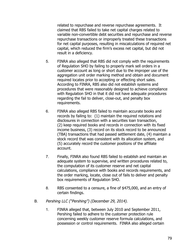related to repurchase and reverse repurchase agreements. It claimed that RBS failed to take net capital charges related to variable non-convertible debt securities and repurchase and reverse repurchase transactions or improperly treated these transactions for net capital purposes, resulting in miscalculations of required net capital, which reduced the firm's excess net capital, but did not result in a deficiency.

- 5. FINRA also alleged that RBS did not comply with the requirements of Regulation SHO by failing to properly mark sell orders in a customer account as long or short due to the improper use of the aggregation unit order marking method and obtain and document required locates prior to accepting or effecting short sales. According to FINRA, RBS also did not establish systems and procedures that were reasonably designed to achieve compliance with Regulation SHO in that it did not have adequate procedures regarding the fail to deliver, close-out, and penalty box requirements.
- 6. FINRA also alleged RBS failed to maintain accurate books and records by failing to: (1) maintain the required notations and disclosures in connection with a securities loan transaction, (2) keep required books and records in connection with its fixed income business, (3) record on its stock record to be announced (TBA) transactions that had passed settlement date, (4) maintain a stock record that was consistent with its allocation system, and (5) accurately record the customer positions of the affiliate account.
- 7. Finally, FINRA also found RBS failed to establish and maintain an adequate system to supervise, and written procedures related to, the computation of its customer reserve and net capital calculations, compliance with books and records requirements, and the order marking, locate, close out of fails to deliver and penalty box requirements of Regulation SHO.
- 8. RBS consented to a censure, a fine of \$475,000, and an entry of certain findings.
- B. Pershing LLC ("Pershing") (December 29, 2014).
	- 1. FINRA alleged that, between July 2010 and September 2011, Pershing failed to adhere to the customer protection rule concerning weekly customer reserve formula calculations, and possession or control requirements. FINRA also alleged certain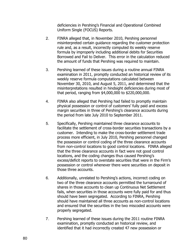deficiencies in Pershing's Financial and Operational Combined Uniform Single (FOCUS) Reports.

- 2. FINRA alleged that, in November 2010, Pershing personnel misinterpreted certain guidance regarding the customer protection rule and, as a result, incorrectly computed its weekly reserve formula by improperly including additional debits for Securities Borrowed and Fail to Deliver. This error in the calculation reduced the amount of funds that Pershing was required to maintain.
- 3. Pershing learned of these issues during a routine annual FINRA examination in 2011, promptly conducted an historical review of its weekly reserve formula computations calculated between November 30, 2010, and August 5, 2011, and determined that the misinterpretations resulted in hindsight deficiencies during most of that period, ranging from \$4,000,000 to \$220,000,000.
- 4. FINRA also alleged that Pershing had failed to promptly maintain physical possession or control of customers' fully paid and excess margin securities in three of Pershing's clearance accounts during the period from late July 2010 to September 2011.
- 5. Specifically, Pershing maintained three clearance accounts to facilitate the settlement of cross-border securities transactions by a customer. Intending to make the cross-border settlement trade process more efficient, in July 2010, Pershing personnel changed the possession or control coding of the three clearance accounts from non-control locations to good control locations. FINRA alleged that the three clearance accounts in fact were not good control locations, and the coding changes thus caused Pershing's excess/deficit reports to overstate securities that were in the Firm's possession or control whenever there were securities on deposit in those three accounts.
- 6. Additionally, unrelated to Pershing's actions, incorrect coding on two of the three clearance accounts permitted the turnaround of shares in those accounts to clean up Continuous Net Settlement fails, when securities in those accounts were fully paid for and thus should have been segregated. According to FINRA, Pershing should have maintained all three accounts as non-control locations and ensured that the securities in the two miscoded accounts were properly segregated.
- 7. Pershing learned of these issues during the 2011 routine FINRA examination, promptly conducted an historical review, and identified that it had incorrectly created 47 new possession or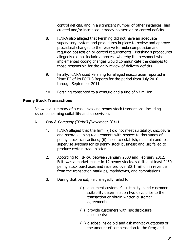control deficits, and in a significant number of other instances, had created and/or increased intraday possession or control deficits.

- 8. FINRA also alleged that Pershing did not have an adequate supervisory system and procedures in place to review and approve procedural changes to the reserve formula computation and required possession or control requirements. Pershing's procedures allegedly did not include a process whereby the personnel who implemented coding changes would communicate the changes to those responsible for the daily review of delivery deficits.
- 9. Finally, FINRA cited Pershing for alleged inaccuracies reported in "Part II" of its FOCUS Reports for the period from July 2010 through September 2011.
- 10. Pershing consented to a censure and a fine of \$3 million.

# **Penny Stock Transactions**

Below is a summary of a case involving penny stock transactions, including issues concerning suitability and supervision.

- A. Feltl & Company ("Feltl") (November 2014).
	- 1. FINRA alleged that the firm: (i) did not meet suitability, disclosure and record keeping requirements with respect to thousands of penny stock transactions; (ii) failed to establish, maintain and test supervise systems for its penny stock business; and (iii) failed to produce certain trade blotters.
	- 2. According to FINRA, between January 2008 and February 2012, Feltl was a market maker in 17 penny stocks, solicited at least 2450 penny stock purchases and received over \$2.1 million in revenue from the transaction markups, markdowns, and commissions.
	- 3. During that period, Feltl allegedly failed to:
		- (i) document customer's suitability, send customers suitability determination two days prior to the transaction or obtain written customer agreement;
		- (ii) provide customers with risk disclosure documents;
		- (iii) disclose inside bid and ask market quotations or the amount of compensation to the firm; and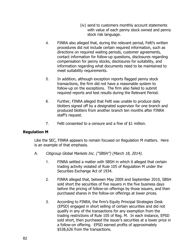- (iv) send to customers monthly account statements with value of each penny stock owned and penny stock risk language.
- 4. FINRA also alleged that, during the relevant period, Feltl's written procedures did not include certain required information, such as directions on required waiting periods, customer agreements, contact information for follow-up questions, disclosures regarding compensation for penny stocks, disclosures for suitability, and information regarding what documents need to be maintained to meet suitability requirements.
- 5. In addition, although exception reports flagged penny stock transactions, the firm did not have a reasonable system to follow-up on the exceptions. The firm also failed to submit required reports and test results during the Relevant Period.
- 6. Further, FINRA alleged that Feltl was unable to produce daily blotters signed off by a designated supervisor for one branch and produced blotters from another branch ten months after FINRA staff's request.
- 7. Feltl consented to a censure and a fine of \$1 million.

# **Regulation M**

Like the SEC, FINRA appears to remain focused on Regulation M matters. Here is an example of that emphasis.

- A. Citigroup Global Markets Inc. ("SBSH") (March 18, 2014).
	- 1. FINRA settled a matter with SBSH in which it alleged that certain trading activity violated of Rule 105 of Regulation M under the Securities Exchange Act of 1934.
	- 2. FINRA alleged that, between May 2009 and September 2010, SBSH sold short the securities of five issuers in the five business days before the pricing of follow-on offerings by those issuers, and then purchased shares in the follow-on offerings at lower prices.
	- 3. According to FINRA, the firm's Equity Principal Strategies Desk (EPSD) engaged in short selling of certain securities and did not qualify in any of the transactions for any exemption from the trading restrictions of Rule 105 of Reg. M. In each instance, EPSD sold short, then purchased the issuer's securities at a lower price in a follow-on offering. EPSD earned profits of approximately \$538,626 from the transactions.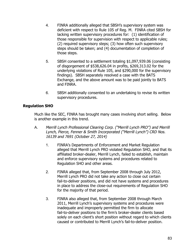- 4. FINRA additionally alleged that SBSH's supervisory system was deficient with respect to Rule 105 of Reg. M. FINRA cited SBSH for lacking written supervisory procedures for: (1) identification of those responsible for supervision with respect to applicable rules; (2) required supervisory steps; (3) how often such supervisory steps should be taken; and (4) documentation of completion of those steps.
- 5. SBSH consented to a settlement totaling \$1,097,939.06 (consisting of disgorgement of \$538,626.04 in profits, \$269,313.02 for the underlying violations of Rule 105, and \$290,000 for the supervisory findings). SBSH separately resolved a case with the BATS Exchange, and the above amount was to be paid jointly to BATS and FINRA.
- 6. SBSH additionally consented to an undertaking to revise its written supervisory procedures.

#### **Regulation SHO**

Much like the SEC, FINRA has brought many cases involving short selling. Below is another example in this trend.

- A. Merrill Lynch Professional Clearing Corp. ("Merrill Lynch PRO") and Merrill Lynch, Pierce, Fenner & Smith Incorporated ("Merrill Lynch") CRD Nos. 16139 and 7691 (October 27, 2014)
	- 1. FINRA's Departments of Enforcement and Market Regulation alleged that Merrill Lynch PRO violated Regulation SHO, and that its affiliated broker-dealer, Merrill Lynch, failed to establish, maintain and enforce supervisory systems and procedures related to Regulation SHO and other areas.
	- 2. FINRA alleged that, from September 2008 through July 2012, Merrill Lynch PRO did not take any action to close out certain fail-to-deliver positions, and did not have systems and procedures in place to address the close-out requirements of Regulation SHO for the majority of that period.
	- 3. FINRA also alleged that, from September 2008 through March 2011, Merrill Lynch's supervisory systems and procedures were inadequate and improperly permitted the firm to allocate fail-to-deliver positions to the firm's broker-dealer clients based solely on each client's short position without regard to which clients caused or contributed to Merrill Lynch's fail-to-deliver position.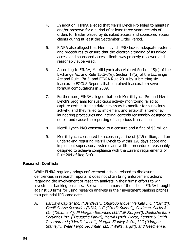- 4. In addition, FINRA alleged that Merrill Lynch Pro failed to maintain and/or preserve for a period of at least three years records of orders for trades placed by its naked access and sponsored access clients during at least the September Order Period.
- 5. FINRA also alleged that Merrill Lynch PRO lacked adequate systems and procedures to ensure that the electronic trading of its naked access and sponsored access clients was properly reviewed and reasonably supervised.
- 6. According to FINRA, Merrill Lynch also violated Section 15(c) of the Exchange Act and Rule 15c3-3(e), Section 17(a) of the Exchange Act and Rule 17a-5, and FINRA Rule 2010 by submitting six inaccurate FOCUS Reports that contained inaccurate reserve formula computations in 2009.
- 7. Furthermore, FINRA alleged that both Merrill Lynch Pro and Merrill Lynch's programs for suspicious activity monitoring failed to capture certain trading data necessary to monitor for suspicious activity, and they failed to implement and establish anti-money laundering procedures and internal controls reasonably designed to detect and cause the reporting of suspicious transactions.
- 8. Merrill Lynch PRO consented to a censure and a fine of \$5 million.
- 9. Merrill Lynch consented to a censure, a fine of \$2.5 million, and an undertaking requiring Merrill Lynch to within 120 days adopt and implement supervisory systems and written procedures reasonably designed to achieve compliance with the current requirements of Rule 204 of Reg SHO.

# **Research Conflicts**

While FINRA regularly brings enforcement actions related to disclosure deficiencies in research reports, it does not often bring enforcement actions regarding the involvement of research analysts in their firms' efforts to win investment banking business. Below is a summary of the actions FINRA brought against 10 firms for using research analysts in their investment banking pitches to a potential IPO candidate.

A. Barclays Capital Inc. ("Barclays"), Citigroup Global Markets Inc. ("CGMI"), Credit Suisse Securities (USA), LLC ("Credit Suisse"), Goldman, Sachs & Co. ("Goldman"), JP Morgan Securities LLC ("JP Morgan"), Deutsche Bank Securities Inc. ("Deutsche Bank"), Merrill Lynch, Pierce, Fenner & Smith Incorporated ("Merrill Lynch"), Morgan Stanley & Co., LLC ("Morgan Stanley"), Wells Fargo Securities, LLC ("Wells Fargo"), and Needham &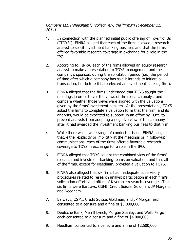Company LLC ("Needham") (collectively, the "firms") (December 11, 2014).

- 1. In connection with the planned initial public offering of Toys "R" Us ("TOYS"), FINRA alleged that each of the firms allowed a research analyst to solicit investment banking business and that the firms offered favorable research coverage in exchange for a role in the IPO.
- 2. According to FINRA, each of the firms allowed an equity research analyst to make a presentation to TOYS management and the company's sponsors during the solicitation period (i.e., the period of time after which a company has said it intends to initiate a transaction, but before it has selected an investment banking firm).
- 3. FINRA alleged that the firms understood that TOYS sought the meetings in order to vet the views of the research analyst and compare whether those views were aligned with the valuations given by the firms' investment bankers. At the presentations, TOYS asked the firms to complete a valuation form that the firm, and its analysts, would be expected to support, in an effort by TOYS to prevent analysts from adopting a negative view of the company after it had awarded the investment banking business to that firm.
- 4. While there was a wide range of conduct at issue, FINRA alleged that, either explicitly or implicitly at the meetings or in follow-up communications, each of the firms offered favorable research coverage to TOYS in exchange for a role in the IPO.
- 5. FINRA alleged that TOYS sought the combined view of the firms' research and investment banking teams on valuation, and that all of the firms, except for Needham, provided a valuation to TOYS.
- 6. FINRA also alleged that six firms had inadequate supervisory procedures related to research analyst participation in each firm's solicitation efforts and offers of favorable research coverage. The six firms were Barclays, CGMI, Credit Suisse, Goldman, JP Morgan, and Needham.
- 7. Barclays, CGMI, Credit Suisse, Goldman, and JP Morgan each consented to a censure and a fine of \$5,000,000.
- 8. Deutsche Bank, Merrill Lynch, Morgan Stanley, and Wells Fargo each consented to a censure and a fine of \$4,000,000.
- 9. Needham consented to a censure and a fine of \$2,500,000.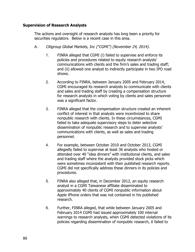#### **Supervision of Research Analysts**

The actions and oversight of research analysts has long been a priority for securities regulators. Below is a recent case in this area.

- A. Citigroup Global Markets, Inc ("CGMI") (November 24, 2014).
	- 1. FINRA alleged that CGMI (i) failed to supervise and enforce its policies and procedures related to equity research analysts' communications with clients and the firm's sales and trading staff; and (ii) allowed one analyst to indirectly participate in two IPO road shows.
	- 2. According to FINRA, between January 2005 and February 2014, CGMI encouraged its research analysts to communicate with clients and sales and trading staff by creating a compensation structure for research analysts in which voting by clients and sales personnel was a significant factor.
	- 3. FINRA alleged that the compensation structure created an inherent conflict of interest in that analysts were incentivized to share nonpublic research with clients. In these circumstances, CGMI failed to take adequate supervisory steps to deter selective dissemination of nonpublic research and to supervise analysts' communications with clients, as well as sales and trading personnel.
	- 4. For example, between October 2010 and October 2013, CGMI allegedly failed to supervise at least 36 analysts who hosted or attended over 40 "idea dinners" with institutional clients, and sales and trading staff where the analysts provided stock picks which were sometimes inconsistent with their published research reports. CGMI did not specifically address these dinners in its policies and procedures.
	- 5. FINRA also alleged that, in December 2012, an equity research analyst in a CGMI Taiwanese affiliate disseminated to approximately 40 clients of CGMI nonpublic information about Apple iPhone orders that was not contained in his published research.
	- 6. Further, FINRA alleged, that while between January 2005 and February 2014 CGMI had issued approximately 100 internal warnings to research analysts, when CGMI detected violations of its policies regarding dissemination of nonpublic research, it failed to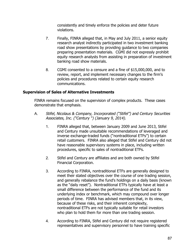consistently and timely enforce the policies and deter future violations.

- 7. Finally, FINRA alleged that, in May and July 2011, a senior equity research analyst indirectly participated in two investment banking road show presentations by providing guidance to two companies preparing presentation materials. CGMI did not expressly prohibit equity research analysts from assisting in preparation of investment banking road show materials.
- 8. CGMI consented to a censure and a fine of \$15,000,000, and to review, report, and implement necessary changes to the firm's policies and procedures related to certain equity research communications.

#### **Supervision of Sales of Alternative Investments**

FINRA remains focused on the supervision of complex products. These cases demonstrate that emphasis.

- A. Stifel, Nicolaus & Company, Incorporated ("Stifel") and Century Securities Associates, Inc. ("Century ") (January 9, 2014).
	- 1. FINRA alleged that, between January 2009 and June 2013, Stifel and Century made unsuitable recommendations of leveraged and inverse exchange-traded funds ("nontraditional ETFs") to certain retail customers. FINRA also alleged that Stifel and Century did not have reasonable supervisory systems in place, including written procedures, specific to sales of nontraditional ETFs.
	- 2. Stifel and Century are affiliates and are both owned by Stifel Financial Corporation.
	- 3. According to FINRA, nontraditional ETFs are generally designed to meet their stated objectives over the course of one trading session, and generally rebalance the fund's holdings on a daily basis (known as the "daily reset"). Nontraditional ETFs typically have at least a small difference between the performance of the fund and its underlying index or benchmark, which may compound over longer periods of time. FINRA has advised members that, in its view, because of these risks, and their inherent complexity, nontraditional ETFs are not typically suitable for retail investors who plan to hold them for more than one trading session.
	- 4. According to FINRA, Stifel and Century did not require registered representatives and supervisory personnel to have training specific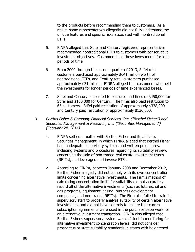to the products before recommending them to customers. As a result, some representatives allegedly did not fully understand the unique features and specific risks associated with nontraditional ETFs.

- 5. FINRA alleged that Stifel and Century registered representatives recommended nontraditional ETFs to customers with conservative investment objectives. Customers held those investments for long periods of time.
- 6. From 2009 through the second quarter of 2013, Stifel retail customers purchased approximately \$641 million worth of nontraditional ETFs, and Century retail customers purchased approximately \$31 million. FINRA alleged that customers who held the investments for longer periods of time experienced losses.
- 7. Stifel and Century consented to censures and fines of \$450,000 for Stifel and \$100,000 for Century. The firms also paid restitution to 65 customers. Stifel paid restitution of approximately \$338,000 and Century paid restitution of approximately \$136,000.
- B. Berthel Fisher & Company Financial Services, Inc. ("Berthel Fisher") and Securities Management & Research, Inc. ("Securities Management") (February 24, 2014).
	- 1. FINRA settled a matter with Berthel Fisher and its affiliate, Securities Management, in which FINRA alleged that Berthel Fisher had inadequate supervisory systems and written procedures, including systems and procedures regarding its suitability review, concerning the sale of non-traded real estate investment trusts (REITs), and leveraged and inverse ETFs.
	- 2. According to FINRA, between January 2008 and December 2012, Berthel Fisher allegedly did not comply with its own concentration limits concerning alternative investments. The Firm's method of calculating concentration limits for suitability did not accurately record all of the alternative investments (such as futures, oil and gas programs, equipment leasing, business development companies, and non-traded REITs). The Firm also failed to train its supervisory staff to properly analyze suitability of certain alternative investments, and did not have controls to ensure that current subscription agreements were used in the purchase paperwork for an alternative investment transaction. FINRA also alleged that Berthel Fisher's supervisory system was deficient in monitoring for alternative investment concentration levels, did not consider prospectus or state suitability standards in states with heightened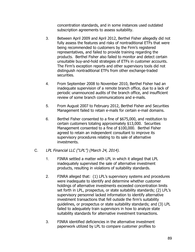concentration standards, and in some instances used outdated subscription agreements to assess suitability.

- 3. Between April 2009 and April 2012, Berthel Fisher allegedly did not fully assess the features and risks of nontraditional ETFs that were being recommended to customers by the Firm's registered representatives, and failed to provide training regarding the products. Berthel Fisher also failed to monitor and detect certain unsuitable buy-and-hold strategies of ETFs in customer accounts. The Firm's exception reports and other supervisory tools did not distinguish nontraditional ETFs from other exchange-traded securities.
- 4. From September 2008 to November 2010, Berthel Fisher had an inadequate supervision of a remote branch office, due to a lack of periodic unannounced audits of the branch office, and insufficient review of some branch communications and e-mails.
- 5. From August 2007 to February 2012, Berthel Fisher and Securities Management failed to retain e-mails for certain e-mail domains.
- 6. Berthel Fisher consented to a fine of \$675,000, and restitution to certain customers totaling approximately \$13,000. Securities Management consented to a fine of \$100,000. Berthel Fisher agreed to retain an independent consultant to improve its supervisory procedures relating to its sale of alternative investments.
- C. LPL Financial LLC ("LPL") (March 24, 2014).
	- 1. FINRA settled a matter with LPL in which it alleged that LPL inadequately supervised the sale of alternative investment products, resulting in violations of suitability standards.
	- 2. FINRA alleged that: (1) LPL's supervisory systems and procedures were inadequate to identify and determine whether customer holdings of alternative investments exceeded concentration limits set forth in LPL, prospectus, or state suitability standards; (2) LPL's supervisory personnel lacked information to identify alternative investment transactions that fell outside the firm's suitability guidelines, or prospectus or state suitability standards; and (3) LPL failed to adequately train supervisors in how to analyze state suitability standards for alternative investment transactions.
	- 3. FINRA identified deficiencies in the alternative investment paperwork utilized by LPL to compare customer profiles to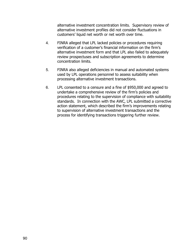alternative investment concentration limits. Supervisory review of alternative investment profiles did not consider fluctuations in customers' liquid net worth or net worth over time.

- 4. FINRA alleged that LPL lacked policies or procedures requiring verification of a customer's financial information on the firm's alternative investment form and that LPL also failed to adequately review prospectuses and subscription agreements to determine concentration limits.
- 5. FINRA also alleged deficiencies in manual and automated systems used by LPL operations personnel to assess suitability when processing alternative investment transactions.
- 6. LPL consented to a censure and a fine of \$950,000 and agreed to undertake a comprehensive review of the firm's policies and procedures relating to the supervision of compliance with suitability standards. In connection with the AWC, LPL submitted a corrective action statement, which described the firm's improvements relating to supervision of alternative investment transactions and the process for identifying transactions triggering further review.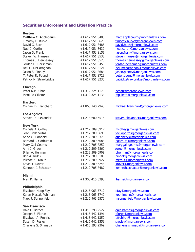# **Securities Enforcement and Litigation Practice**

| <b>Boston</b>          |                   |                                     |
|------------------------|-------------------|-------------------------------------|
| Matthew C. Applebaum   | +1.617.951.8488   | matt.applebaum@morganlewis.com      |
| Timothy P. Burke       | $+1.617.951.8620$ | timothy.burke@morganlewis.com       |
| David C. Boch          | $+1.617.951.8485$ | david.boch@morganlewis.com          |
| Neal J. Curtin         | $+1.617.951.8437$ | neal.curtin@morganlewis.com         |
| Jason D. Frank         | $+1.617.951.8153$ | jason.frank@morganlewis.com         |
| Steven W. Hansen       | $+1.617.951.8538$ |                                     |
|                        |                   | steven.hansen@morganlewis.com       |
| Thomas J. Hennessey    | $+1.617.951.8520$ | thomas.hennessey@morganlewis.com    |
| Jordan D. Hershman     | $+1.617.951.8455$ | jordan.hershman@morganlewis.com     |
| Neil G. McGaraghan     | $+1.617.951.8121$ | neil.mcgaraghan@morganlewis.com     |
| Jason S. Pinney        | $+1.617.951.8684$ | jason.pinney@morganlewis.com        |
| T. Peter R. Pound      | +1.617.951.8728   | peter.pound@morganlewis.com         |
| Patrick N. Strawbridge | +1.617.951.8230   | patrick.strawbridge@morganlewis.com |
| <b>Chicago</b>         |                   |                                     |
| Peter K.M. Chan        | +1.312.324.1179   | pchan@morganlewis.com               |
| Merri Jo Gillette      | $+1.312.324.1134$ | mgillette@morganlewis.com           |
| <b>Hartford</b>        |                   |                                     |
| Michael D. Blanchard   | $+1.860.240.2945$ | michael.blanchard@morganlewis.com   |
|                        |                   |                                     |
| <b>Los Angeles</b>     |                   |                                     |
| Steven D. Alexander    | $+1.213.680.6518$ | steven.alexander@morganlewis.com    |
| <b>New York</b>        |                   |                                     |
| Michele A. Coffey      | +1.212.309.6917   | mcoffey@morganlewis.com             |
| John Dellaportas       | $+1.212.309.6690$ | jdellaportas@morganlewis.com        |
| Anne C. Flannery       | +1.212.309.6370   | aflannery@morganlewis.com           |
| Bernard J. Garbutt III | +1.212.309.6084   | bgarbutt@morganlewis.com            |
| Mary Gail Gearns       | $+1.212.705.7252$ | marygail.gearns@morganlewis.com     |
| Amy J. Greer           | $+1.212.309.6860$ | agreer@morganlewis.com              |
| Brian A. Herman        | $+1.212.309.6909$ | bherman@morganlewis.com             |
| Ben A. Indek           | $+1.212.309.6109$ | bindek@morganlewis.com              |
| Michael S. Kraut       | $+1.212.309.6927$ | mkraut@morganlewis.com              |
| Kevin T. Rover         | $+1.212.309.6244$ | krover@morganlewis.com              |
| Kenneth I. Schacter    | +1.212.705.7487   |                                     |
|                        |                   | kenneth.schacter@morganlewis.com    |
| <b>Miami</b>           |                   |                                     |
| Ivan P. Harris         | +1.305.415.3398   | iharris@morganlewis.com             |
| <b>Philadelphia</b>    |                   |                                     |
| Elizabeth Hoop Fay     | $+1.215.963.5712$ | efay@morganlewis.com                |
| Karen Pieslak Pohlmann | $+1.215.963.5740$ | kpohlmann@morganlewis.com           |
| Marc J. Sonnenfeld     | $+1.215.963.5572$ | msonnenfeld@morganlewis.com         |
|                        |                   |                                     |
| <b>San Francisco</b>   |                   |                                     |
| Dale E. Barnes         | $+1.415.393.2522$ | dale.barnes@morganlewis.com         |
| Joseph E. Floren       | $+1.415.442.1391$ | jfloren@morganlewis.com             |
| Elizabeth A. Frohlich  | $+1.415.442.1352$ | efrohlich@morganlewis.com           |
| Susan D. Resley        | $+1.415.442.1351$ | sresley@morganlewis.com             |
| Charlene S. Shimada    | $+1.415.393.2369$ | charlene.shimada@morganlewis.com    |